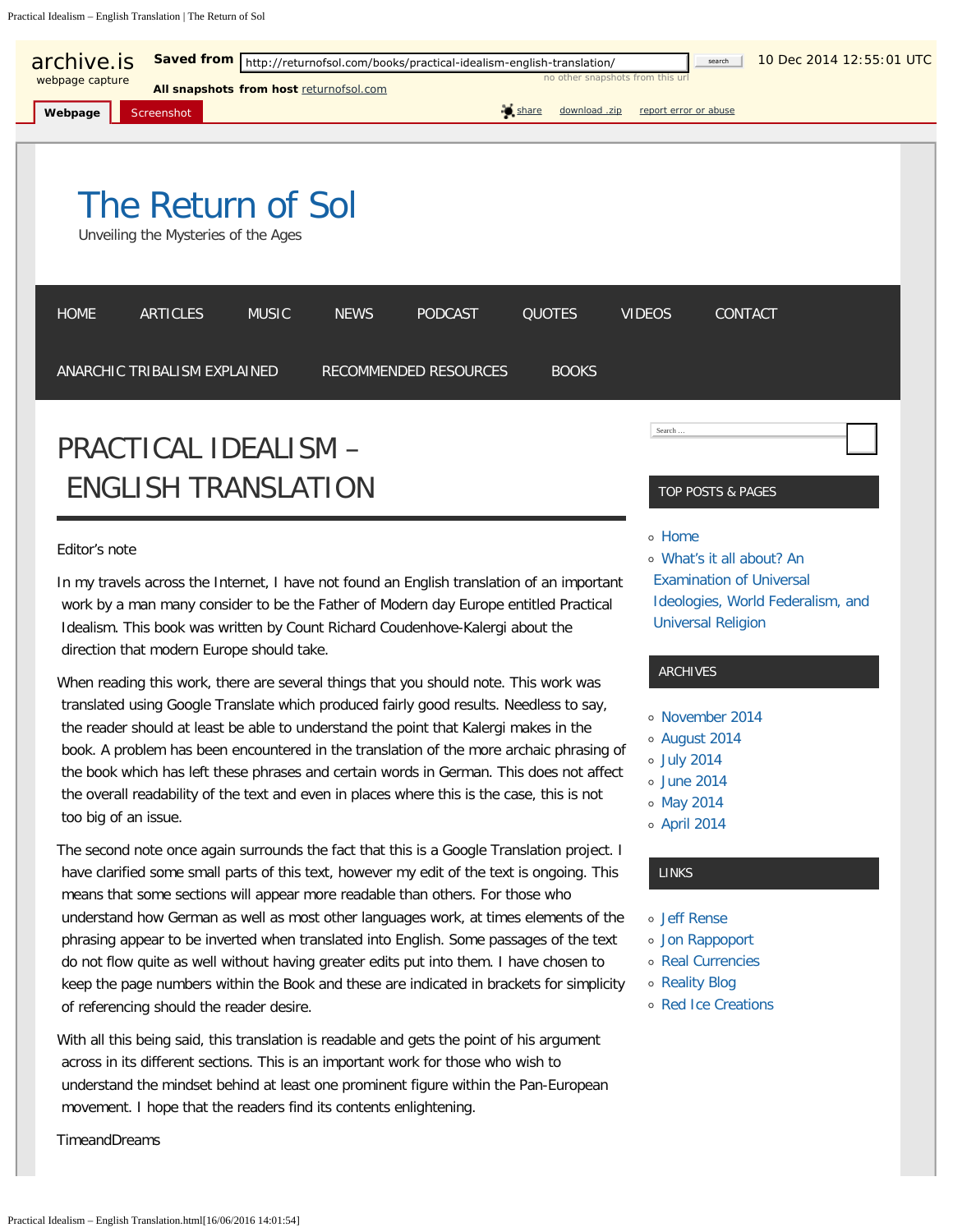

 the reader should at least be able to understand the point that Kalergi makes in the book. A problem has been encountered in the translation of the more archaic phrasing of the book which has left these phrases and certain words in German. This does not affect the overall readability of the text and even in places where this is the case, this is not too big of an issue.

The second note once again surrounds the fact that this is a Google Translation project. I have clarified some small parts of this text, however my edit of the text is ongoing. This means that some sections will appear more readable than others. For those who understand how German as well as most other languages work, at times elements of the phrasing appear to be inverted when translated into English. Some passages of the text do not flow quite as well without having greater edits put into them. I have chosen to keep the page numbers within the Book and these are indicated in brackets for simplicity of referencing should the reader desire.

With all this being said, this translation is readable and gets the point of his argument across in its different sections. This is an important work for those who wish to understand the mindset behind at least one prominent figure within the Pan-European movement. I hope that the readers find its contents enlightening.

**TimeandDreams** 

[Jeff Rense](https://archive.is/o/ijYJ4/http://rense.com/)

LINKS

[August 2014](https://archive.is/o/ijYJ4/http://returnofsol.com/2014/08/) [July 2014](https://archive.is/o/ijYJ4/http://returnofsol.com/2014/07/) [June 2014](https://archive.is/o/ijYJ4/http://returnofsol.com/2014/06/) [May 2014](https://archive.is/o/ijYJ4/http://returnofsol.com/2014/05/) [April 2014](https://archive.is/o/ijYJ4/http://returnofsol.com/2014/04/)

- [Jon Rappoport](https://archive.is/o/ijYJ4/http://jonrappoport.wordpress.com/)
- [Real Currencies](https://archive.is/o/ijYJ4/http://realcurrencies.wordpress.com/)
- [Reality Blog](https://archive.is/o/ijYJ4/http://realitybloger.wordpress.com/)
- [Red Ice Creations](https://archive.is/o/ijYJ4/http://www.redicecreations.com/)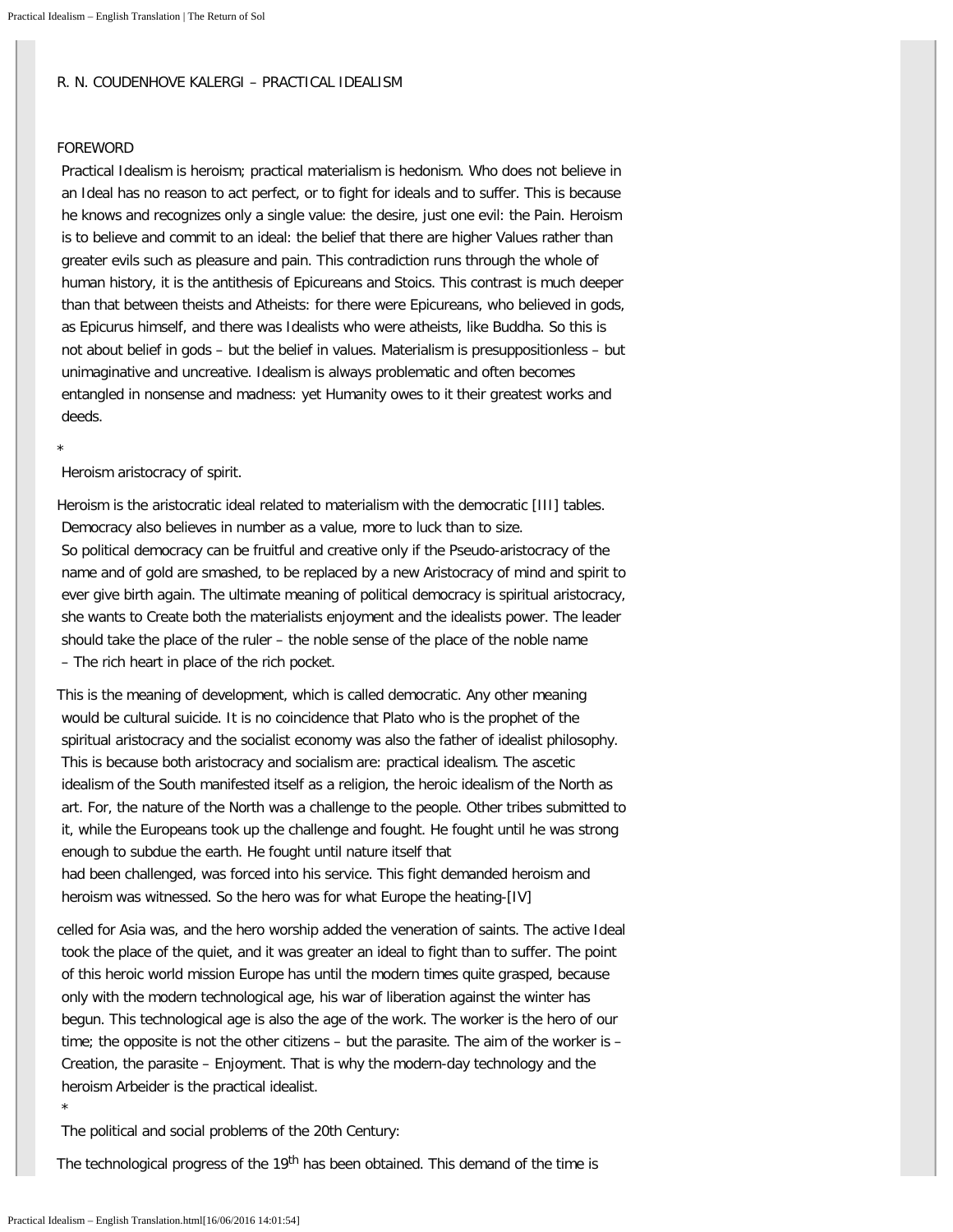# R. N. COUDENHOVE KALERGI – PRACTICAL IDEALISM

# FOREWORD

Practical Idealism is heroism; practical materialism is hedonism. Who does not believe in an Ideal has no reason to act perfect, or to fight for ideals and to suffer. This is because he knows and recognizes only a single value: the desire, just one evil: the Pain. Heroism is to believe and commit to an ideal: the belief that there are higher Values rather than greater evils such as pleasure and pain. This contradiction runs through the whole of human history, it is the antithesis of Epicureans and Stoics. This contrast is much deeper than that between theists and Atheists: for there were Epicureans, who believed in gods, as Epicurus himself, and there was Idealists who were atheists, like Buddha. So this is not about belief in gods – but the belief in values. Materialism is presuppositionless – but unimaginative and uncreative. Idealism is always problematic and often becomes entangled in nonsense and madness: yet Humanity owes to it their greatest works and deeds.

Heroism aristocracy of spirit.

\*

Heroism is the aristocratic ideal related to materialism with the democratic [III] tables. Democracy also believes in number as a value, more to luck than to size. So political democracy can be fruitful and creative only if the Pseudo-aristocracy of the name and of gold are smashed, to be replaced by a new Aristocracy of mind and spirit to ever give birth again. The ultimate meaning of political democracy is spiritual aristocracy, she wants to Create both the materialists enjoyment and the idealists power. The leader should take the place of the ruler – the noble sense of the place of the noble name – The rich heart in place of the rich pocket.

This is the meaning of development, which is called democratic. Any other meaning would be cultural suicide. It is no coincidence that Plato who is the prophet of the spiritual aristocracy and the socialist economy was also the father of idealist philosophy. This is because both aristocracy and socialism are: practical idealism. The ascetic idealism of the South manifested itself as a religion, the heroic idealism of the North as art. For, the nature of the North was a challenge to the people. Other tribes submitted to it, while the Europeans took up the challenge and fought. He fought until he was strong enough to subdue the earth. He fought until nature itself that had been challenged, was forced into his service. This fight demanded heroism and heroism was witnessed. So the hero was for what Europe the heating-[IV]

celled for Asia was, and the hero worship added the veneration of saints. The active Ideal took the place of the quiet, and it was greater an ideal to fight than to suffer. The point of this heroic world mission Europe has until the modern times quite grasped, because only with the modern technological age, his war of liberation against the winter has begun. This technological age is also the age of the work. The worker is the hero of our time; the opposite is not the other citizens – but the parasite. The aim of the worker is – Creation, the parasite – Enjoyment. That is why the modern-day technology and the heroism Arbeider is the practical idealist.

The political and social problems of the 20th Century:

The technological progress of the 19<sup>th</sup> has been obtained. This demand of the time is

\*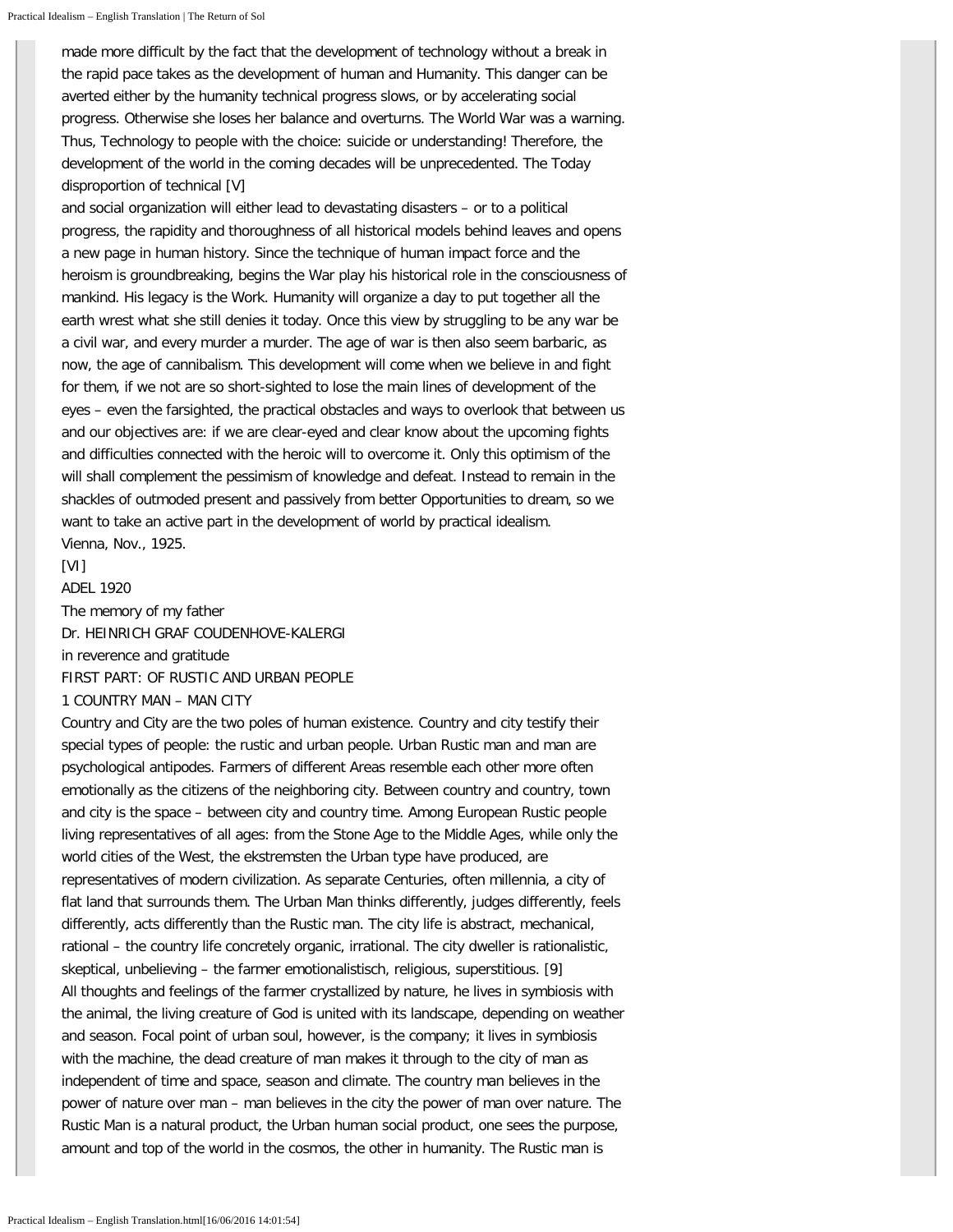made more difficult by the fact that the development of technology without a break in the rapid pace takes as the development of human and Humanity. This danger can be averted either by the humanity technical progress slows, or by accelerating social progress. Otherwise she loses her balance and overturns. The World War was a warning. Thus, Technology to people with the choice: suicide or understanding! Therefore, the development of the world in the coming decades will be unprecedented. The Today disproportion of technical [V]

and social organization will either lead to devastating disasters – or to a political progress, the rapidity and thoroughness of all historical models behind leaves and opens a new page in human history. Since the technique of human impact force and the heroism is groundbreaking, begins the War play his historical role in the consciousness of mankind. His legacy is the Work. Humanity will organize a day to put together all the earth wrest what she still denies it today. Once this view by struggling to be any war be a civil war, and every murder a murder. The age of war is then also seem barbaric, as now, the age of cannibalism. This development will come when we believe in and fight for them, if we not are so short-sighted to lose the main lines of development of the eyes – even the farsighted, the practical obstacles and ways to overlook that between us and our objectives are: if we are clear-eyed and clear know about the upcoming fights and difficulties connected with the heroic will to overcome it. Only this optimism of the will shall complement the pessimism of knowledge and defeat. Instead to remain in the shackles of outmoded present and passively from better Opportunities to dream, so we want to take an active part in the development of world by practical idealism. Vienna, Nov., 1925.

[VI]

ADEL 1920

The memory of my father Dr. HEINRICH GRAF COUDENHOVE-KALERGI in reverence and gratitude FIRST PART: OF RUSTIC AND URBAN PEOPLE 1 COUNTRY MAN – MAN CITY

Country and City are the two poles of human existence. Country and city testify their special types of people: the rustic and urban people. Urban Rustic man and man are psychological antipodes. Farmers of different Areas resemble each other more often emotionally as the citizens of the neighboring city. Between country and country, town and city is the space – between city and country time. Among European Rustic people living representatives of all ages: from the Stone Age to the Middle Ages, while only the world cities of the West, the ekstremsten the Urban type have produced, are representatives of modern civilization. As separate Centuries, often millennia, a city of flat land that surrounds them. The Urban Man thinks differently, judges differently, feels differently, acts differently than the Rustic man. The city life is abstract, mechanical, rational – the country life concretely organic, irrational. The city dweller is rationalistic, skeptical, unbelieving – the farmer emotionalistisch, religious, superstitious. [9] All thoughts and feelings of the farmer crystallized by nature, he lives in symbiosis with the animal, the living creature of God is united with its landscape, depending on weather and season. Focal point of urban soul, however, is the company; it lives in symbiosis with the machine, the dead creature of man makes it through to the city of man as independent of time and space, season and climate. The country man believes in the power of nature over man – man believes in the city the power of man over nature. The Rustic Man is a natural product, the Urban human social product, one sees the purpose, amount and top of the world in the cosmos, the other in humanity. The Rustic man is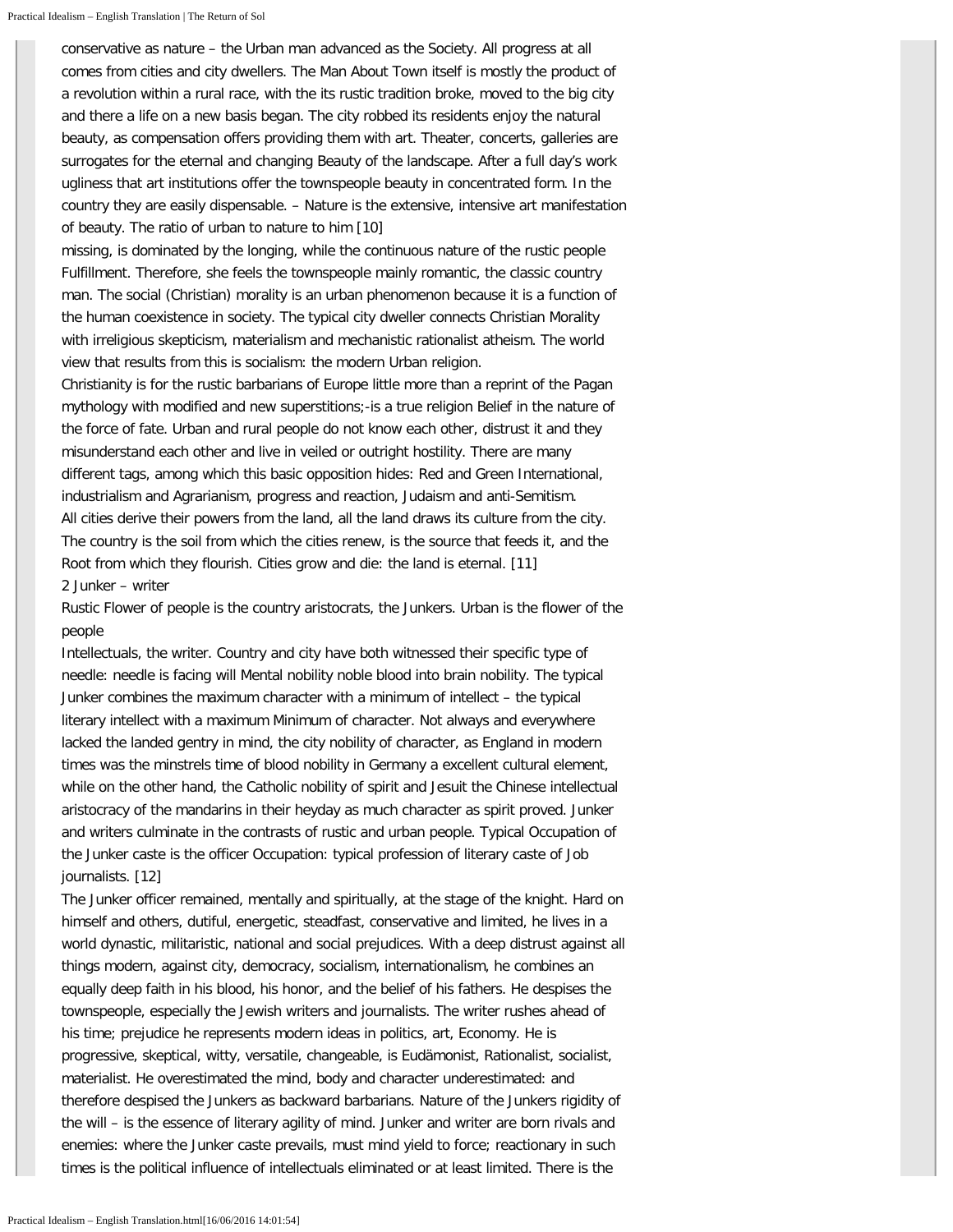conservative as nature – the Urban man advanced as the Society. All progress at all comes from cities and city dwellers. The Man About Town itself is mostly the product of a revolution within a rural race, with the its rustic tradition broke, moved to the big city and there a life on a new basis began. The city robbed its residents enjoy the natural beauty, as compensation offers providing them with art. Theater, concerts, galleries are surrogates for the eternal and changing Beauty of the landscape. After a full day's work ugliness that art institutions offer the townspeople beauty in concentrated form. In the country they are easily dispensable. – Nature is the extensive, intensive art manifestation of beauty. The ratio of urban to nature to him [10]

missing, is dominated by the longing, while the continuous nature of the rustic people Fulfillment. Therefore, she feels the townspeople mainly romantic, the classic country man. The social (Christian) morality is an urban phenomenon because it is a function of the human coexistence in society. The typical city dweller connects Christian Morality with irreligious skepticism, materialism and mechanistic rationalist atheism. The world view that results from this is socialism: the modern Urban religion.

Christianity is for the rustic barbarians of Europe little more than a reprint of the Pagan mythology with modified and new superstitions;-is a true religion Belief in the nature of the force of fate. Urban and rural people do not know each other, distrust it and they misunderstand each other and live in veiled or outright hostility. There are many different tags, among which this basic opposition hides: Red and Green International, industrialism and Agrarianism, progress and reaction, Judaism and anti-Semitism. All cities derive their powers from the land, all the land draws its culture from the city. The country is the soil from which the cities renew, is the source that feeds it, and the Root from which they flourish. Cities grow and die: the land is eternal. [11] 2 Junker – writer

Rustic Flower of people is the country aristocrats, the Junkers. Urban is the flower of the people

Intellectuals, the writer. Country and city have both witnessed their specific type of needle: needle is facing will Mental nobility noble blood into brain nobility. The typical Junker combines the maximum character with a minimum of intellect – the typical literary intellect with a maximum Minimum of character. Not always and everywhere lacked the landed gentry in mind, the city nobility of character, as England in modern times was the minstrels time of blood nobility in Germany a excellent cultural element, while on the other hand, the Catholic nobility of spirit and Jesuit the Chinese intellectual aristocracy of the mandarins in their heyday as much character as spirit proved. Junker and writers culminate in the contrasts of rustic and urban people. Typical Occupation of the Junker caste is the officer Occupation: typical profession of literary caste of Job journalists. [12]

The Junker officer remained, mentally and spiritually, at the stage of the knight. Hard on himself and others, dutiful, energetic, steadfast, conservative and limited, he lives in a world dynastic, militaristic, national and social prejudices. With a deep distrust against all things modern, against city, democracy, socialism, internationalism, he combines an equally deep faith in his blood, his honor, and the belief of his fathers. He despises the townspeople, especially the Jewish writers and journalists. The writer rushes ahead of his time; prejudice he represents modern ideas in politics, art, Economy. He is progressive, skeptical, witty, versatile, changeable, is Eudämonist, Rationalist, socialist, materialist. He overestimated the mind, body and character underestimated: and therefore despised the Junkers as backward barbarians. Nature of the Junkers rigidity of the will – is the essence of literary agility of mind. Junker and writer are born rivals and enemies: where the Junker caste prevails, must mind yield to force; reactionary in such times is the political influence of intellectuals eliminated or at least limited. There is the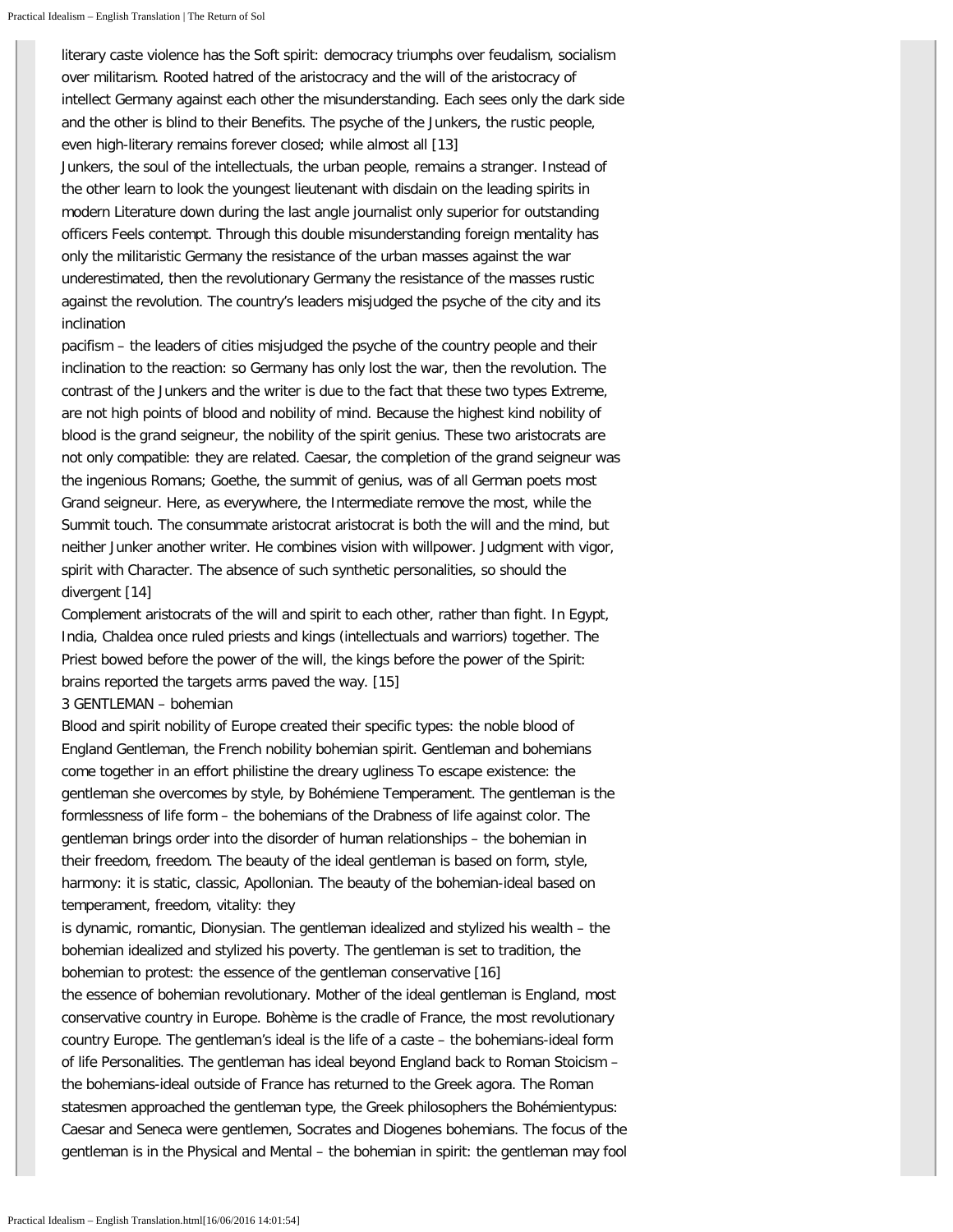literary caste violence has the Soft spirit: democracy triumphs over feudalism, socialism over militarism. Rooted hatred of the aristocracy and the will of the aristocracy of intellect Germany against each other the misunderstanding. Each sees only the dark side and the other is blind to their Benefits. The psyche of the Junkers, the rustic people, even high-literary remains forever closed; while almost all [13]

Junkers, the soul of the intellectuals, the urban people, remains a stranger. Instead of the other learn to look the youngest lieutenant with disdain on the leading spirits in modern Literature down during the last angle journalist only superior for outstanding officers Feels contempt. Through this double misunderstanding foreign mentality has only the militaristic Germany the resistance of the urban masses against the war underestimated, then the revolutionary Germany the resistance of the masses rustic against the revolution. The country's leaders misjudged the psyche of the city and its inclination

pacifism – the leaders of cities misjudged the psyche of the country people and their inclination to the reaction: so Germany has only lost the war, then the revolution. The contrast of the Junkers and the writer is due to the fact that these two types Extreme, are not high points of blood and nobility of mind. Because the highest kind nobility of blood is the grand seigneur, the nobility of the spirit genius. These two aristocrats are not only compatible: they are related. Caesar, the completion of the grand seigneur was the ingenious Romans; Goethe, the summit of genius, was of all German poets most Grand seigneur. Here, as everywhere, the Intermediate remove the most, while the Summit touch. The consummate aristocrat aristocrat is both the will and the mind, but neither Junker another writer. He combines vision with willpower. Judgment with vigor, spirit with Character. The absence of such synthetic personalities, so should the divergent [14]

Complement aristocrats of the will and spirit to each other, rather than fight. In Egypt, India, Chaldea once ruled priests and kings (intellectuals and warriors) together. The Priest bowed before the power of the will, the kings before the power of the Spirit: brains reported the targets arms paved the way. [15]

#### 3 GENTLEMAN – bohemian

Blood and spirit nobility of Europe created their specific types: the noble blood of England Gentleman, the French nobility bohemian spirit. Gentleman and bohemians come together in an effort philistine the dreary ugliness To escape existence: the gentleman she overcomes by style, by Bohémiene Temperament. The gentleman is the formlessness of life form – the bohemians of the Drabness of life against color. The gentleman brings order into the disorder of human relationships – the bohemian in their freedom, freedom. The beauty of the ideal gentleman is based on form, style, harmony: it is static, classic, Apollonian. The beauty of the bohemian-ideal based on temperament, freedom, vitality: they

is dynamic, romantic, Dionysian. The gentleman idealized and stylized his wealth – the bohemian idealized and stylized his poverty. The gentleman is set to tradition, the bohemian to protest: the essence of the gentleman conservative [16] the essence of bohemian revolutionary. Mother of the ideal gentleman is England, most conservative country in Europe. Bohème is the cradle of France, the most revolutionary country Europe. The gentleman's ideal is the life of a caste – the bohemians-ideal form of life Personalities. The gentleman has ideal beyond England back to Roman Stoicism – the bohemians-ideal outside of France has returned to the Greek agora. The Roman statesmen approached the gentleman type, the Greek philosophers the Bohémientypus: Caesar and Seneca were gentlemen, Socrates and Diogenes bohemians. The focus of the gentleman is in the Physical and Mental – the bohemian in spirit: the gentleman may fool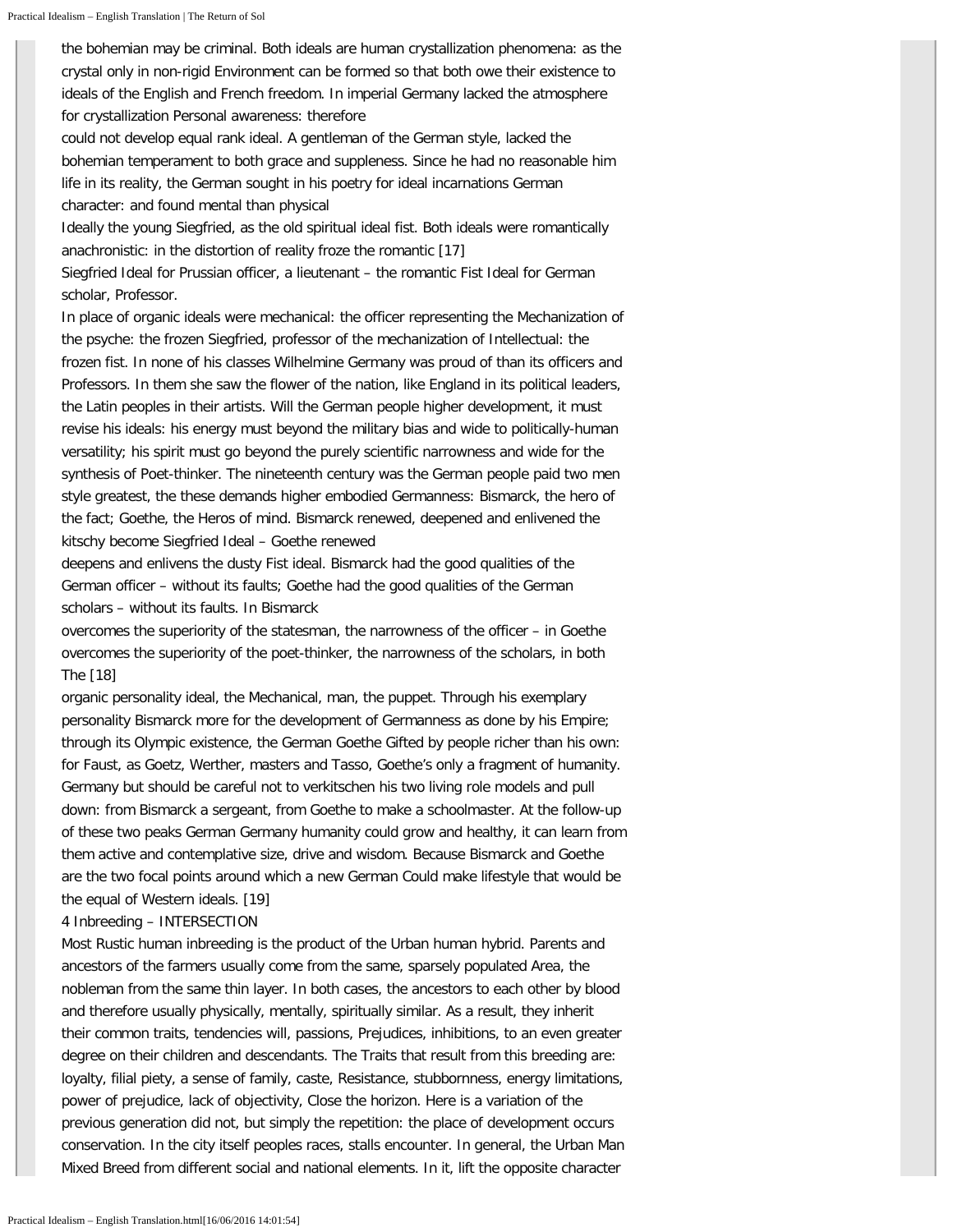the bohemian may be criminal. Both ideals are human crystallization phenomena: as the crystal only in non-rigid Environment can be formed so that both owe their existence to ideals of the English and French freedom. In imperial Germany lacked the atmosphere for crystallization Personal awareness: therefore

could not develop equal rank ideal. A gentleman of the German style, lacked the bohemian temperament to both grace and suppleness. Since he had no reasonable him life in its reality, the German sought in his poetry for ideal incarnations German character: and found mental than physical

Ideally the young Siegfried, as the old spiritual ideal fist. Both ideals were romantically anachronistic: in the distortion of reality froze the romantic [17]

Siegfried Ideal for Prussian officer, a lieutenant – the romantic Fist Ideal for German scholar, Professor.

In place of organic ideals were mechanical: the officer representing the Mechanization of the psyche: the frozen Siegfried, professor of the mechanization of Intellectual: the frozen fist. In none of his classes Wilhelmine Germany was proud of than its officers and Professors. In them she saw the flower of the nation, like England in its political leaders, the Latin peoples in their artists. Will the German people higher development, it must revise his ideals: his energy must beyond the military bias and wide to politically-human versatility; his spirit must go beyond the purely scientific narrowness and wide for the synthesis of Poet-thinker. The nineteenth century was the German people paid two men style greatest, the these demands higher embodied Germanness: Bismarck, the hero of the fact; Goethe, the Heros of mind. Bismarck renewed, deepened and enlivened the kitschy become Siegfried Ideal – Goethe renewed

deepens and enlivens the dusty Fist ideal. Bismarck had the good qualities of the German officer – without its faults; Goethe had the good qualities of the German scholars – without its faults. In Bismarck

overcomes the superiority of the statesman, the narrowness of the officer – in Goethe overcomes the superiority of the poet-thinker, the narrowness of the scholars, in both The [18]

organic personality ideal, the Mechanical, man, the puppet. Through his exemplary personality Bismarck more for the development of Germanness as done by his Empire; through its Olympic existence, the German Goethe Gifted by people richer than his own: for Faust, as Goetz, Werther, masters and Tasso, Goethe's only a fragment of humanity. Germany but should be careful not to verkitschen his two living role models and pull down: from Bismarck a sergeant, from Goethe to make a schoolmaster. At the follow-up of these two peaks German Germany humanity could grow and healthy, it can learn from them active and contemplative size, drive and wisdom. Because Bismarck and Goethe are the two focal points around which a new German Could make lifestyle that would be the equal of Western ideals. [19]

#### 4 Inbreeding – INTERSECTION

Most Rustic human inbreeding is the product of the Urban human hybrid. Parents and ancestors of the farmers usually come from the same, sparsely populated Area, the nobleman from the same thin layer. In both cases, the ancestors to each other by blood and therefore usually physically, mentally, spiritually similar. As a result, they inherit their common traits, tendencies will, passions, Prejudices, inhibitions, to an even greater degree on their children and descendants. The Traits that result from this breeding are: loyalty, filial piety, a sense of family, caste, Resistance, stubbornness, energy limitations, power of prejudice, lack of objectivity, Close the horizon. Here is a variation of the previous generation did not, but simply the repetition: the place of development occurs conservation. In the city itself peoples races, stalls encounter. In general, the Urban Man Mixed Breed from different social and national elements. In it, lift the opposite character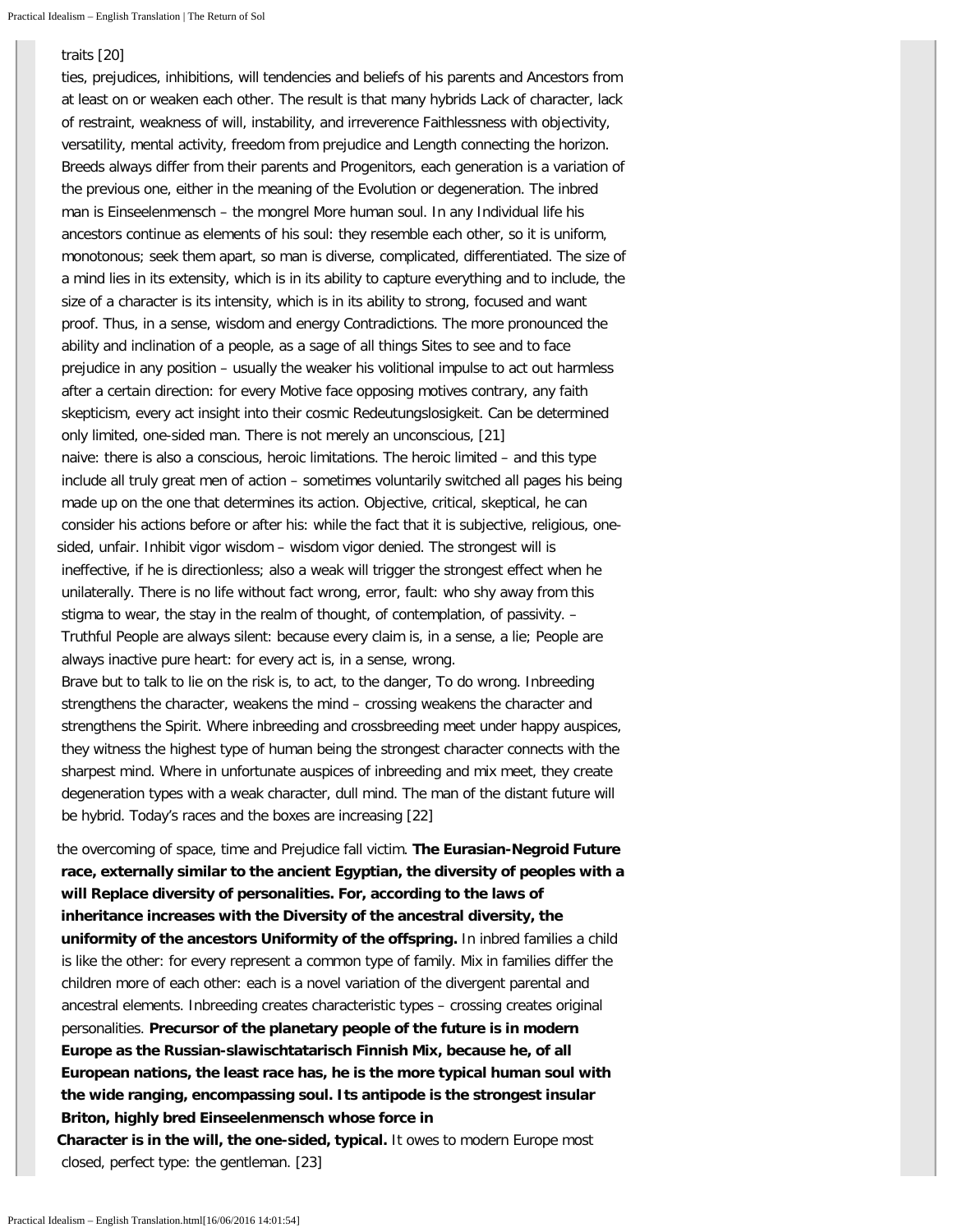# traits [20]

ties, prejudices, inhibitions, will tendencies and beliefs of his parents and Ancestors from at least on or weaken each other. The result is that many hybrids Lack of character, lack of restraint, weakness of will, instability, and irreverence Faithlessness with objectivity, versatility, mental activity, freedom from prejudice and Length connecting the horizon. Breeds always differ from their parents and Progenitors, each generation is a variation of the previous one, either in the meaning of the Evolution or degeneration. The inbred man is Einseelenmensch – the mongrel More human soul. In any Individual life his ancestors continue as elements of his soul: they resemble each other, so it is uniform, monotonous; seek them apart, so man is diverse, complicated, differentiated. The size of a mind lies in its extensity, which is in its ability to capture everything and to include, the size of a character is its intensity, which is in its ability to strong, focused and want proof. Thus, in a sense, wisdom and energy Contradictions. The more pronounced the ability and inclination of a people, as a sage of all things Sites to see and to face prejudice in any position – usually the weaker his volitional impulse to act out harmless after a certain direction: for every Motive face opposing motives contrary, any faith skepticism, every act insight into their cosmic Redeutungslosigkeit. Can be determined only limited, one-sided man. There is not merely an unconscious, [21] naive: there is also a conscious, heroic limitations. The heroic limited – and this type include all truly great men of action – sometimes voluntarily switched all pages his being made up on the one that determines its action. Objective, critical, skeptical, he can consider his actions before or after his: while the fact that it is subjective, religious, onesided, unfair. Inhibit vigor wisdom – wisdom vigor denied. The strongest will is ineffective, if he is directionless; also a weak will trigger the strongest effect when he unilaterally. There is no life without fact wrong, error, fault: who shy away from this stigma to wear, the stay in the realm of thought, of contemplation, of passivity. – Truthful People are always silent: because every claim is, in a sense, a lie; People are always inactive pure heart: for every act is, in a sense, wrong. Brave but to talk to lie on the risk is, to act, to the danger, To do wrong. Inbreeding

 strengthens the character, weakens the mind – crossing weakens the character and strengthens the Spirit. Where inbreeding and crossbreeding meet under happy auspices, they witness the highest type of human being the strongest character connects with the sharpest mind. Where in unfortunate auspices of inbreeding and mix meet, they create degeneration types with a weak character, dull mind. The man of the distant future will be hybrid. Today's races and the boxes are increasing [22]

the overcoming of space, time and Prejudice fall victim. **The Eurasian-Negroid Future race, externally similar to the ancient Egyptian, the diversity of peoples with a will Replace diversity of personalities. For, according to the laws of inheritance increases with the Diversity of the ancestral diversity, the uniformity of the ancestors Uniformity of the offspring.** In inbred families a child is like the other: for every represent a common type of family. Mix in families differ the children more of each other: each is a novel variation of the divergent parental and ancestral elements. Inbreeding creates characteristic types – crossing creates original personalities. **Precursor of the planetary people of the future is in modern Europe as the Russian-slawischtatarisch Finnish Mix, because he, of all European nations, the least race has, he is the more typical human soul with the wide ranging, encompassing soul. Its antipode is the strongest insular Briton, highly bred Einseelenmensch whose force in Character is in the will, the one-sided, typical.** It owes to modern Europe most closed, perfect type: the gentleman. [23]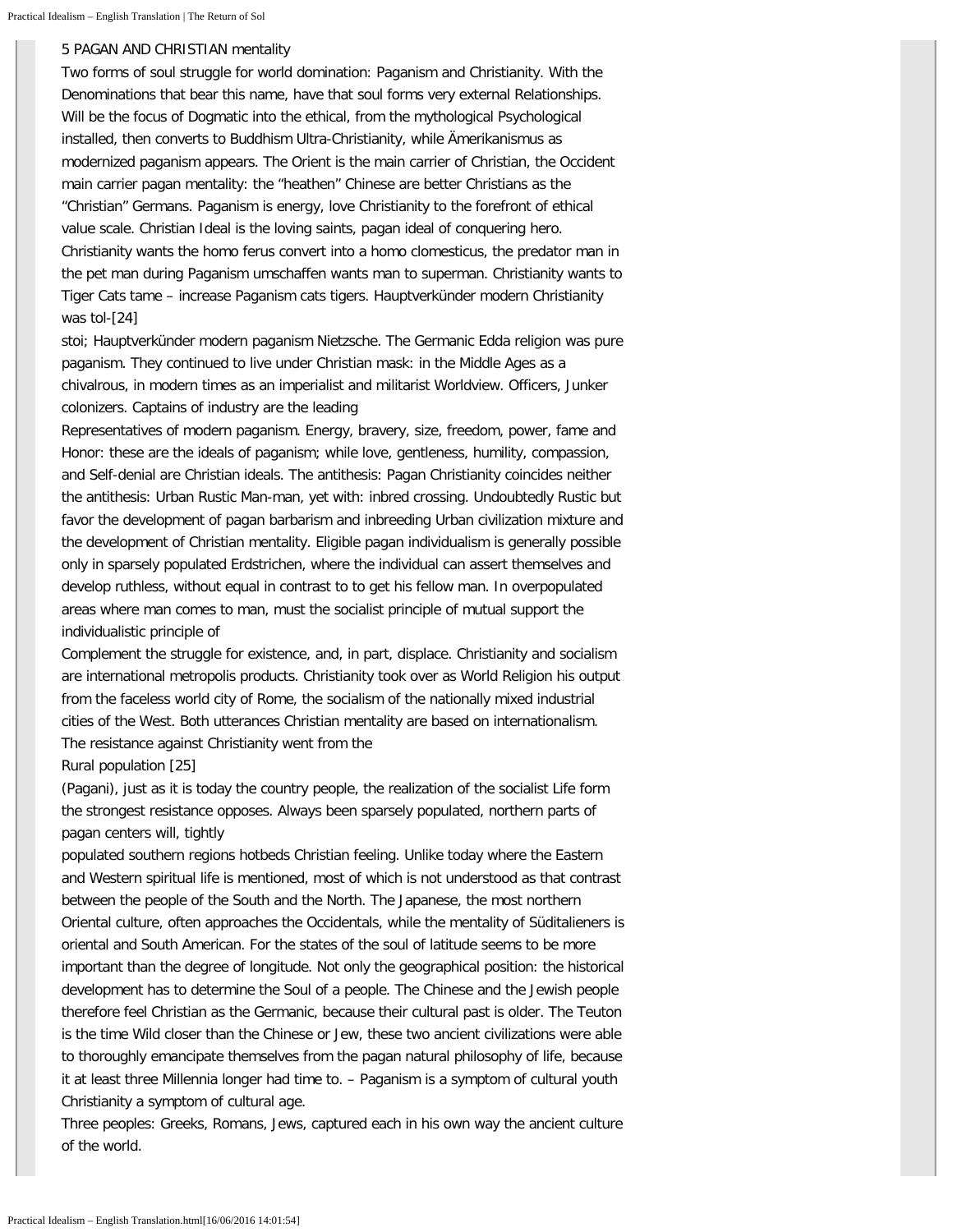# 5 PAGAN AND CHRISTIAN mentality

Two forms of soul struggle for world domination: Paganism and Christianity. With the Denominations that bear this name, have that soul forms very external Relationships. Will be the focus of Dogmatic into the ethical, from the mythological Psychological installed, then converts to Buddhism Ultra-Christianity, while Ämerikanismus as modernized paganism appears. The Orient is the main carrier of Christian, the Occident main carrier pagan mentality: the "heathen" Chinese are better Christians as the "Christian" Germans. Paganism is energy, love Christianity to the forefront of ethical value scale. Christian Ideal is the loving saints, pagan ideal of conquering hero. Christianity wants the homo ferus convert into a homo clomesticus, the predator man in the pet man during Paganism umschaffen wants man to superman. Christianity wants to Tiger Cats tame – increase Paganism cats tigers. Hauptverkünder modern Christianity was tol-[24]

stoi; Hauptverkünder modern paganism Nietzsche. The Germanic Edda religion was pure paganism. They continued to live under Christian mask: in the Middle Ages as a chivalrous, in modern times as an imperialist and militarist Worldview. Officers, Junker colonizers. Captains of industry are the leading

Representatives of modern paganism. Energy, bravery, size, freedom, power, fame and Honor: these are the ideals of paganism; while love, gentleness, humility, compassion, and Self-denial are Christian ideals. The antithesis: Pagan Christianity coincides neither the antithesis: Urban Rustic Man-man, yet with: inbred crossing. Undoubtedly Rustic but favor the development of pagan barbarism and inbreeding Urban civilization mixture and the development of Christian mentality. Eligible pagan individualism is generally possible only in sparsely populated Erdstrichen, where the individual can assert themselves and develop ruthless, without equal in contrast to to get his fellow man. In overpopulated areas where man comes to man, must the socialist principle of mutual support the individualistic principle of

Complement the struggle for existence, and, in part, displace. Christianity and socialism are international metropolis products. Christianity took over as World Religion his output from the faceless world city of Rome, the socialism of the nationally mixed industrial cities of the West. Both utterances Christian mentality are based on internationalism. The resistance against Christianity went from the

#### Rural population [25]

(Pagani), just as it is today the country people, the realization of the socialist Life form the strongest resistance opposes. Always been sparsely populated, northern parts of pagan centers will, tightly

populated southern regions hotbeds Christian feeling. Unlike today where the Eastern and Western spiritual life is mentioned, most of which is not understood as that contrast between the people of the South and the North. The Japanese, the most northern Oriental culture, often approaches the Occidentals, while the mentality of Süditalieners is oriental and South American. For the states of the soul of latitude seems to be more important than the degree of longitude. Not only the geographical position: the historical development has to determine the Soul of a people. The Chinese and the Jewish people therefore feel Christian as the Germanic, because their cultural past is older. The Teuton is the time Wild closer than the Chinese or Jew, these two ancient civilizations were able to thoroughly emancipate themselves from the pagan natural philosophy of life, because it at least three Millennia longer had time to. – Paganism is a symptom of cultural youth Christianity a symptom of cultural age.

Three peoples: Greeks, Romans, Jews, captured each in his own way the ancient culture of the world.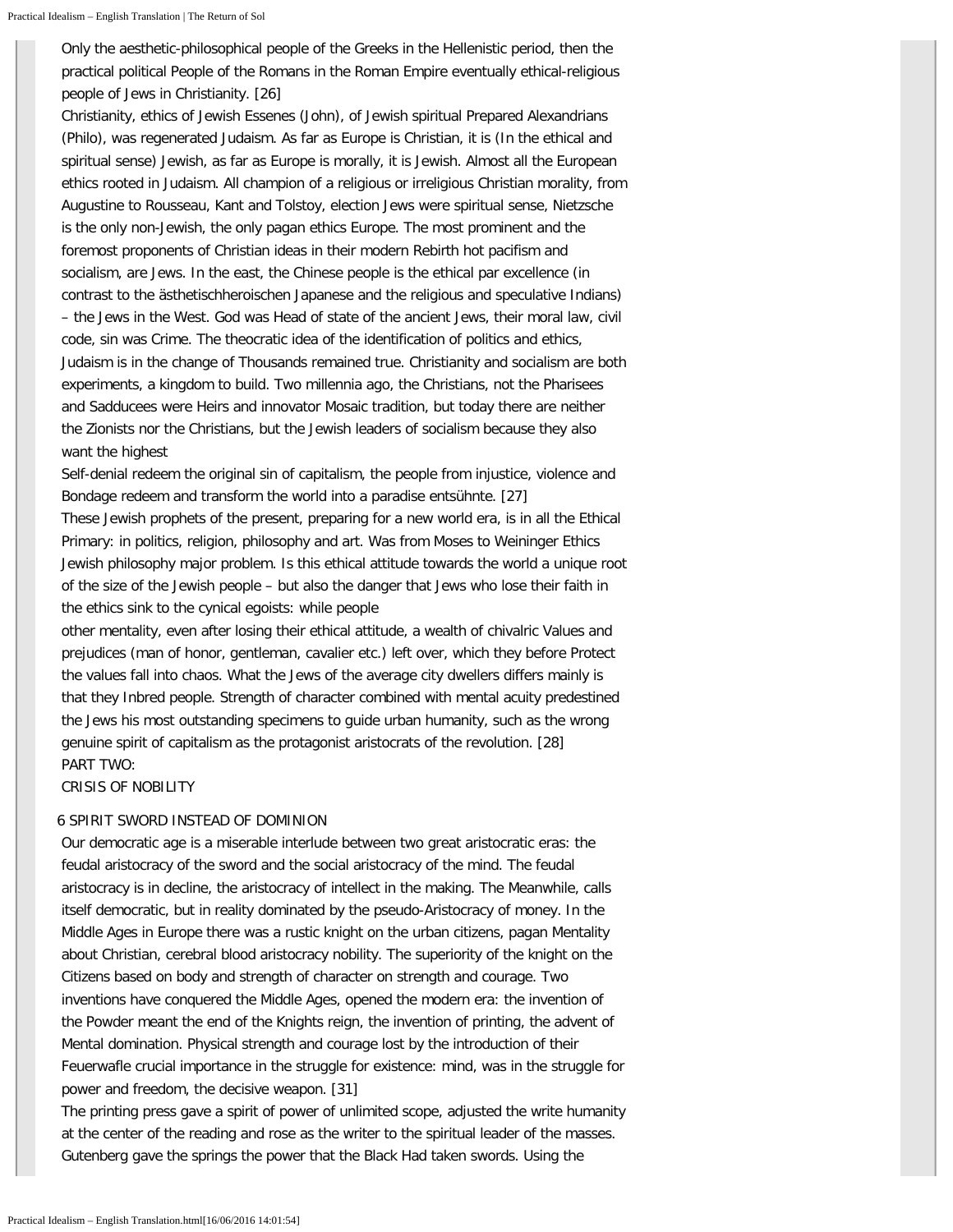Only the aesthetic-philosophical people of the Greeks in the Hellenistic period, then the practical political People of the Romans in the Roman Empire eventually ethical-religious people of Jews in Christianity. [26]

Christianity, ethics of Jewish Essenes (John), of Jewish spiritual Prepared Alexandrians (Philo), was regenerated Judaism. As far as Europe is Christian, it is (In the ethical and spiritual sense) Jewish, as far as Europe is morally, it is Jewish. Almost all the European ethics rooted in Judaism. All champion of a religious or irreligious Christian morality, from Augustine to Rousseau, Kant and Tolstoy, election Jews were spiritual sense, Nietzsche is the only non-Jewish, the only pagan ethics Europe. The most prominent and the foremost proponents of Christian ideas in their modern Rebirth hot pacifism and socialism, are Jews. In the east, the Chinese people is the ethical par excellence (in contrast to the ästhetischheroischen Japanese and the religious and speculative Indians) – the Jews in the West. God was Head of state of the ancient Jews, their moral law, civil code, sin was Crime. The theocratic idea of the identification of politics and ethics, Judaism is in the change of Thousands remained true. Christianity and socialism are both experiments, a kingdom to build. Two millennia ago, the Christians, not the Pharisees and Sadducees were Heirs and innovator Mosaic tradition, but today there are neither the Zionists nor the Christians, but the Jewish leaders of socialism because they also want the highest

Self-denial redeem the original sin of capitalism, the people from injustice, violence and Bondage redeem and transform the world into a paradise entsühnte. [27] These Jewish prophets of the present, preparing for a new world era, is in all the Ethical Primary: in politics, religion, philosophy and art. Was from Moses to Weininger Ethics Jewish philosophy major problem. Is this ethical attitude towards the world a unique root of the size of the Jewish people – but also the danger that Jews who lose their faith in the ethics sink to the cynical egoists: while people

other mentality, even after losing their ethical attitude, a wealth of chivalric Values and prejudices (man of honor, gentleman, cavalier etc.) left over, which they before Protect the values fall into chaos. What the Jews of the average city dwellers differs mainly is that they Inbred people. Strength of character combined with mental acuity predestined the Jews his most outstanding specimens to guide urban humanity, such as the wrong genuine spirit of capitalism as the protagonist aristocrats of the revolution. [28] PART TWO:

CRISIS OF NOBILITY

# 6 SPIRIT SWORD INSTEAD OF DOMINION

Our democratic age is a miserable interlude between two great aristocratic eras: the feudal aristocracy of the sword and the social aristocracy of the mind. The feudal aristocracy is in decline, the aristocracy of intellect in the making. The Meanwhile, calls itself democratic, but in reality dominated by the pseudo-Aristocracy of money. In the Middle Ages in Europe there was a rustic knight on the urban citizens, pagan Mentality about Christian, cerebral blood aristocracy nobility. The superiority of the knight on the Citizens based on body and strength of character on strength and courage. Two inventions have conquered the Middle Ages, opened the modern era: the invention of the Powder meant the end of the Knights reign, the invention of printing, the advent of Mental domination. Physical strength and courage lost by the introduction of their Feuerwafle crucial importance in the struggle for existence: mind, was in the struggle for power and freedom, the decisive weapon. [31]

The printing press gave a spirit of power of unlimited scope, adjusted the write humanity at the center of the reading and rose as the writer to the spiritual leader of the masses. Gutenberg gave the springs the power that the Black Had taken swords. Using the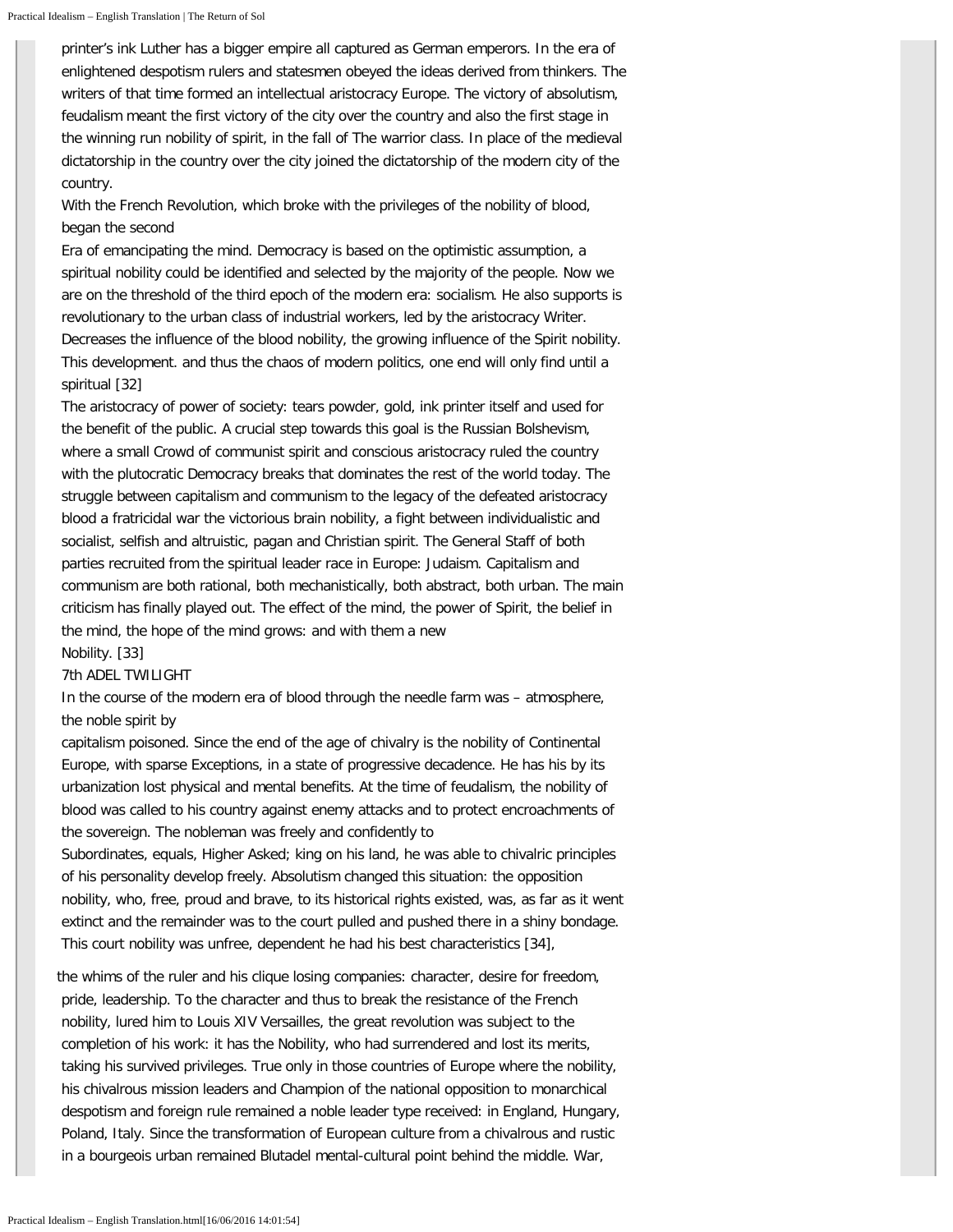printer's ink Luther has a bigger empire all captured as German emperors. In the era of enlightened despotism rulers and statesmen obeyed the ideas derived from thinkers. The writers of that time formed an intellectual aristocracy Europe. The victory of absolutism, feudalism meant the first victory of the city over the country and also the first stage in the winning run nobility of spirit, in the fall of The warrior class. In place of the medieval dictatorship in the country over the city joined the dictatorship of the modern city of the country.

With the French Revolution, which broke with the privileges of the nobility of blood, began the second

Era of emancipating the mind. Democracy is based on the optimistic assumption, a spiritual nobility could be identified and selected by the majority of the people. Now we are on the threshold of the third epoch of the modern era: socialism. He also supports is revolutionary to the urban class of industrial workers, led by the aristocracy Writer. Decreases the influence of the blood nobility, the growing influence of the Spirit nobility. This development. and thus the chaos of modern politics, one end will only find until a spiritual [32]

The aristocracy of power of society: tears powder, gold, ink printer itself and used for the benefit of the public. A crucial step towards this goal is the Russian Bolshevism, where a small Crowd of communist spirit and conscious aristocracy ruled the country with the plutocratic Democracy breaks that dominates the rest of the world today. The struggle between capitalism and communism to the legacy of the defeated aristocracy blood a fratricidal war the victorious brain nobility, a fight between individualistic and socialist, selfish and altruistic, pagan and Christian spirit. The General Staff of both parties recruited from the spiritual leader race in Europe: Judaism. Capitalism and communism are both rational, both mechanistically, both abstract, both urban. The main criticism has finally played out. The effect of the mind, the power of Spirit, the belief in the mind, the hope of the mind grows: and with them a new

# Nobility. [33]

## 7th ADEL TWILIGHT

In the course of the modern era of blood through the needle farm was – atmosphere, the noble spirit by

capitalism poisoned. Since the end of the age of chivalry is the nobility of Continental Europe, with sparse Exceptions, in a state of progressive decadence. He has his by its urbanization lost physical and mental benefits. At the time of feudalism, the nobility of blood was called to his country against enemy attacks and to protect encroachments of the sovereign. The nobleman was freely and confidently to

Subordinates, equals, Higher Asked; king on his land, he was able to chivalric principles of his personality develop freely. Absolutism changed this situation: the opposition nobility, who, free, proud and brave, to its historical rights existed, was, as far as it went extinct and the remainder was to the court pulled and pushed there in a shiny bondage. This court nobility was unfree, dependent he had his best characteristics [34],

the whims of the ruler and his clique losing companies: character, desire for freedom, pride, leadership. To the character and thus to break the resistance of the French nobility, lured him to Louis XIV Versailles, the great revolution was subject to the completion of his work: it has the Nobility, who had surrendered and lost its merits, taking his survived privileges. True only in those countries of Europe where the nobility, his chivalrous mission leaders and Champion of the national opposition to monarchical despotism and foreign rule remained a noble leader type received: in England, Hungary, Poland, Italy. Since the transformation of European culture from a chivalrous and rustic in a bourgeois urban remained Blutadel mental-cultural point behind the middle. War,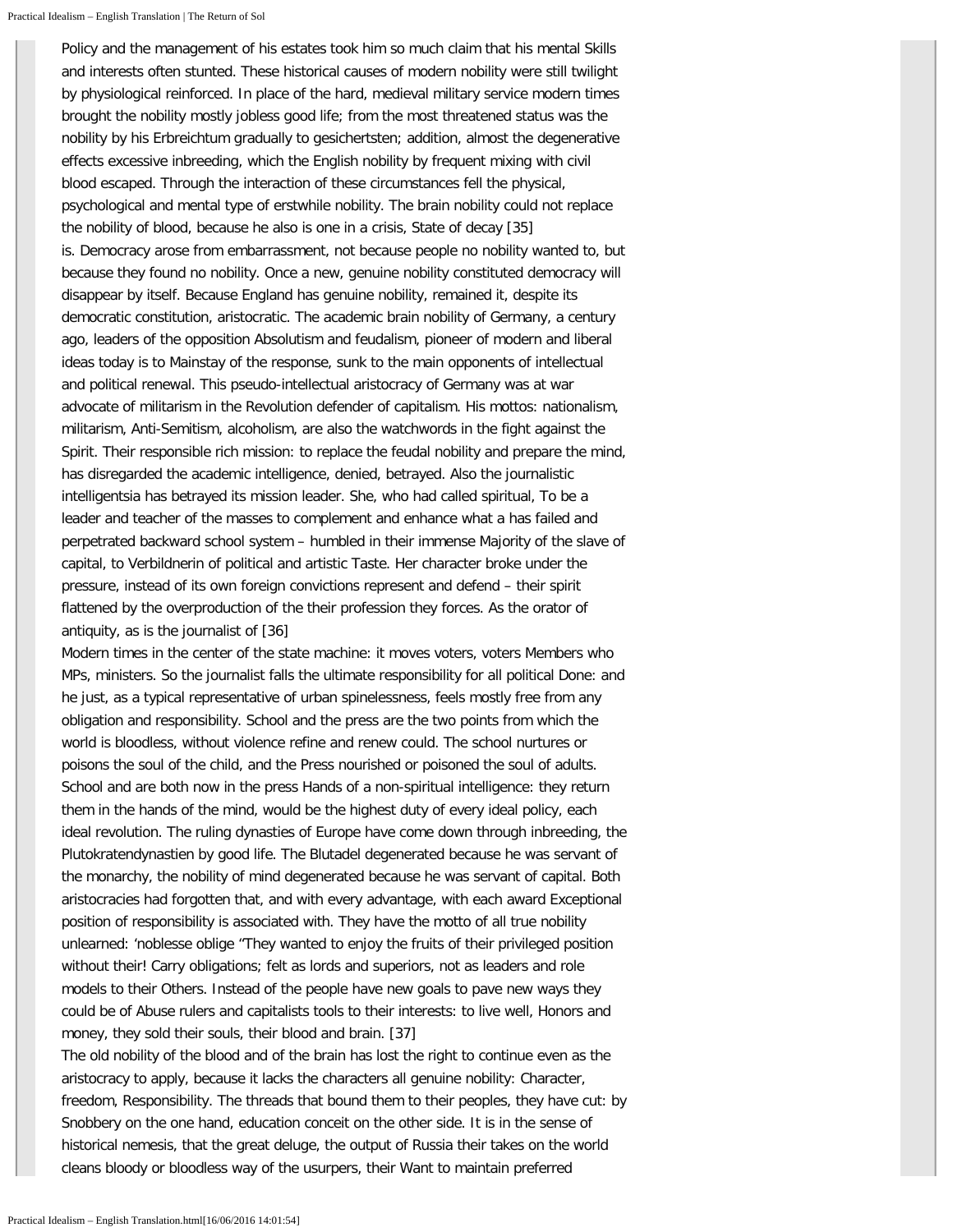Policy and the management of his estates took him so much claim that his mental Skills and interests often stunted. These historical causes of modern nobility were still twilight by physiological reinforced. In place of the hard, medieval military service modern times brought the nobility mostly jobless good life; from the most threatened status was the nobility by his Erbreichtum gradually to gesichertsten; addition, almost the degenerative effects excessive inbreeding, which the English nobility by frequent mixing with civil blood escaped. Through the interaction of these circumstances fell the physical, psychological and mental type of erstwhile nobility. The brain nobility could not replace the nobility of blood, because he also is one in a crisis, State of decay [35] is. Democracy arose from embarrassment, not because people no nobility wanted to, but because they found no nobility. Once a new, genuine nobility constituted democracy will disappear by itself. Because England has genuine nobility, remained it, despite its democratic constitution, aristocratic. The academic brain nobility of Germany, a century ago, leaders of the opposition Absolutism and feudalism, pioneer of modern and liberal ideas today is to Mainstay of the response, sunk to the main opponents of intellectual and political renewal. This pseudo-intellectual aristocracy of Germany was at war advocate of militarism in the Revolution defender of capitalism. His mottos: nationalism, militarism, Anti-Semitism, alcoholism, are also the watchwords in the fight against the Spirit. Their responsible rich mission: to replace the feudal nobility and prepare the mind, has disregarded the academic intelligence, denied, betrayed. Also the journalistic intelligentsia has betrayed its mission leader. She, who had called spiritual, To be a leader and teacher of the masses to complement and enhance what a has failed and perpetrated backward school system – humbled in their immense Majority of the slave of capital, to Verbildnerin of political and artistic Taste. Her character broke under the pressure, instead of its own foreign convictions represent and defend – their spirit flattened by the overproduction of the their profession they forces. As the orator of antiquity, as is the journalist of [36]

Modern times in the center of the state machine: it moves voters, voters Members who MPs, ministers. So the journalist falls the ultimate responsibility for all political Done: and he just, as a typical representative of urban spinelessness, feels mostly free from any obligation and responsibility. School and the press are the two points from which the world is bloodless, without violence refine and renew could. The school nurtures or poisons the soul of the child, and the Press nourished or poisoned the soul of adults. School and are both now in the press Hands of a non-spiritual intelligence: they return them in the hands of the mind, would be the highest duty of every ideal policy, each ideal revolution. The ruling dynasties of Europe have come down through inbreeding, the Plutokratendynastien by good life. The Blutadel degenerated because he was servant of the monarchy, the nobility of mind degenerated because he was servant of capital. Both aristocracies had forgotten that, and with every advantage, with each award Exceptional position of responsibility is associated with. They have the motto of all true nobility unlearned: 'noblesse oblige "They wanted to enjoy the fruits of their privileged position without their! Carry obligations; felt as lords and superiors, not as leaders and role models to their Others. Instead of the people have new goals to pave new ways they could be of Abuse rulers and capitalists tools to their interests: to live well, Honors and money, they sold their souls, their blood and brain. [37]

The old nobility of the blood and of the brain has lost the right to continue even as the aristocracy to apply, because it lacks the characters all genuine nobility: Character, freedom, Responsibility. The threads that bound them to their peoples, they have cut: by Snobbery on the one hand, education conceit on the other side. It is in the sense of historical nemesis, that the great deluge, the output of Russia their takes on the world cleans bloody or bloodless way of the usurpers, their Want to maintain preferred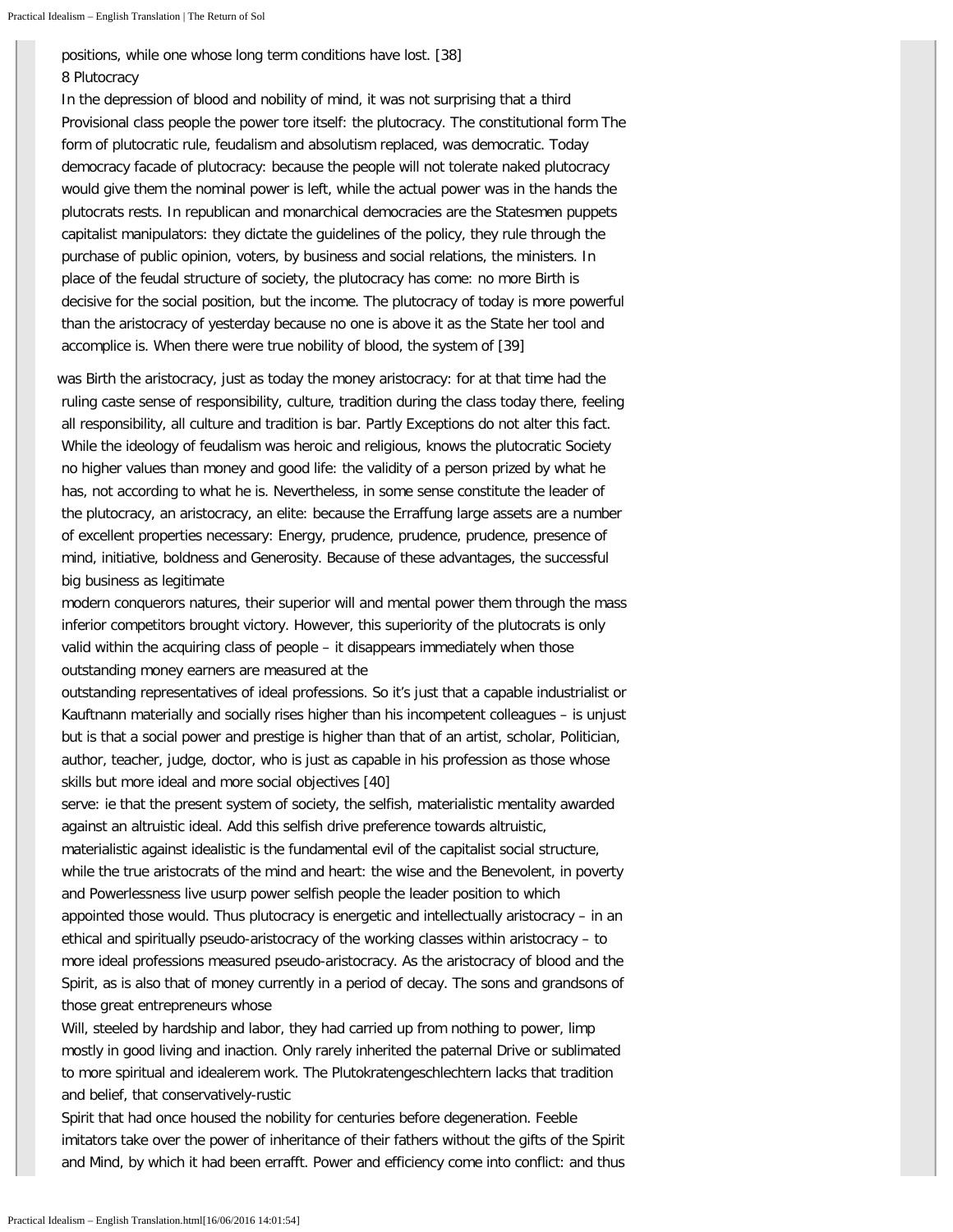positions, while one whose long term conditions have lost. [38] 8 Plutocracy

In the depression of blood and nobility of mind, it was not surprising that a third Provisional class people the power tore itself: the plutocracy. The constitutional form The form of plutocratic rule, feudalism and absolutism replaced, was democratic. Today democracy facade of plutocracy: because the people will not tolerate naked plutocracy would give them the nominal power is left, while the actual power was in the hands the plutocrats rests. In republican and monarchical democracies are the Statesmen puppets capitalist manipulators: they dictate the guidelines of the policy, they rule through the purchase of public opinion, voters, by business and social relations, the ministers. In place of the feudal structure of society, the plutocracy has come: no more Birth is decisive for the social position, but the income. The plutocracy of today is more powerful than the aristocracy of yesterday because no one is above it as the State her tool and accomplice is. When there were true nobility of blood, the system of [39]

was Birth the aristocracy, just as today the money aristocracy: for at that time had the ruling caste sense of responsibility, culture, tradition during the class today there, feeling all responsibility, all culture and tradition is bar. Partly Exceptions do not alter this fact. While the ideology of feudalism was heroic and religious, knows the plutocratic Society no higher values than money and good life: the validity of a person prized by what he has, not according to what he is. Nevertheless, in some sense constitute the leader of the plutocracy, an aristocracy, an elite: because the Erraffung large assets are a number of excellent properties necessary: Energy, prudence, prudence, prudence, presence of mind, initiative, boldness and Generosity. Because of these advantages, the successful big business as legitimate

modern conquerors natures, their superior will and mental power them through the mass inferior competitors brought victory. However, this superiority of the plutocrats is only valid within the acquiring class of people – it disappears immediately when those outstanding money earners are measured at the

outstanding representatives of ideal professions. So it's just that a capable industrialist or Kauftnann materially and socially rises higher than his incompetent colleagues – is unjust but is that a social power and prestige is higher than that of an artist, scholar, Politician, author, teacher, judge, doctor, who is just as capable in his profession as those whose skills but more ideal and more social objectives [40]

serve: ie that the present system of society, the selfish, materialistic mentality awarded against an altruistic ideal. Add this selfish drive preference towards altruistic,

 materialistic against idealistic is the fundamental evil of the capitalist social structure, while the true aristocrats of the mind and heart: the wise and the Benevolent, in poverty and Powerlessness live usurp power selfish people the leader position to which appointed those would. Thus plutocracy is energetic and intellectually aristocracy – in an ethical and spiritually pseudo-aristocracy of the working classes within aristocracy – to more ideal professions measured pseudo-aristocracy. As the aristocracy of blood and the Spirit, as is also that of money currently in a period of decay. The sons and grandsons of those great entrepreneurs whose

Will, steeled by hardship and labor, they had carried up from nothing to power, limp mostly in good living and inaction. Only rarely inherited the paternal Drive or sublimated to more spiritual and idealerem work. The Plutokratengeschlechtern lacks that tradition and belief, that conservatively-rustic

Spirit that had once housed the nobility for centuries before degeneration. Feeble imitators take over the power of inheritance of their fathers without the gifts of the Spirit and Mind, by which it had been errafft. Power and efficiency come into conflict: and thus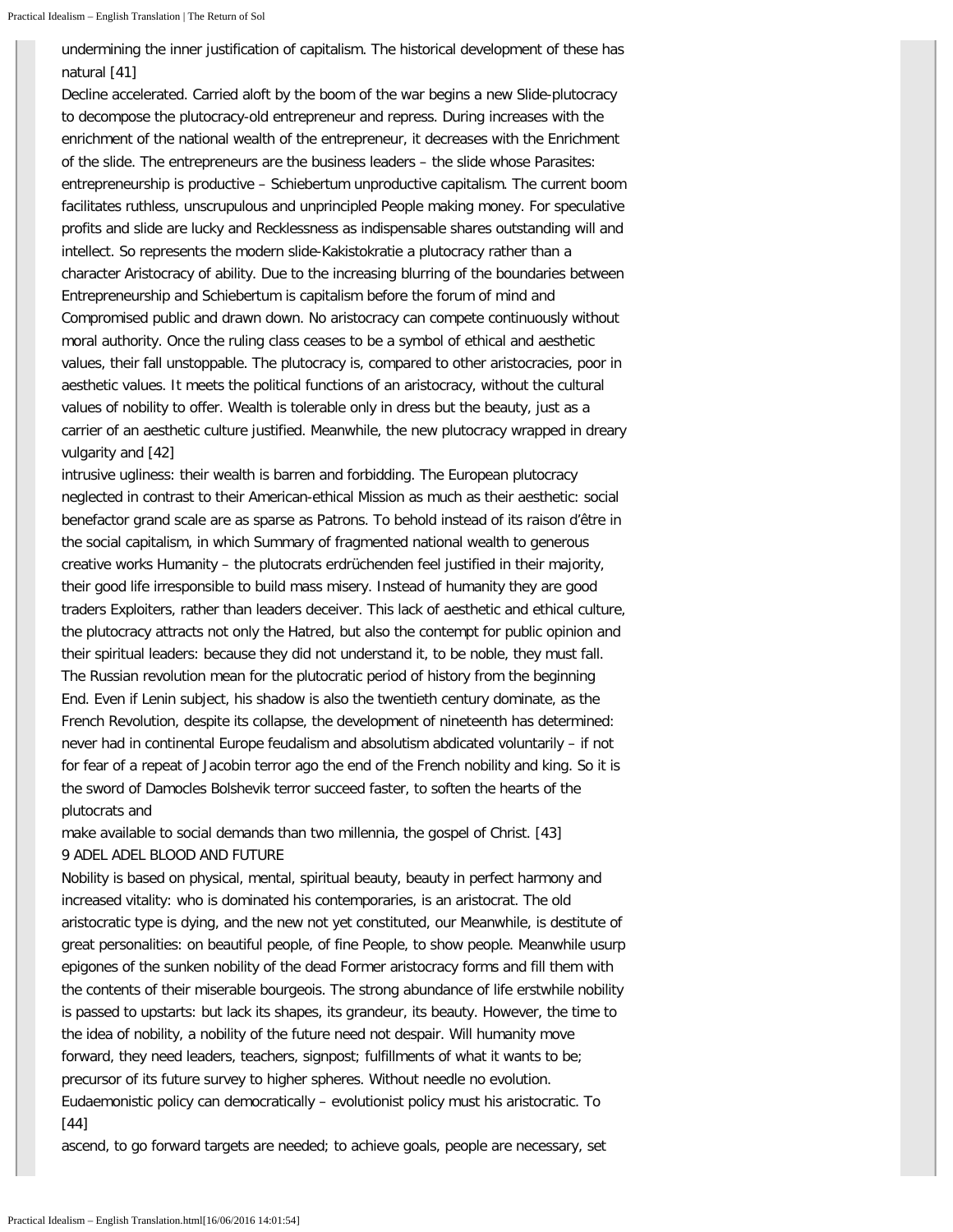undermining the inner justification of capitalism. The historical development of these has natural [41]

Decline accelerated. Carried aloft by the boom of the war begins a new Slide-plutocracy to decompose the plutocracy-old entrepreneur and repress. During increases with the enrichment of the national wealth of the entrepreneur, it decreases with the Enrichment of the slide. The entrepreneurs are the business leaders – the slide whose Parasites: entrepreneurship is productive – Schiebertum unproductive capitalism. The current boom facilitates ruthless, unscrupulous and unprincipled People making money. For speculative profits and slide are lucky and Recklessness as indispensable shares outstanding will and intellect. So represents the modern slide-Kakistokratie a plutocracy rather than a character Aristocracy of ability. Due to the increasing blurring of the boundaries between Entrepreneurship and Schiebertum is capitalism before the forum of mind and Compromised public and drawn down. No aristocracy can compete continuously without moral authority. Once the ruling class ceases to be a symbol of ethical and aesthetic values, their fall unstoppable. The plutocracy is, compared to other aristocracies, poor in aesthetic values. It meets the political functions of an aristocracy, without the cultural values of nobility to offer. Wealth is tolerable only in dress but the beauty, just as a carrier of an aesthetic culture justified. Meanwhile, the new plutocracy wrapped in dreary vulgarity and [42]

intrusive ugliness: their wealth is barren and forbidding. The European plutocracy neglected in contrast to their American-ethical Mission as much as their aesthetic: social benefactor grand scale are as sparse as Patrons. To behold instead of its raison d'être in the social capitalism, in which Summary of fragmented national wealth to generous creative works Humanity – the plutocrats erdrüchenden feel justified in their majority, their good life irresponsible to build mass misery. Instead of humanity they are good traders Exploiters, rather than leaders deceiver. This lack of aesthetic and ethical culture, the plutocracy attracts not only the Hatred, but also the contempt for public opinion and their spiritual leaders: because they did not understand it, to be noble, they must fall. The Russian revolution mean for the plutocratic period of history from the beginning End. Even if Lenin subject, his shadow is also the twentieth century dominate, as the French Revolution, despite its collapse, the development of nineteenth has determined: never had in continental Europe feudalism and absolutism abdicated voluntarily – if not for fear of a repeat of Jacobin terror ago the end of the French nobility and king. So it is the sword of Damocles Bolshevik terror succeed faster, to soften the hearts of the plutocrats and

make available to social demands than two millennia, the gospel of Christ. [43] 9 ADEL ADEL BLOOD AND FUTURE

Nobility is based on physical, mental, spiritual beauty, beauty in perfect harmony and increased vitality: who is dominated his contemporaries, is an aristocrat. The old aristocratic type is dying, and the new not yet constituted, our Meanwhile, is destitute of great personalities: on beautiful people, of fine People, to show people. Meanwhile usurp epigones of the sunken nobility of the dead Former aristocracy forms and fill them with the contents of their miserable bourgeois. The strong abundance of life erstwhile nobility is passed to upstarts: but lack its shapes, its grandeur, its beauty. However, the time to the idea of nobility, a nobility of the future need not despair. Will humanity move forward, they need leaders, teachers, signpost; fulfillments of what it wants to be; precursor of its future survey to higher spheres. Without needle no evolution. Eudaemonistic policy can democratically – evolutionist policy must his aristocratic. To [44]

ascend, to go forward targets are needed; to achieve goals, people are necessary, set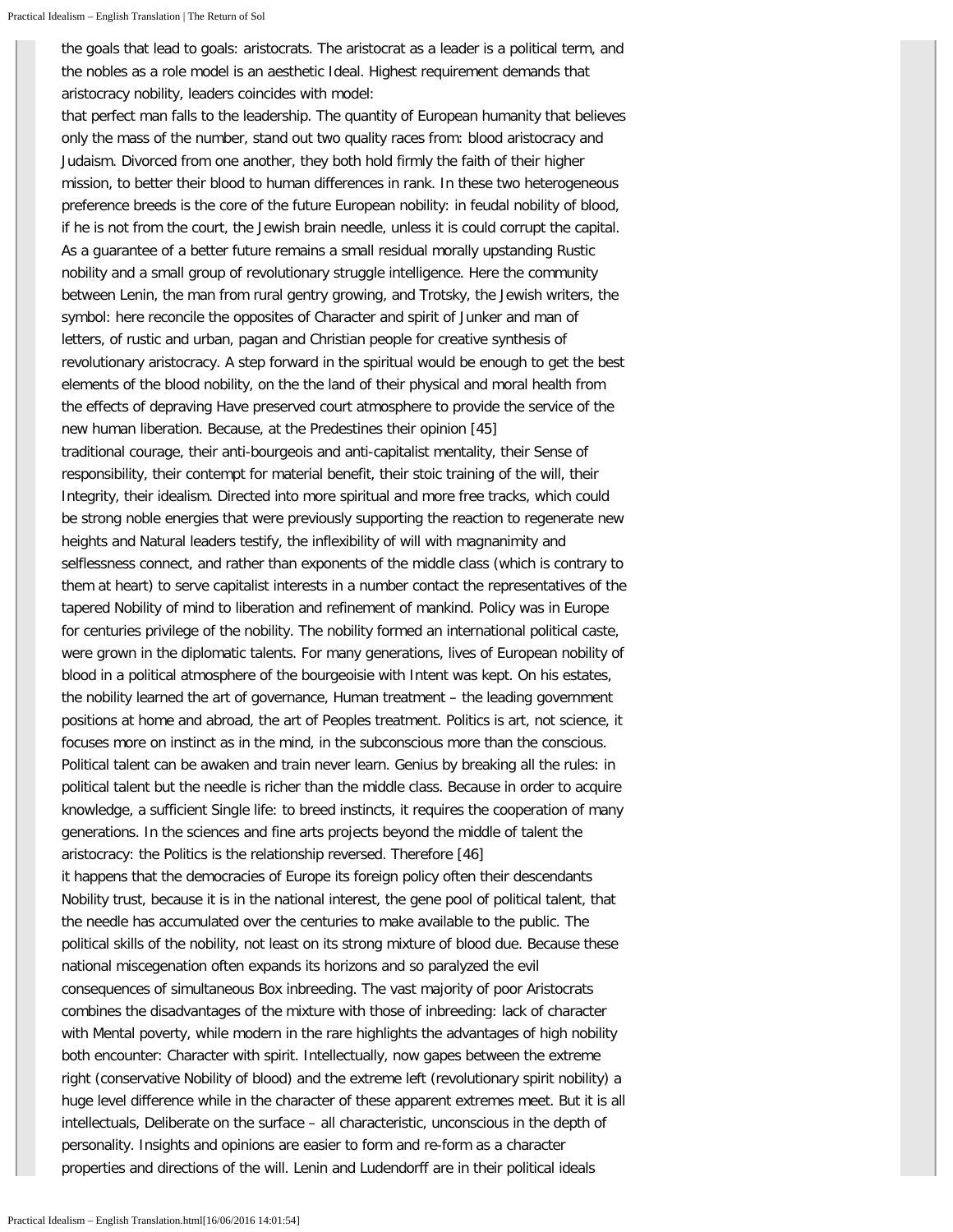the goals that lead to goals: aristocrats. The aristocrat as a leader is a political term, and the nobles as a role model is an aesthetic Ideal. Highest requirement demands that aristocracy nobility, leaders coincides with model:

that perfect man falls to the leadership. The quantity of European humanity that believes only the mass of the number, stand out two quality races from: blood aristocracy and Judaism. Divorced from one another, they both hold firmly the faith of their higher mission, to better their blood to human differences in rank. In these two heterogeneous preference breeds is the core of the future European nobility: in feudal nobility of blood, if he is not from the court, the Jewish brain needle, unless it is could corrupt the capital. As a guarantee of a better future remains a small residual morally upstanding Rustic nobility and a small group of revolutionary struggle intelligence. Here the community between Lenin, the man from rural gentry growing, and Trotsky, the Jewish writers, the symbol: here reconcile the opposites of Character and spirit of Junker and man of letters, of rustic and urban, pagan and Christian people for creative synthesis of revolutionary aristocracy. A step forward in the spiritual would be enough to get the best elements of the blood nobility, on the the land of their physical and moral health from the effects of depraving Have preserved court atmosphere to provide the service of the new human liberation. Because, at the Predestines their opinion [45] traditional courage, their anti-bourgeois and anti-capitalist mentality, their Sense of responsibility, their contempt for material benefit, their stoic training of the will, their Integrity, their idealism. Directed into more spiritual and more free tracks, which could be strong noble energies that were previously supporting the reaction to regenerate new heights and Natural leaders testify, the inflexibility of will with magnanimity and selflessness connect, and rather than exponents of the middle class (which is contrary to them at heart) to serve capitalist interests in a number contact the representatives of the tapered Nobility of mind to liberation and refinement of mankind. Policy was in Europe for centuries privilege of the nobility. The nobility formed an international political caste, were grown in the diplomatic talents. For many generations, lives of European nobility of blood in a political atmosphere of the bourgeoisie with Intent was kept. On his estates, the nobility learned the art of governance, Human treatment – the leading government positions at home and abroad, the art of Peoples treatment. Politics is art, not science, it focuses more on instinct as in the mind, in the subconscious more than the conscious. Political talent can be awaken and train never learn. Genius by breaking all the rules: in political talent but the needle is richer than the middle class. Because in order to acquire knowledge, a sufficient Single life: to breed instincts, it requires the cooperation of many generations. In the sciences and fine arts projects beyond the middle of talent the aristocracy: the Politics is the relationship reversed. Therefore [46] it happens that the democracies of Europe its foreign policy often their descendants Nobility trust, because it is in the national interest, the gene pool of political talent, that the needle has accumulated over the centuries to make available to the public. The political skills of the nobility, not least on its strong mixture of blood due. Because these national miscegenation often expands its horizons and so paralyzed the evil consequences of simultaneous Box inbreeding. The vast majority of poor Aristocrats combines the disadvantages of the mixture with those of inbreeding: lack of character with Mental poverty, while modern in the rare highlights the advantages of high nobility both encounter: Character with spirit. Intellectually, now gapes between the extreme right (conservative Nobility of blood) and the extreme left (revolutionary spirit nobility) a huge level difference while in the character of these apparent extremes meet. But it is all intellectuals, Deliberate on the surface – all characteristic, unconscious in the depth of personality. Insights and opinions are easier to form and re-form as a character properties and directions of the will. Lenin and Ludendorff are in their political ideals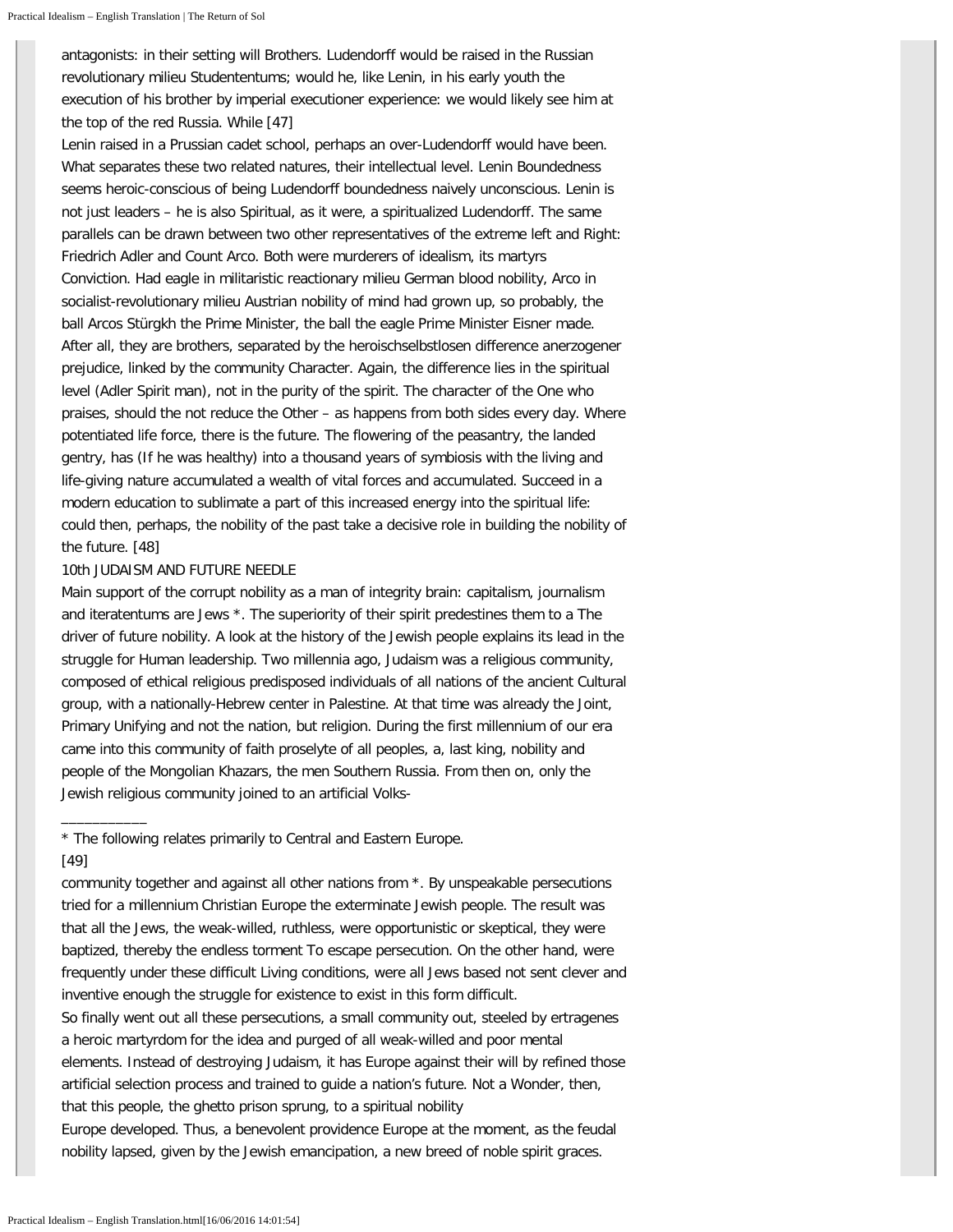antagonists: in their setting will Brothers. Ludendorff would be raised in the Russian revolutionary milieu Studententums; would he, like Lenin, in his early youth the execution of his brother by imperial executioner experience: we would likely see him at the top of the red Russia. While [47]

Lenin raised in a Prussian cadet school, perhaps an over-Ludendorff would have been. What separates these two related natures, their intellectual level. Lenin Boundedness seems heroic-conscious of being Ludendorff boundedness naively unconscious. Lenin is not just leaders – he is also Spiritual, as it were, a spiritualized Ludendorff. The same parallels can be drawn between two other representatives of the extreme left and Right: Friedrich Adler and Count Arco. Both were murderers of idealism, its martyrs Conviction. Had eagle in militaristic reactionary milieu German blood nobility, Arco in socialist-revolutionary milieu Austrian nobility of mind had grown up, so probably, the ball Arcos Stürgkh the Prime Minister, the ball the eagle Prime Minister Eisner made. After all, they are brothers, separated by the heroischselbstlosen difference anerzogener prejudice, linked by the community Character. Again, the difference lies in the spiritual level (Adler Spirit man), not in the purity of the spirit. The character of the One who praises, should the not reduce the Other – as happens from both sides every day. Where potentiated life force, there is the future. The flowering of the peasantry, the landed gentry, has (If he was healthy) into a thousand years of symbiosis with the living and life-giving nature accumulated a wealth of vital forces and accumulated. Succeed in a modern education to sublimate a part of this increased energy into the spiritual life: could then, perhaps, the nobility of the past take a decisive role in building the nobility of the future. [48]

# 10th JUDAISM AND FUTURE NEEDLE

Main support of the corrupt nobility as a man of integrity brain: capitalism, journalism and iteratentums are Jews \*. The superiority of their spirit predestines them to a The driver of future nobility. A look at the history of the Jewish people explains its lead in the struggle for Human leadership. Two millennia ago, Judaism was a religious community, composed of ethical religious predisposed individuals of all nations of the ancient Cultural group, with a nationally-Hebrew center in Palestine. At that time was already the Joint, Primary Unifying and not the nation, but religion. During the first millennium of our era came into this community of faith proselyte of all peoples, a, last king, nobility and people of the Mongolian Khazars, the men Southern Russia. From then on, only the Jewish religious community joined to an artificial Volks-

\* The following relates primarily to Central and Eastern Europe.

[49]

 $\overline{\phantom{a}}$ 

community together and against all other nations from \*. By unspeakable persecutions tried for a millennium Christian Europe the exterminate Jewish people. The result was that all the Jews, the weak-willed, ruthless, were opportunistic or skeptical, they were baptized, thereby the endless torment To escape persecution. On the other hand, were frequently under these difficult Living conditions, were all Jews based not sent clever and inventive enough the struggle for existence to exist in this form difficult.

So finally went out all these persecutions, a small community out, steeled by ertragenes a heroic martyrdom for the idea and purged of all weak-willed and poor mental elements. Instead of destroying Judaism, it has Europe against their will by refined those artificial selection process and trained to guide a nation's future. Not a Wonder, then, that this people, the ghetto prison sprung, to a spiritual nobility Europe developed. Thus, a benevolent providence Europe at the moment, as the feudal

nobility lapsed, given by the Jewish emancipation, a new breed of noble spirit graces.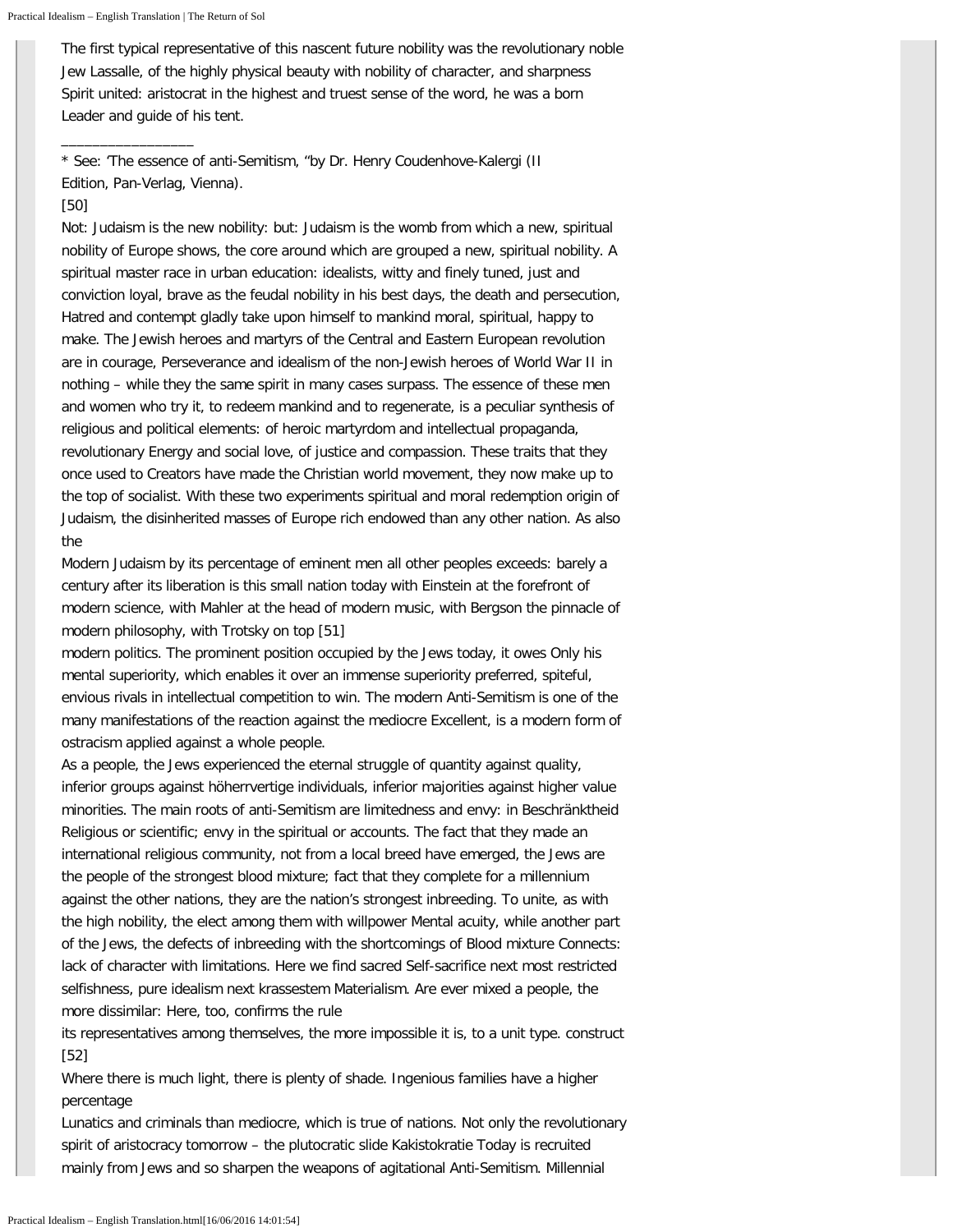\_\_\_\_\_\_\_\_\_\_\_\_\_\_\_\_\_

 The first typical representative of this nascent future nobility was the revolutionary noble Jew Lassalle, of the highly physical beauty with nobility of character, and sharpness Spirit united: aristocrat in the highest and truest sense of the word, he was a born Leader and guide of his tent.

# [50]

Not: Judaism is the new nobility: but: Judaism is the womb from which a new, spiritual nobility of Europe shows, the core around which are grouped a new, spiritual nobility. A spiritual master race in urban education: idealists, witty and finely tuned, just and conviction loyal, brave as the feudal nobility in his best days, the death and persecution, Hatred and contempt gladly take upon himself to mankind moral, spiritual, happy to make. The Jewish heroes and martyrs of the Central and Eastern European revolution are in courage, Perseverance and idealism of the non-Jewish heroes of World War II in nothing – while they the same spirit in many cases surpass. The essence of these men and women who try it, to redeem mankind and to regenerate, is a peculiar synthesis of religious and political elements: of heroic martyrdom and intellectual propaganda, revolutionary Energy and social love, of justice and compassion. These traits that they once used to Creators have made the Christian world movement, they now make up to the top of socialist. With these two experiments spiritual and moral redemption origin of Judaism, the disinherited masses of Europe rich endowed than any other nation. As also the

Modern Judaism by its percentage of eminent men all other peoples exceeds: barely a century after its liberation is this small nation today with Einstein at the forefront of modern science, with Mahler at the head of modern music, with Bergson the pinnacle of modern philosophy, with Trotsky on top [51]

modern politics. The prominent position occupied by the Jews today, it owes Only his mental superiority, which enables it over an immense superiority preferred, spiteful, envious rivals in intellectual competition to win. The modern Anti-Semitism is one of the many manifestations of the reaction against the mediocre Excellent, is a modern form of ostracism applied against a whole people.

As a people, the Jews experienced the eternal struggle of quantity against quality, inferior groups against höherrvertige individuals, inferior majorities against higher value minorities. The main roots of anti-Semitism are limitedness and envy: in Beschränktheid Religious or scientific; envy in the spiritual or accounts. The fact that they made an international religious community, not from a local breed have emerged, the Jews are the people of the strongest blood mixture; fact that they complete for a millennium against the other nations, they are the nation's strongest inbreeding. To unite, as with the high nobility, the elect among them with willpower Mental acuity, while another part of the Jews, the defects of inbreeding with the shortcomings of Blood mixture Connects: lack of character with limitations. Here we find sacred Self-sacrifice next most restricted selfishness, pure idealism next krassestem Materialism. Are ever mixed a people, the more dissimilar: Here, too, confirms the rule

its representatives among themselves, the more impossible it is, to a unit type. construct [52]

Where there is much light, there is plenty of shade. Ingenious families have a higher percentage

Lunatics and criminals than mediocre, which is true of nations. Not only the revolutionary spirit of aristocracy tomorrow – the plutocratic slide Kakistokratie Today is recruited mainly from Jews and so sharpen the weapons of agitational Anti-Semitism. Millennial

<sup>\*</sup> See: 'The essence of anti-Semitism, "by Dr. Henry Coudenhove-Kalergi (II Edition, Pan-Verlag, Vienna).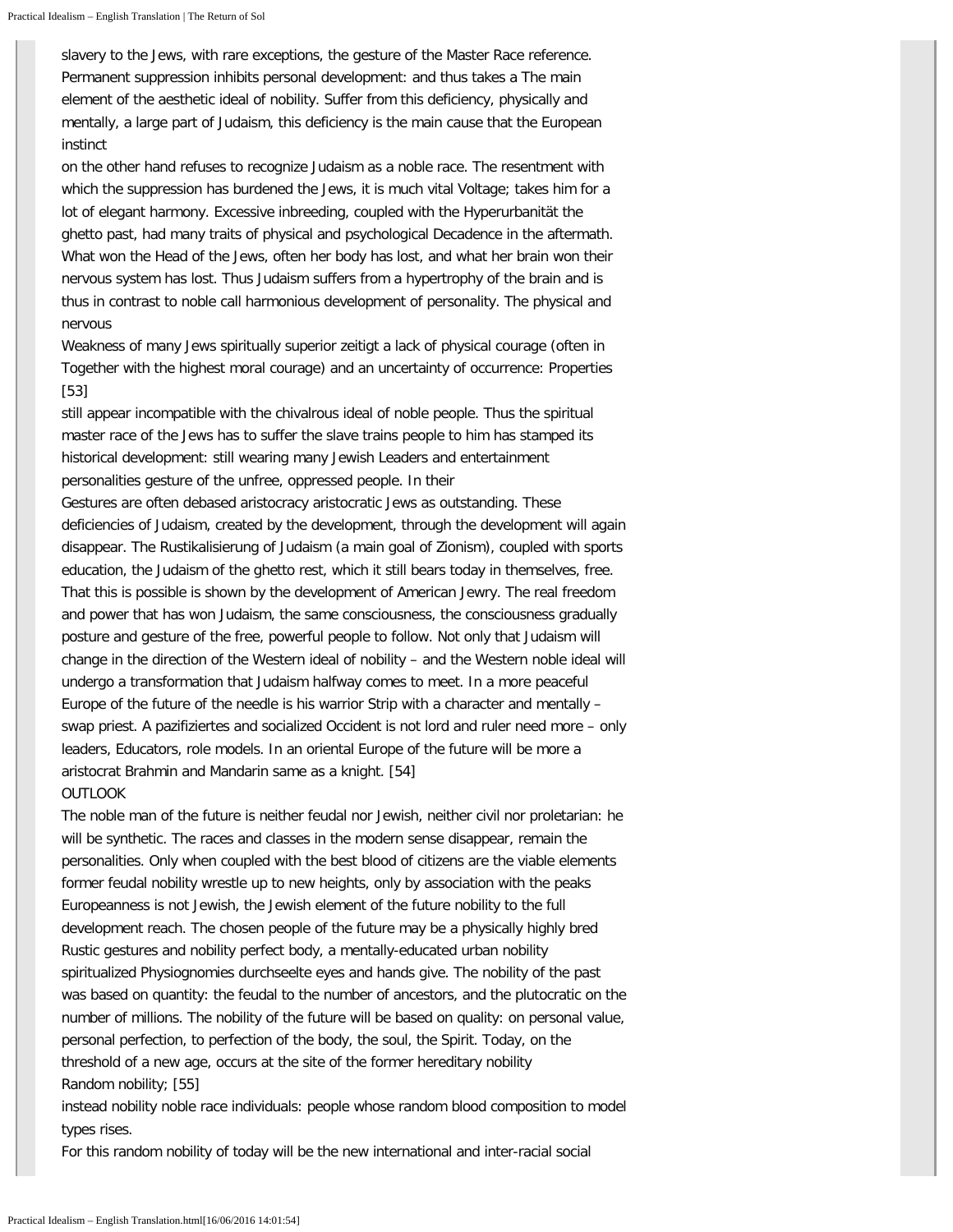slavery to the Jews, with rare exceptions, the gesture of the Master Race reference. Permanent suppression inhibits personal development: and thus takes a The main element of the aesthetic ideal of nobility. Suffer from this deficiency, physically and mentally, a large part of Judaism, this deficiency is the main cause that the European instinct

on the other hand refuses to recognize Judaism as a noble race. The resentment with which the suppression has burdened the Jews, it is much vital Voltage; takes him for a lot of elegant harmony. Excessive inbreeding, coupled with the Hyperurbanität the ghetto past, had many traits of physical and psychological Decadence in the aftermath. What won the Head of the Jews, often her body has lost, and what her brain won their nervous system has lost. Thus Judaism suffers from a hypertrophy of the brain and is thus in contrast to noble call harmonious development of personality. The physical and nervous

Weakness of many Jews spiritually superior zeitigt a lack of physical courage (often in Together with the highest moral courage) and an uncertainty of occurrence: Properties [53]

still appear incompatible with the chivalrous ideal of noble people. Thus the spiritual master race of the Jews has to suffer the slave trains people to him has stamped its historical development: still wearing many Jewish Leaders and entertainment personalities gesture of the unfree, oppressed people. In their

Gestures are often debased aristocracy aristocratic Jews as outstanding. These deficiencies of Judaism, created by the development, through the development will again disappear. The Rustikalisierung of Judaism (a main goal of Zionism), coupled with sports education, the Judaism of the ghetto rest, which it still bears today in themselves, free. That this is possible is shown by the development of American Jewry. The real freedom and power that has won Judaism, the same consciousness, the consciousness gradually posture and gesture of the free, powerful people to follow. Not only that Judaism will change in the direction of the Western ideal of nobility – and the Western noble ideal will undergo a transformation that Judaism halfway comes to meet. In a more peaceful Europe of the future of the needle is his warrior Strip with a character and mentally – swap priest. A pazifiziertes and socialized Occident is not lord and ruler need more – only leaders, Educators, role models. In an oriental Europe of the future will be more a aristocrat Brahmin and Mandarin same as a knight. [54]

## **OUTLOOK**

The noble man of the future is neither feudal nor Jewish, neither civil nor proletarian: he will be synthetic. The races and classes in the modern sense disappear, remain the personalities. Only when coupled with the best blood of citizens are the viable elements former feudal nobility wrestle up to new heights, only by association with the peaks Europeanness is not Jewish, the Jewish element of the future nobility to the full development reach. The chosen people of the future may be a physically highly bred Rustic gestures and nobility perfect body, a mentally-educated urban nobility spiritualized Physiognomies durchseelte eyes and hands give. The nobility of the past was based on quantity: the feudal to the number of ancestors, and the plutocratic on the number of millions. The nobility of the future will be based on quality: on personal value, personal perfection, to perfection of the body, the soul, the Spirit. Today, on the threshold of a new age, occurs at the site of the former hereditary nobility Random nobility; [55]

instead nobility noble race individuals: people whose random blood composition to model types rises.

For this random nobility of today will be the new international and inter-racial social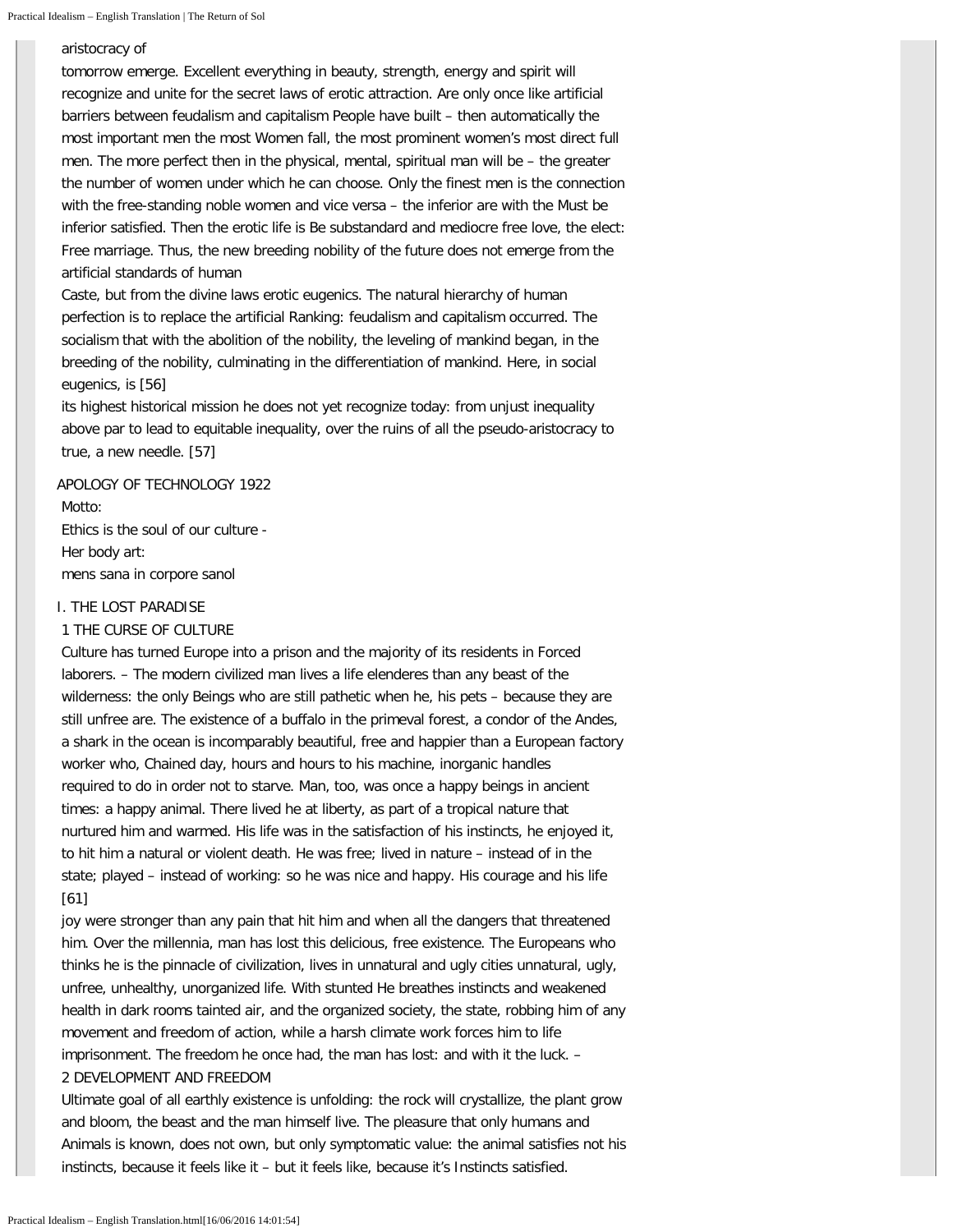# aristocracy of

tomorrow emerge. Excellent everything in beauty, strength, energy and spirit will recognize and unite for the secret laws of erotic attraction. Are only once like artificial barriers between feudalism and capitalism People have built – then automatically the most important men the most Women fall, the most prominent women's most direct full men. The more perfect then in the physical, mental, spiritual man will be – the greater the number of women under which he can choose. Only the finest men is the connection with the free-standing noble women and vice versa – the inferior are with the Must be inferior satisfied. Then the erotic life is Be substandard and mediocre free love, the elect: Free marriage. Thus, the new breeding nobility of the future does not emerge from the artificial standards of human

Caste, but from the divine laws erotic eugenics. The natural hierarchy of human perfection is to replace the artificial Ranking: feudalism and capitalism occurred. The socialism that with the abolition of the nobility, the leveling of mankind began, in the breeding of the nobility, culminating in the differentiation of mankind. Here, in social eugenics, is [56]

its highest historical mission he does not yet recognize today: from unjust inequality above par to lead to equitable inequality, over the ruins of all the pseudo-aristocracy to true, a new needle. [57]

APOLOGY OF TECHNOLOGY 1922 Motto: Ethics is the soul of our culture - Her body art: mens sana in corpore sanol

# I. THE LOST PARADISE

#### 1 THE CURSE OF CULTURE

Culture has turned Europe into a prison and the majority of its residents in Forced laborers. – The modern civilized man lives a life elenderes than any beast of the wilderness: the only Beings who are still pathetic when he, his pets – because they are still unfree are. The existence of a buffalo in the primeval forest, a condor of the Andes, a shark in the ocean is incomparably beautiful, free and happier than a European factory worker who, Chained day, hours and hours to his machine, inorganic handles required to do in order not to starve. Man, too, was once a happy beings in ancient times: a happy animal. There lived he at liberty, as part of a tropical nature that nurtured him and warmed. His life was in the satisfaction of his instincts, he enjoyed it, to hit him a natural or violent death. He was free; lived in nature – instead of in the state; played – instead of working: so he was nice and happy. His courage and his life [61]

joy were stronger than any pain that hit him and when all the dangers that threatened him. Over the millennia, man has lost this delicious, free existence. The Europeans who thinks he is the pinnacle of civilization, lives in unnatural and ugly cities unnatural, ugly, unfree, unhealthy, unorganized life. With stunted He breathes instincts and weakened health in dark rooms tainted air, and the organized society, the state, robbing him of any movement and freedom of action, while a harsh climate work forces him to life imprisonment. The freedom he once had, the man has lost: and with it the luck. – 2 DEVELOPMENT AND FREEDOM

Ultimate goal of all earthly existence is unfolding: the rock will crystallize, the plant grow and bloom, the beast and the man himself live. The pleasure that only humans and Animals is known, does not own, but only symptomatic value: the animal satisfies not his instincts, because it feels like it – but it feels like, because it's Instincts satisfied.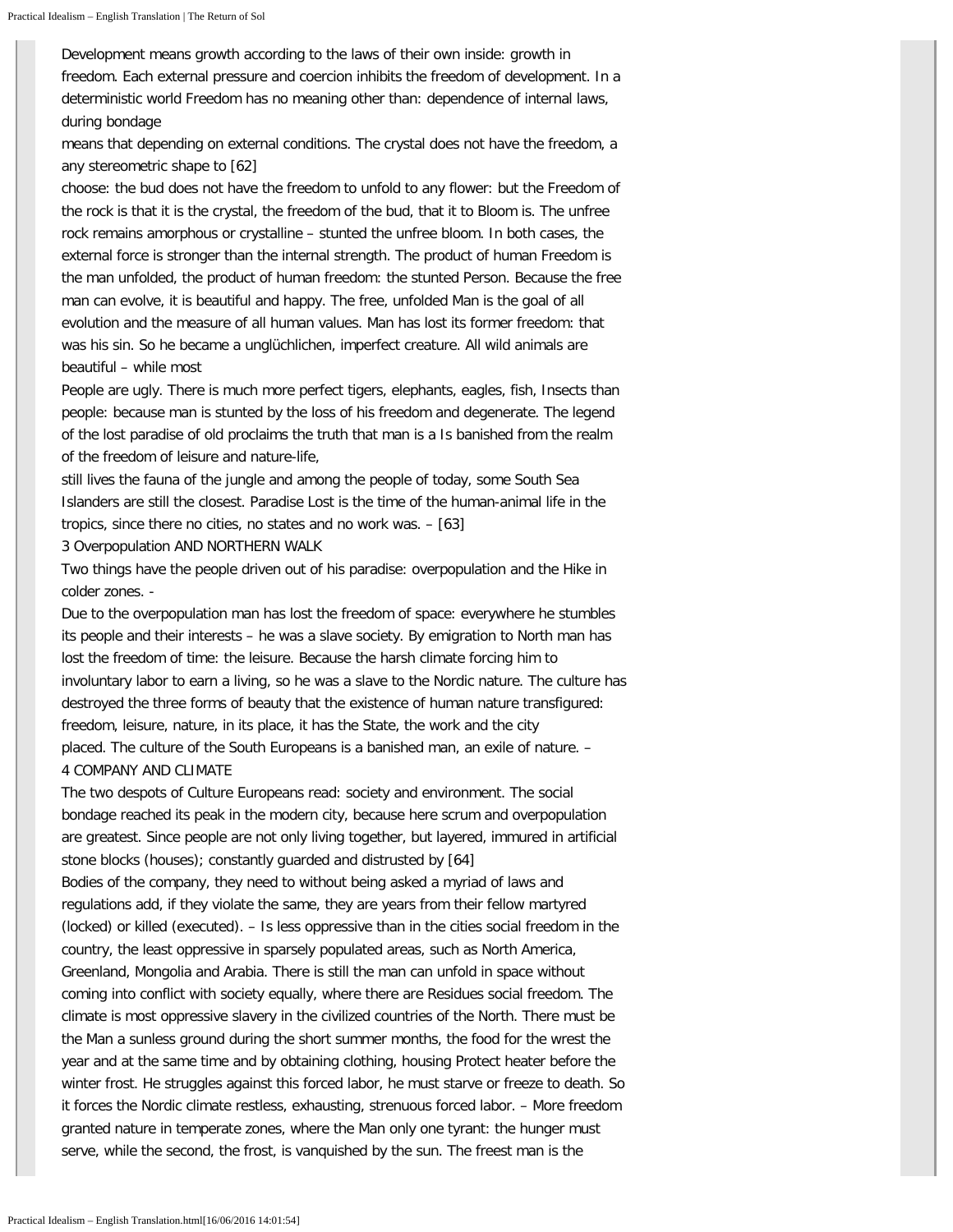Development means growth according to the laws of their own inside: growth in freedom. Each external pressure and coercion inhibits the freedom of development. In a deterministic world Freedom has no meaning other than: dependence of internal laws, during bondage

means that depending on external conditions. The crystal does not have the freedom, a any stereometric shape to [62]

 choose: the bud does not have the freedom to unfold to any flower: but the Freedom of the rock is that it is the crystal, the freedom of the bud, that it to Bloom is. The unfree rock remains amorphous or crystalline – stunted the unfree bloom. In both cases, the external force is stronger than the internal strength. The product of human Freedom is the man unfolded, the product of human freedom: the stunted Person. Because the free man can evolve, it is beautiful and happy. The free, unfolded Man is the goal of all evolution and the measure of all human values. Man has lost its former freedom: that was his sin. So he became a unglüchlichen, imperfect creature. All wild animals are beautiful – while most

People are ugly. There is much more perfect tigers, elephants, eagles, fish, Insects than people: because man is stunted by the loss of his freedom and degenerate. The legend of the lost paradise of old proclaims the truth that man is a Is banished from the realm of the freedom of leisure and nature-life,

still lives the fauna of the jungle and among the people of today, some South Sea Islanders are still the closest. Paradise Lost is the time of the human-animal life in the tropics, since there no cities, no states and no work was. – [63]

3 Overpopulation AND NORTHERN WALK

Two things have the people driven out of his paradise: overpopulation and the Hike in colder zones. -

Due to the overpopulation man has lost the freedom of space: everywhere he stumbles its people and their interests – he was a slave society. By emigration to North man has lost the freedom of time: the leisure. Because the harsh climate forcing him to involuntary labor to earn a living, so he was a slave to the Nordic nature. The culture has destroyed the three forms of beauty that the existence of human nature transfigured: freedom, leisure, nature, in its place, it has the State, the work and the city placed. The culture of the South Europeans is a banished man, an exile of nature. – 4 COMPANY AND CLIMATE

The two despots of Culture Europeans read: society and environment. The social bondage reached its peak in the modern city, because here scrum and overpopulation are greatest. Since people are not only living together, but layered, immured in artificial stone blocks (houses); constantly guarded and distrusted by [64]

Bodies of the company, they need to without being asked a myriad of laws and regulations add, if they violate the same, they are years from their fellow martyred (locked) or killed (executed). – Is less oppressive than in the cities social freedom in the country, the least oppressive in sparsely populated areas, such as North America, Greenland, Mongolia and Arabia. There is still the man can unfold in space without coming into conflict with society equally, where there are Residues social freedom. The climate is most oppressive slavery in the civilized countries of the North. There must be the Man a sunless ground during the short summer months, the food for the wrest the year and at the same time and by obtaining clothing, housing Protect heater before the winter frost. He struggles against this forced labor, he must starve or freeze to death. So it forces the Nordic climate restless, exhausting, strenuous forced labor. – More freedom granted nature in temperate zones, where the Man only one tyrant: the hunger must serve, while the second, the frost, is vanquished by the sun. The freest man is the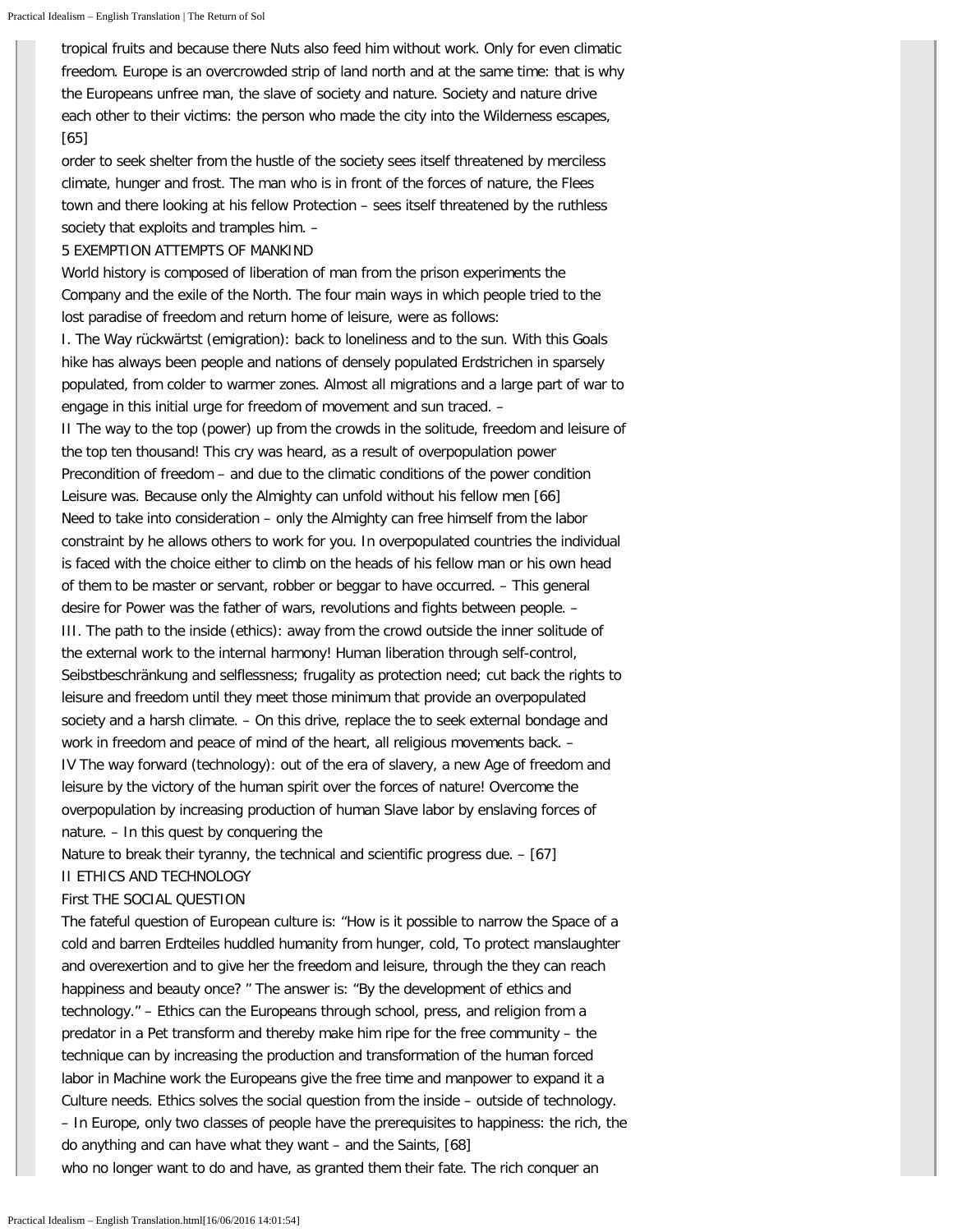```
Practical Idealism – English Translation | The Return of Sol
```
 tropical fruits and because there Nuts also feed him without work. Only for even climatic freedom. Europe is an overcrowded strip of land north and at the same time: that is why the Europeans unfree man, the slave of society and nature. Society and nature drive each other to their victims: the person who made the city into the Wilderness escapes, [65]

order to seek shelter from the hustle of the society sees itself threatened by merciless climate, hunger and frost. The man who is in front of the forces of nature, the Flees town and there looking at his fellow Protection – sees itself threatened by the ruthless society that exploits and tramples him. –

# 5 EXEMPTION ATTEMPTS OF MANKIND

World history is composed of liberation of man from the prison experiments the Company and the exile of the North. The four main ways in which people tried to the lost paradise of freedom and return home of leisure, were as follows:

I. The Way rückwärtst (emigration): back to loneliness and to the sun. With this Goals hike has always been people and nations of densely populated Erdstrichen in sparsely populated, from colder to warmer zones. Almost all migrations and a large part of war to engage in this initial urge for freedom of movement and sun traced. –

II The way to the top (power) up from the crowds in the solitude, freedom and leisure of the top ten thousand! This cry was heard, as a result of overpopulation power Precondition of freedom – and due to the climatic conditions of the power condition Leisure was. Because only the Almighty can unfold without his fellow men [66] Need to take into consideration – only the Almighty can free himself from the labor constraint by he allows others to work for you. In overpopulated countries the individual is faced with the choice either to climb on the heads of his fellow man or his own head of them to be master or servant, robber or beggar to have occurred. – This general desire for Power was the father of wars, revolutions and fights between people. – III. The path to the inside (ethics): away from the crowd outside the inner solitude of the external work to the internal harmony! Human liberation through self-control, Seibstbeschränkung and selflessness; frugality as protection need; cut back the rights to leisure and freedom until they meet those minimum that provide an overpopulated society and a harsh climate. – On this drive, replace the to seek external bondage and work in freedom and peace of mind of the heart, all religious movements back. – IV The way forward (technology): out of the era of slavery, a new Age of freedom and leisure by the victory of the human spirit over the forces of nature! Overcome the overpopulation by increasing production of human Slave labor by enslaving forces of nature. – In this quest by conquering the

Nature to break their tyranny, the technical and scientific progress due. – [67] II ETHICS AND TECHNOLOGY

# First THE SOCIAL QUESTION

The fateful question of European culture is: "How is it possible to narrow the Space of a cold and barren Erdteiles huddled humanity from hunger, cold, To protect manslaughter and overexertion and to give her the freedom and leisure, through the they can reach happiness and beauty once? " The answer is: "By the development of ethics and technology." – Ethics can the Europeans through school, press, and religion from a predator in a Pet transform and thereby make him ripe for the free community – the technique can by increasing the production and transformation of the human forced labor in Machine work the Europeans give the free time and manpower to expand it a Culture needs. Ethics solves the social question from the inside – outside of technology. – In Europe, only two classes of people have the prerequisites to happiness: the rich, the do anything and can have what they want – and the Saints, [68]

who no longer want to do and have, as granted them their fate. The rich conquer an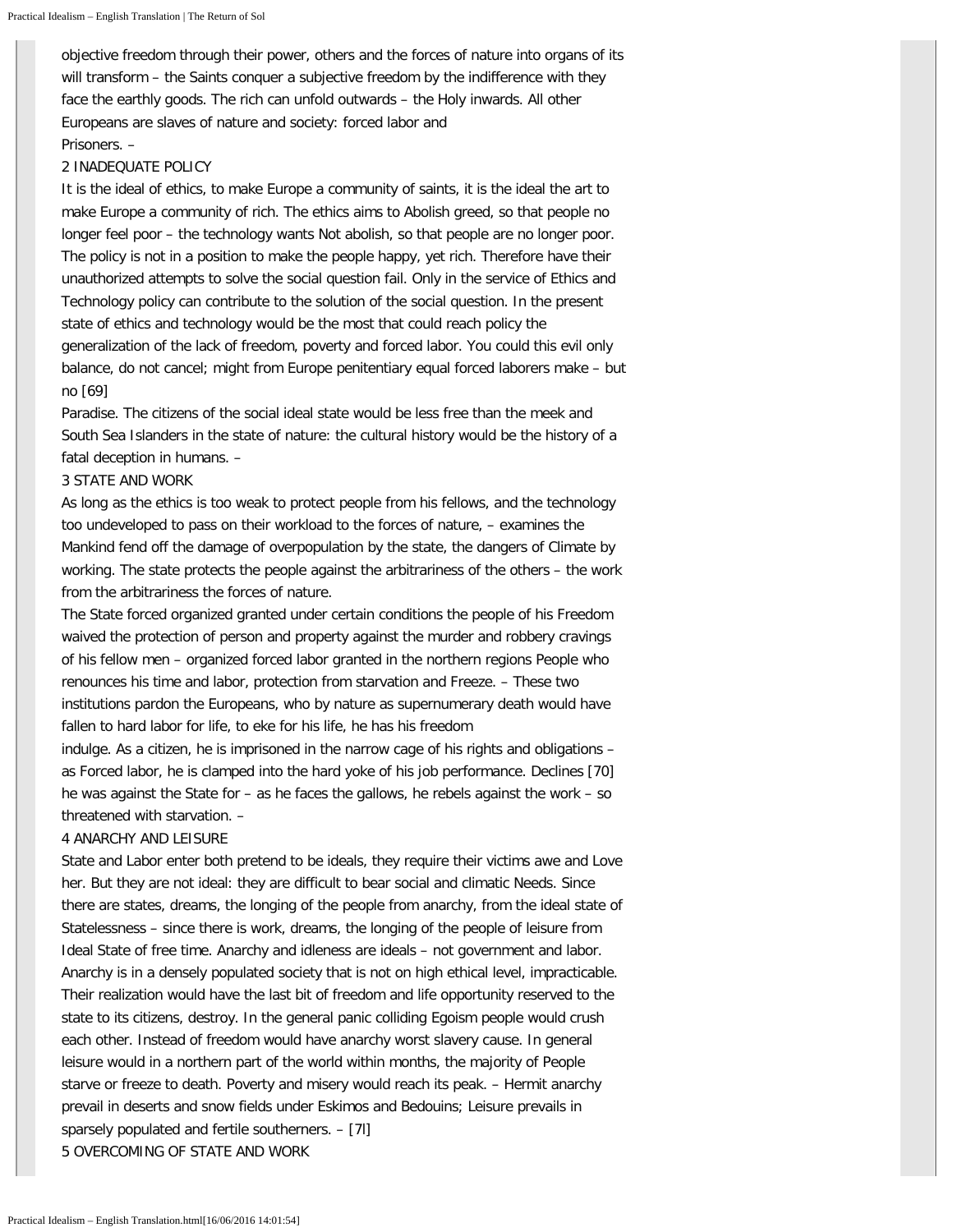objective freedom through their power, others and the forces of nature into organs of its will transform – the Saints conquer a subjective freedom by the indifference with they face the earthly goods. The rich can unfold outwards – the Holy inwards. All other Europeans are slaves of nature and society: forced labor and Prisoners. –

# 2 INADEQUATE POLICY

It is the ideal of ethics, to make Europe a community of saints, it is the ideal the art to make Europe a community of rich. The ethics aims to Abolish greed, so that people no longer feel poor – the technology wants Not abolish, so that people are no longer poor. The policy is not in a position to make the people happy, yet rich. Therefore have their unauthorized attempts to solve the social question fail. Only in the service of Ethics and Technology policy can contribute to the solution of the social question. In the present state of ethics and technology would be the most that could reach policy the generalization of the lack of freedom, poverty and forced labor. You could this evil only balance, do not cancel; might from Europe penitentiary equal forced laborers make – but no [69]

Paradise. The citizens of the social ideal state would be less free than the meek and South Sea Islanders in the state of nature: the cultural history would be the history of a fatal deception in humans. –

# 3 STATE AND WORK

As long as the ethics is too weak to protect people from his fellows, and the technology too undeveloped to pass on their workload to the forces of nature, – examines the Mankind fend off the damage of overpopulation by the state, the dangers of Climate by working. The state protects the people against the arbitrariness of the others – the work from the arbitrariness the forces of nature.

The State forced organized granted under certain conditions the people of his Freedom waived the protection of person and property against the murder and robbery cravings of his fellow men – organized forced labor granted in the northern regions People who renounces his time and labor, protection from starvation and Freeze. – These two institutions pardon the Europeans, who by nature as supernumerary death would have fallen to hard labor for life, to eke for his life, he has his freedom

indulge. As a citizen, he is imprisoned in the narrow cage of his rights and obligations – as Forced labor, he is clamped into the hard yoke of his job performance. Declines [70] he was against the State for – as he faces the gallows, he rebels against the work – so threatened with starvation. –

# 4 ANARCHY AND LEISURE

State and Labor enter both pretend to be ideals, they require their victims awe and Love her. But they are not ideal: they are difficult to bear social and climatic Needs. Since there are states, dreams, the longing of the people from anarchy, from the ideal state of Statelessness – since there is work, dreams, the longing of the people of leisure from Ideal State of free time. Anarchy and idleness are ideals – not government and labor. Anarchy is in a densely populated society that is not on high ethical level, impracticable. Their realization would have the last bit of freedom and life opportunity reserved to the state to its citizens, destroy. In the general panic colliding Egoism people would crush each other. Instead of freedom would have anarchy worst slavery cause. In general leisure would in a northern part of the world within months, the majority of People starve or freeze to death. Poverty and misery would reach its peak. – Hermit anarchy prevail in deserts and snow fields under Eskimos and Bedouins; Leisure prevails in sparsely populated and fertile southerners. – [7l] 5 OVERCOMING OF STATE AND WORK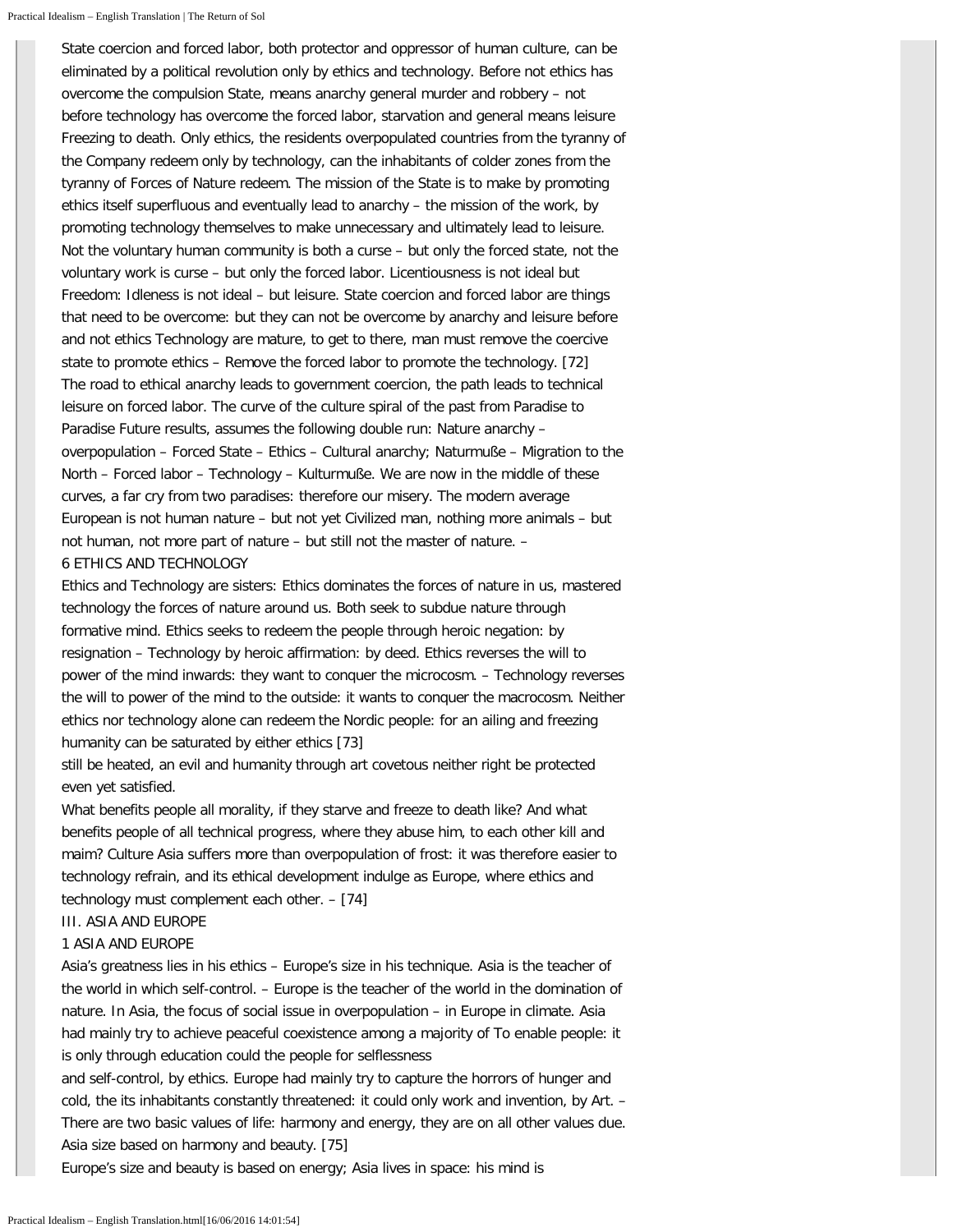State coercion and forced labor, both protector and oppressor of human culture, can be eliminated by a political revolution only by ethics and technology. Before not ethics has overcome the compulsion State, means anarchy general murder and robbery – not before technology has overcome the forced labor, starvation and general means leisure Freezing to death. Only ethics, the residents overpopulated countries from the tyranny of the Company redeem only by technology, can the inhabitants of colder zones from the tyranny of Forces of Nature redeem. The mission of the State is to make by promoting ethics itself superfluous and eventually lead to anarchy – the mission of the work, by promoting technology themselves to make unnecessary and ultimately lead to leisure. Not the voluntary human community is both a curse – but only the forced state, not the voluntary work is curse – but only the forced labor. Licentiousness is not ideal but Freedom: Idleness is not ideal – but leisure. State coercion and forced labor are things that need to be overcome: but they can not be overcome by anarchy and leisure before and not ethics Technology are mature, to get to there, man must remove the coercive state to promote ethics – Remove the forced labor to promote the technology. [72] The road to ethical anarchy leads to government coercion, the path leads to technical leisure on forced labor. The curve of the culture spiral of the past from Paradise to Paradise Future results, assumes the following double run: Nature anarchy – overpopulation – Forced State – Ethics – Cultural anarchy; Naturmuße – Migration to the North – Forced labor – Technology – Kulturmuße. We are now in the middle of these curves, a far cry from two paradises: therefore our misery. The modern average European is not human nature – but not yet Civilized man, nothing more animals – but not human, not more part of nature – but still not the master of nature. – 6 ETHICS AND TECHNOLOGY

Ethics and Technology are sisters: Ethics dominates the forces of nature in us, mastered technology the forces of nature around us. Both seek to subdue nature through formative mind. Ethics seeks to redeem the people through heroic negation: by resignation – Technology by heroic affirmation: by deed. Ethics reverses the will to power of the mind inwards: they want to conquer the microcosm. – Technology reverses the will to power of the mind to the outside: it wants to conquer the macrocosm. Neither ethics nor technology alone can redeem the Nordic people: for an ailing and freezing humanity can be saturated by either ethics [73]

still be heated, an evil and humanity through art covetous neither right be protected even yet satisfied.

What benefits people all morality, if they starve and freeze to death like? And what benefits people of all technical progress, where they abuse him, to each other kill and maim? Culture Asia suffers more than overpopulation of frost: it was therefore easier to technology refrain, and its ethical development indulge as Europe, where ethics and technology must complement each other. – [74]

# III. ASIA AND EUROPE

#### 1 ASIA AND EUROPE

Asia's greatness lies in his ethics – Europe's size in his technique. Asia is the teacher of the world in which self-control. – Europe is the teacher of the world in the domination of nature. In Asia, the focus of social issue in overpopulation – in Europe in climate. Asia had mainly try to achieve peaceful coexistence among a majority of To enable people: it is only through education could the people for selflessness

and self-control, by ethics. Europe had mainly try to capture the horrors of hunger and cold, the its inhabitants constantly threatened: it could only work and invention, by Art. – There are two basic values of life: harmony and energy, they are on all other values due. Asia size based on harmony and beauty. [75]

Europe's size and beauty is based on energy; Asia lives in space: his mind is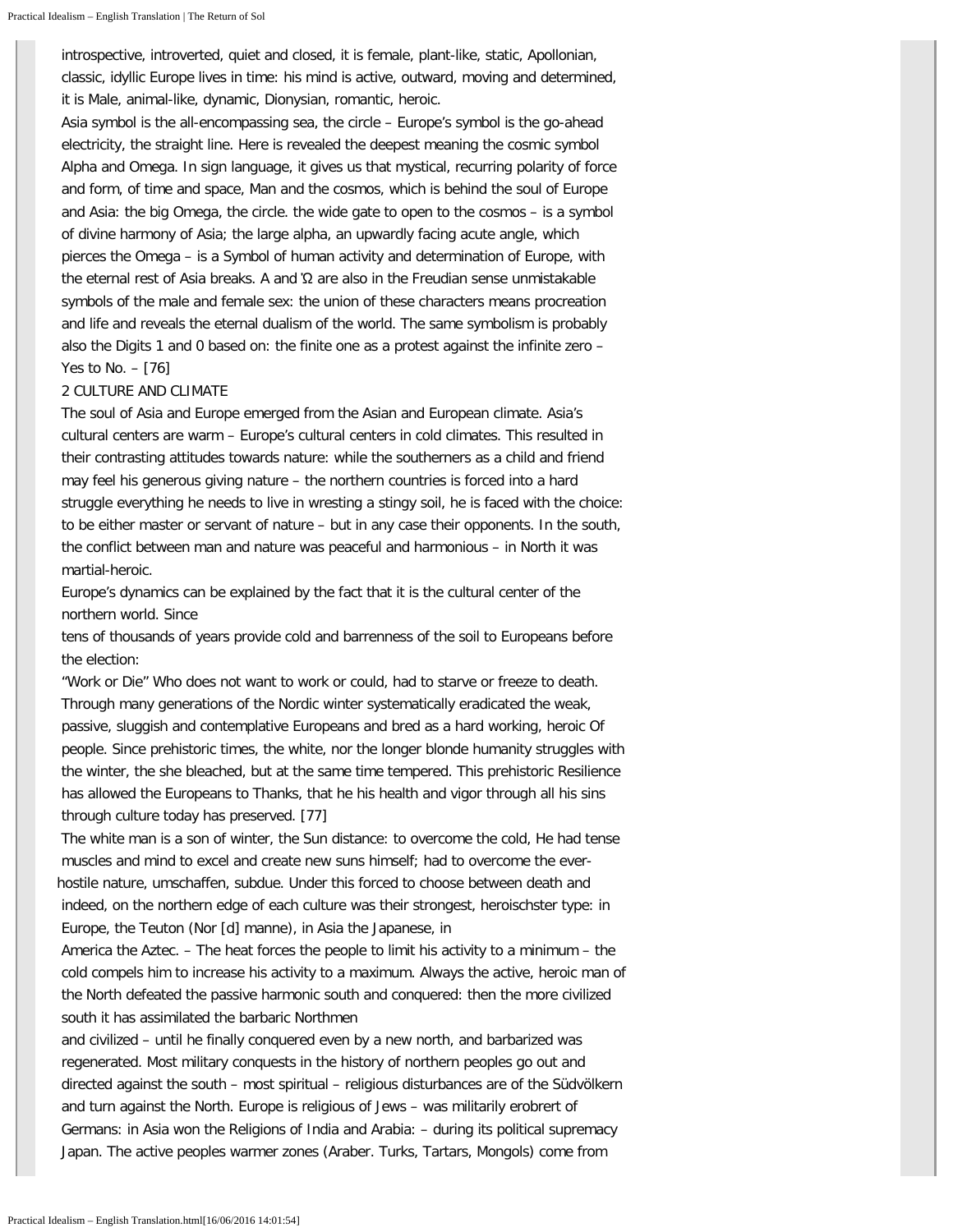introspective, introverted, quiet and closed, it is female, plant-like, static, Apollonian, classic, idyllic Europe lives in time: his mind is active, outward, moving and determined, it is Male, animal-like, dynamic, Dionysian, romantic, heroic.

Asia symbol is the all-encompassing sea, the circle – Europe's symbol is the go-ahead electricity, the straight line. Here is revealed the deepest meaning the cosmic symbol Alpha and Omega. In sign language, it gives us that mystical, recurring polarity of force and form, of time and space, Man and the cosmos, which is behind the soul of Europe and Asia: the big Omega, the circle. the wide gate to open to the cosmos – is a symbol of divine harmony of Asia; the large alpha, an upwardly facing acute angle, which pierces the Omega – is a Symbol of human activity and determination of Europe, with the eternal rest of Asia breaks. A and  $\Omega$  are also in the Freudian sense unmistakable symbols of the male and female sex: the union of these characters means procreation and life and reveals the eternal dualism of the world. The same symbolism is probably also the Digits 1 and 0 based on: the finite one as a protest against the infinite zero – Yes to No. – [76]

# 2 CULTURE AND CLIMATE

The soul of Asia and Europe emerged from the Asian and European climate. Asia's cultural centers are warm – Europe's cultural centers in cold climates. This resulted in their contrasting attitudes towards nature: while the southerners as a child and friend may feel his generous giving nature – the northern countries is forced into a hard struggle everything he needs to live in wresting a stingy soil, he is faced with the choice: to be either master or servant of nature – but in any case their opponents. In the south, the conflict between man and nature was peaceful and harmonious – in North it was martial-heroic.

Europe's dynamics can be explained by the fact that it is the cultural center of the northern world. Since

tens of thousands of years provide cold and barrenness of the soil to Europeans before the election:

"Work or Die" Who does not want to work or could, had to starve or freeze to death. Through many generations of the Nordic winter systematically eradicated the weak, passive, sluggish and contemplative Europeans and bred as a hard working, heroic Of people. Since prehistoric times, the white, nor the longer blonde humanity struggles with the winter, the she bleached, but at the same time tempered. This prehistoric Resilience has allowed the Europeans to Thanks, that he his health and vigor through all his sins through culture today has preserved. [77]

The white man is a son of winter, the Sun distance: to overcome the cold, He had tense muscles and mind to excel and create new suns himself; had to overcome the everhostile nature, umschaffen, subdue. Under this forced to choose between death and indeed, on the northern edge of each culture was their strongest, heroischster type: in Europe, the Teuton (Nor [d] manne), in Asia the Japanese, in

America the Aztec. – The heat forces the people to limit his activity to a minimum – the cold compels him to increase his activity to a maximum. Always the active, heroic man of the North defeated the passive harmonic south and conquered: then the more civilized south it has assimilated the barbaric Northmen

and civilized – until he finally conquered even by a new north, and barbarized was regenerated. Most military conquests in the history of northern peoples go out and directed against the south – most spiritual – religious disturbances are of the Südvölkern and turn against the North. Europe is religious of Jews – was militarily erobrert of Germans: in Asia won the Religions of India and Arabia: – during its political supremacy Japan. The active peoples warmer zones (Araber. Turks, Tartars, Mongols) come from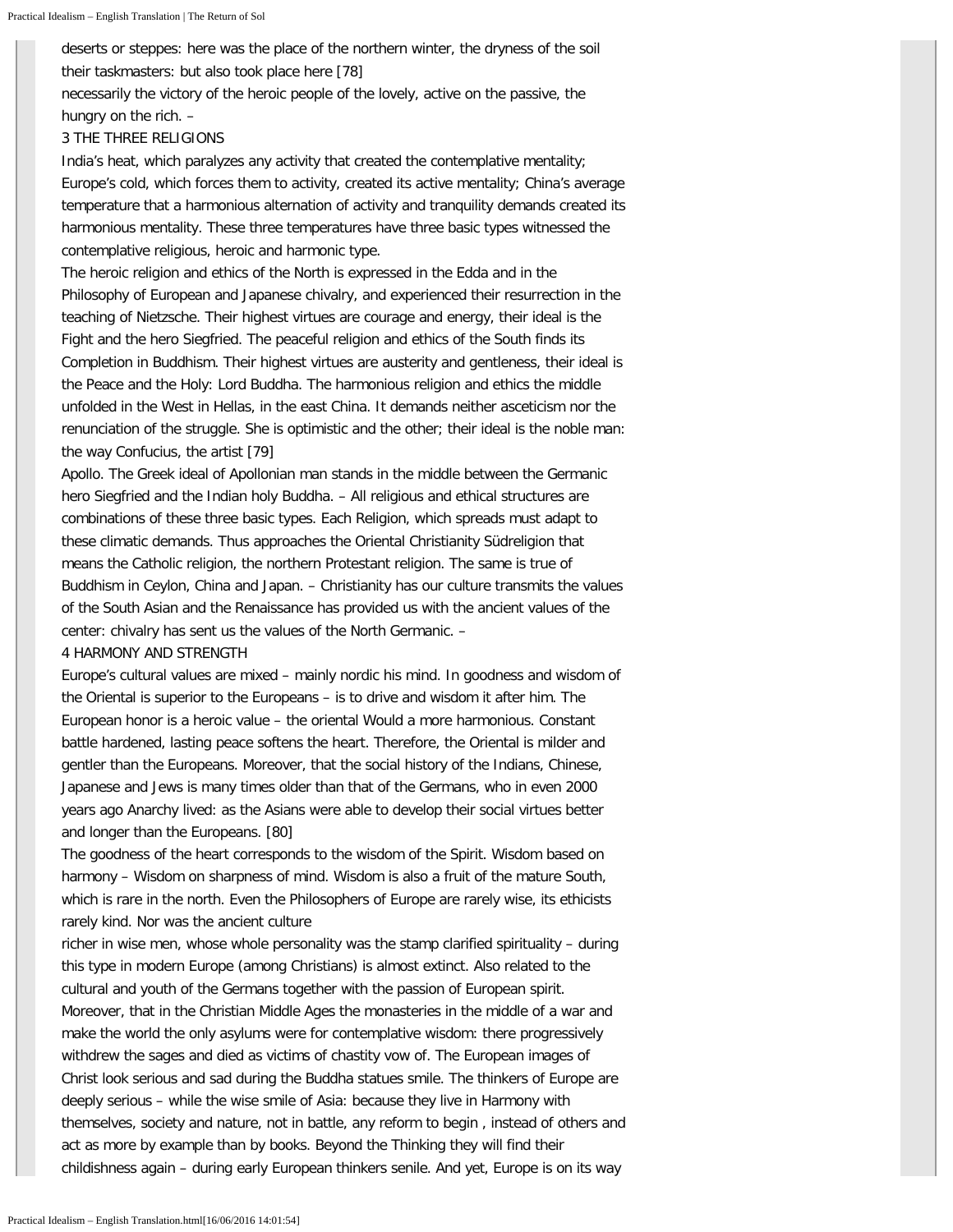deserts or steppes: here was the place of the northern winter, the dryness of the soil their taskmasters: but also took place here [78]

necessarily the victory of the heroic people of the lovely, active on the passive, the hungry on the rich. –

## 3 THE THREE RELIGIONS

India's heat, which paralyzes any activity that created the contemplative mentality; Europe's cold, which forces them to activity, created its active mentality; China's average temperature that a harmonious alternation of activity and tranquility demands created its harmonious mentality. These three temperatures have three basic types witnessed the contemplative religious, heroic and harmonic type.

The heroic religion and ethics of the North is expressed in the Edda and in the Philosophy of European and Japanese chivalry, and experienced their resurrection in the teaching of Nietzsche. Their highest virtues are courage and energy, their ideal is the Fight and the hero Siegfried. The peaceful religion and ethics of the South finds its Completion in Buddhism. Their highest virtues are austerity and gentleness, their ideal is the Peace and the Holy: Lord Buddha. The harmonious religion and ethics the middle unfolded in the West in Hellas, in the east China. It demands neither asceticism nor the renunciation of the struggle. She is optimistic and the other; their ideal is the noble man: the way Confucius, the artist [79]

Apollo. The Greek ideal of Apollonian man stands in the middle between the Germanic hero Siegfried and the Indian holy Buddha. – All religious and ethical structures are combinations of these three basic types. Each Religion, which spreads must adapt to these climatic demands. Thus approaches the Oriental Christianity Südreligion that means the Catholic religion, the northern Protestant religion. The same is true of Buddhism in Ceylon, China and Japan. – Christianity has our culture transmits the values of the South Asian and the Renaissance has provided us with the ancient values of the center: chivalry has sent us the values of the North Germanic. –

### 4 HARMONY AND STRENGTH

Europe's cultural values are mixed – mainly nordic his mind. In goodness and wisdom of the Oriental is superior to the Europeans – is to drive and wisdom it after him. The European honor is a heroic value – the oriental Would a more harmonious. Constant battle hardened, lasting peace softens the heart. Therefore, the Oriental is milder and gentler than the Europeans. Moreover, that the social history of the Indians, Chinese, Japanese and Jews is many times older than that of the Germans, who in even 2000 years ago Anarchy lived: as the Asians were able to develop their social virtues better and longer than the Europeans. [80]

The goodness of the heart corresponds to the wisdom of the Spirit. Wisdom based on harmony – Wisdom on sharpness of mind. Wisdom is also a fruit of the mature South, which is rare in the north. Even the Philosophers of Europe are rarely wise, its ethicists rarely kind. Nor was the ancient culture

richer in wise men, whose whole personality was the stamp clarified spirituality – during this type in modern Europe (among Christians) is almost extinct. Also related to the cultural and youth of the Germans together with the passion of European spirit. Moreover, that in the Christian Middle Ages the monasteries in the middle of a war and make the world the only asylums were for contemplative wisdom: there progressively withdrew the sages and died as victims of chastity vow of. The European images of Christ look serious and sad during the Buddha statues smile. The thinkers of Europe are deeply serious – while the wise smile of Asia: because they live in Harmony with themselves, society and nature, not in battle, any reform to begin , instead of others and act as more by example than by books. Beyond the Thinking they will find their childishness again – during early European thinkers senile. And yet, Europe is on its way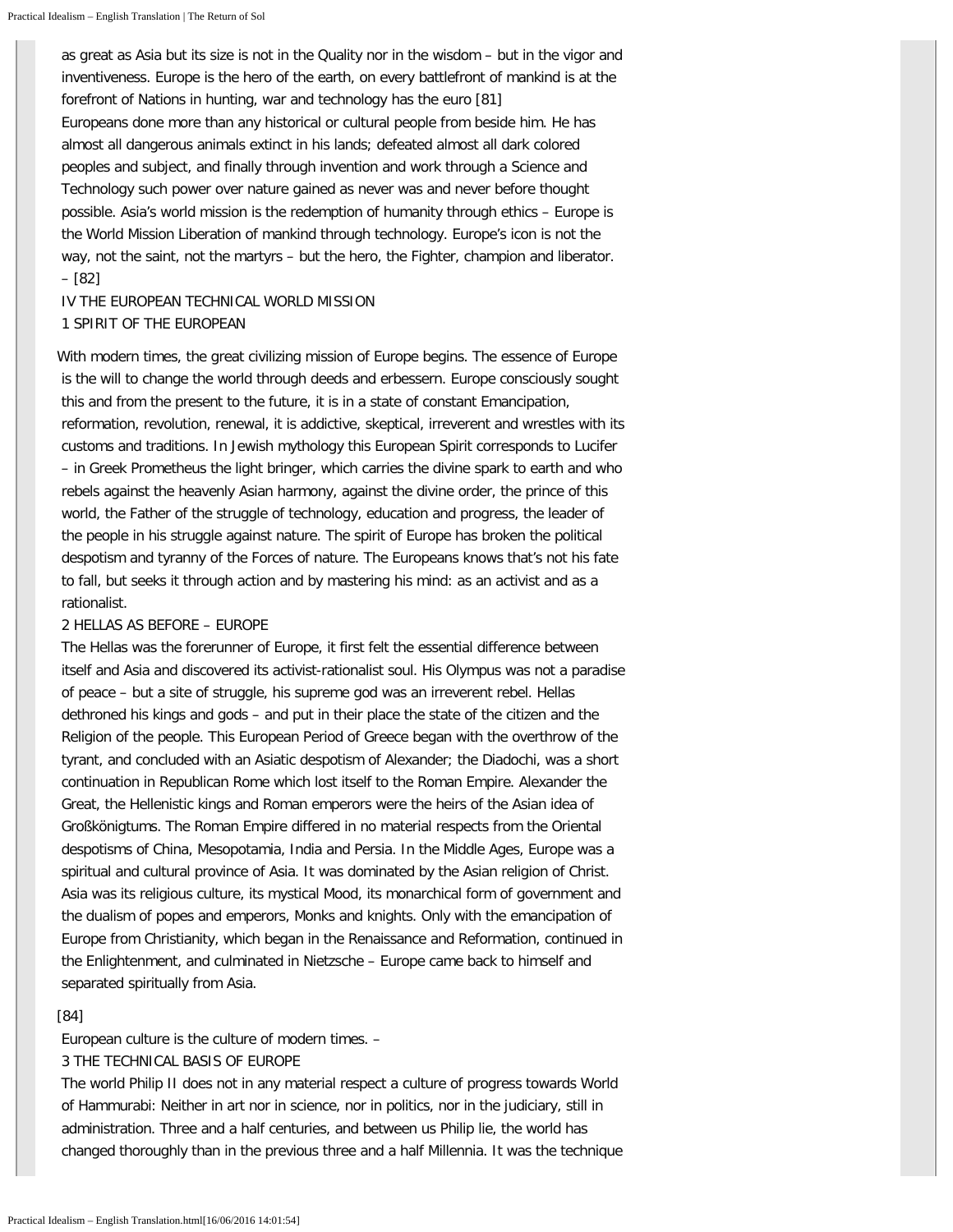as great as Asia but its size is not in the Quality nor in the wisdom – but in the vigor and inventiveness. Europe is the hero of the earth, on every battlefront of mankind is at the forefront of Nations in hunting, war and technology has the euro [81] Europeans done more than any historical or cultural people from beside him. He has almost all dangerous animals extinct in his lands; defeated almost all dark colored peoples and subject, and finally through invention and work through a Science and Technology such power over nature gained as never was and never before thought possible. Asia's world mission is the redemption of humanity through ethics – Europe is the World Mission Liberation of mankind through technology. Europe's icon is not the way, not the saint, not the martyrs – but the hero, the Fighter, champion and liberator. – [82]

# IV THE EUROPEAN TECHNICAL WORLD MISSION 1 SPIRIT OF THE EUROPEAN

With modern times, the great civilizing mission of Europe begins. The essence of Europe is the will to change the world through deeds and erbessern. Europe consciously sought this and from the present to the future, it is in a state of constant Emancipation, reformation, revolution, renewal, it is addictive, skeptical, irreverent and wrestles with its customs and traditions. In Jewish mythology this European Spirit corresponds to Lucifer – in Greek Prometheus the light bringer, which carries the divine spark to earth and who rebels against the heavenly Asian harmony, against the divine order, the prince of this world, the Father of the struggle of technology, education and progress, the leader of the people in his struggle against nature. The spirit of Europe has broken the political despotism and tyranny of the Forces of nature. The Europeans knows that's not his fate to fall, but seeks it through action and by mastering his mind: as an activist and as a rationalist.

# 2 HELLAS AS BEFORE – EUROPE

The Hellas was the forerunner of Europe, it first felt the essential difference between itself and Asia and discovered its activist-rationalist soul. His Olympus was not a paradise of peace – but a site of struggle, his supreme god was an irreverent rebel. Hellas dethroned his kings and gods – and put in their place the state of the citizen and the Religion of the people. This European Period of Greece began with the overthrow of the tyrant, and concluded with an Asiatic despotism of Alexander; the Diadochi, was a short continuation in Republican Rome which lost itself to the Roman Empire. Alexander the Great, the Hellenistic kings and Roman emperors were the heirs of the Asian idea of Großkönigtums. The Roman Empire differed in no material respects from the Oriental despotisms of China, Mesopotamia, India and Persia. In the Middle Ages, Europe was a spiritual and cultural province of Asia. It was dominated by the Asian religion of Christ. Asia was its religious culture, its mystical Mood, its monarchical form of government and the dualism of popes and emperors, Monks and knights. Only with the emancipation of Europe from Christianity, which began in the Renaissance and Reformation, continued in the Enlightenment, and culminated in Nietzsche – Europe came back to himself and separated spiritually from Asia.

### [84]

European culture is the culture of modern times. –

# 3 THE TECHNICAL BASIS OF EUROPE

The world Philip II does not in any material respect a culture of progress towards World of Hammurabi: Neither in art nor in science, nor in politics, nor in the judiciary, still in administration. Three and a half centuries, and between us Philip lie, the world has changed thoroughly than in the previous three and a half Millennia. It was the technique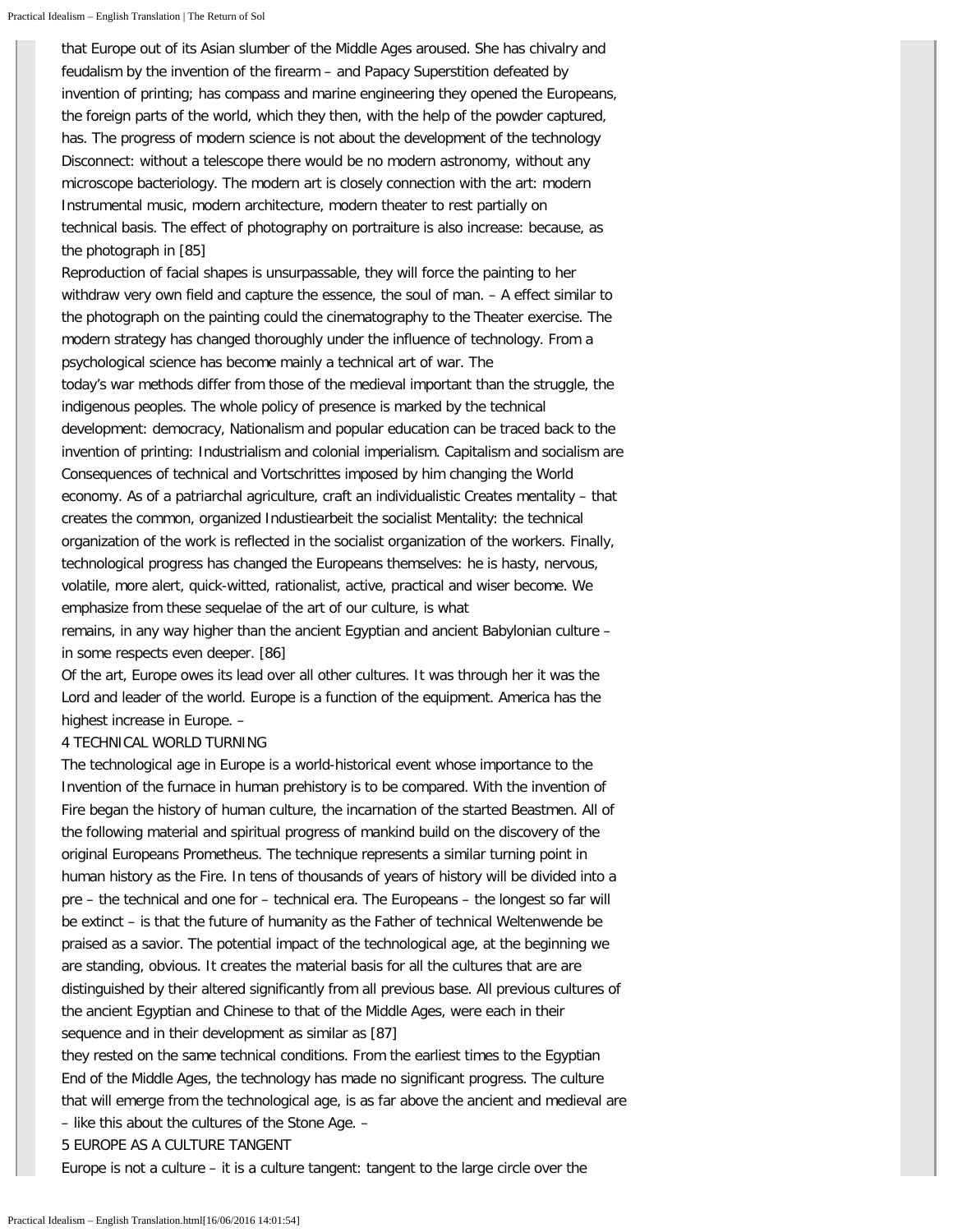that Europe out of its Asian slumber of the Middle Ages aroused. She has chivalry and feudalism by the invention of the firearm – and Papacy Superstition defeated by invention of printing; has compass and marine engineering they opened the Europeans, the foreign parts of the world, which they then, with the help of the powder captured, has. The progress of modern science is not about the development of the technology Disconnect: without a telescope there would be no modern astronomy, without any microscope bacteriology. The modern art is closely connection with the art: modern Instrumental music, modern architecture, modern theater to rest partially on technical basis. The effect of photography on portraiture is also increase: because, as the photograph in [85]

Reproduction of facial shapes is unsurpassable, they will force the painting to her withdraw very own field and capture the essence, the soul of man. – A effect similar to the photograph on the painting could the cinematography to the Theater exercise. The modern strategy has changed thoroughly under the influence of technology. From a psychological science has become mainly a technical art of war. The today's war methods differ from those of the medieval important than the struggle, the indigenous peoples. The whole policy of presence is marked by the technical development: democracy, Nationalism and popular education can be traced back to the invention of printing: Industrialism and colonial imperialism. Capitalism and socialism are Consequences of technical and Vortschrittes imposed by him changing the World economy. As of a patriarchal agriculture, craft an individualistic Creates mentality – that creates the common, organized Industiearbeit the socialist Mentality: the technical organization of the work is reflected in the socialist organization of the workers. Finally, technological progress has changed the Europeans themselves: he is hasty, nervous, volatile, more alert, quick-witted, rationalist, active, practical and wiser become. We emphasize from these sequelae of the art of our culture, is what

remains, in any way higher than the ancient Egyptian and ancient Babylonian culture – in some respects even deeper. [86]

Of the art, Europe owes its lead over all other cultures. It was through her it was the Lord and leader of the world. Europe is a function of the equipment. America has the highest increase in Europe. –

#### 4 TECHNICAL WORLD TURNING

 The technological age in Europe is a world-historical event whose importance to the Invention of the furnace in human prehistory is to be compared. With the invention of Fire began the history of human culture, the incarnation of the started Beastmen. All of the following material and spiritual progress of mankind build on the discovery of the original Europeans Prometheus. The technique represents a similar turning point in human history as the Fire. In tens of thousands of years of history will be divided into a pre – the technical and one for – technical era. The Europeans – the longest so far will be extinct – is that the future of humanity as the Father of technical Weltenwende be praised as a savior. The potential impact of the technological age, at the beginning we are standing, obvious. It creates the material basis for all the cultures that are are distinguished by their altered significantly from all previous base. All previous cultures of the ancient Egyptian and Chinese to that of the Middle Ages, were each in their sequence and in their development as similar as [87]

they rested on the same technical conditions. From the earliest times to the Egyptian End of the Middle Ages, the technology has made no significant progress. The culture that will emerge from the technological age, is as far above the ancient and medieval are – like this about the cultures of the Stone Age. –

5 EUROPE AS A CULTURE TANGENT

Europe is not a culture – it is a culture tangent: tangent to the large circle over the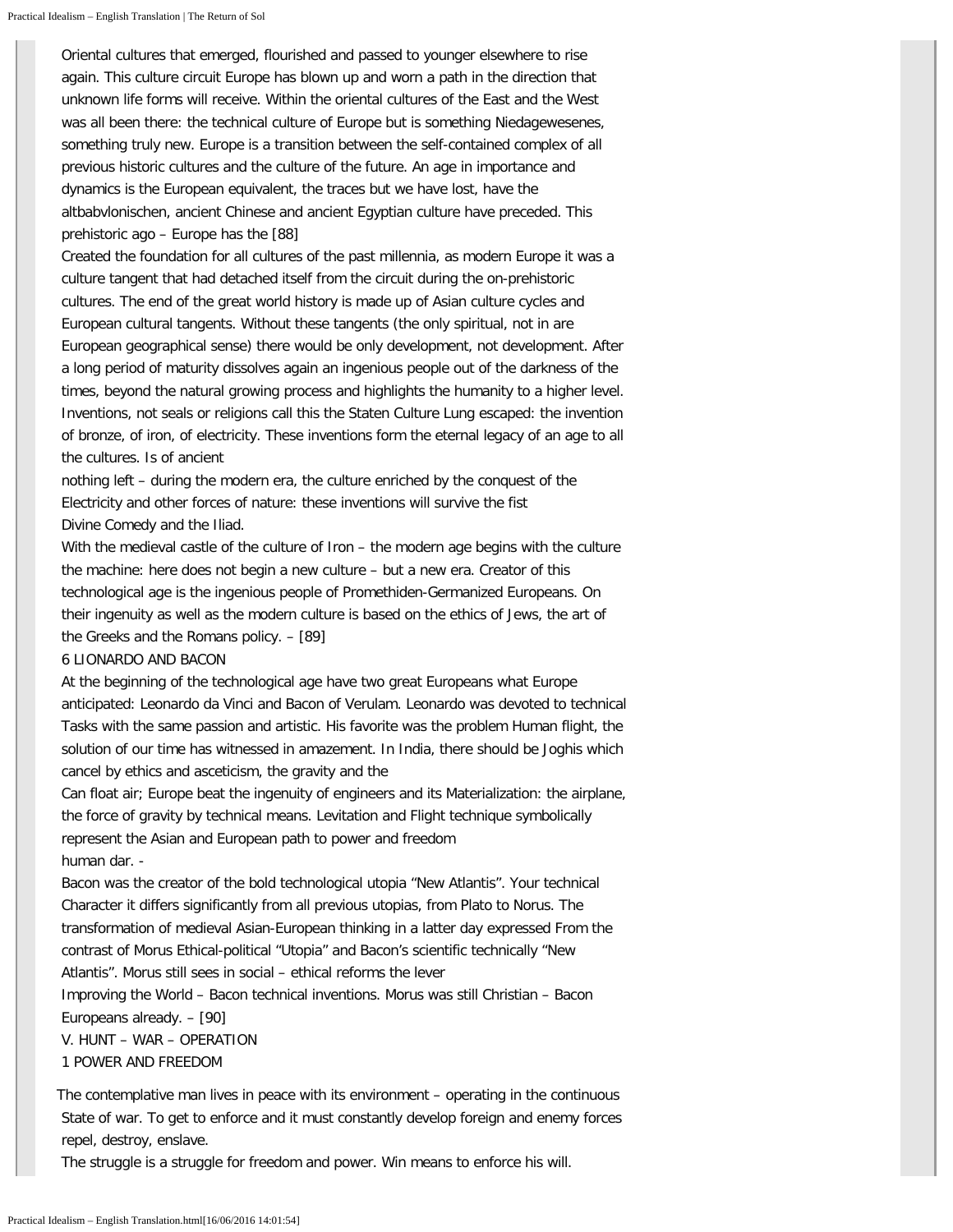Oriental cultures that emerged, flourished and passed to younger elsewhere to rise again. This culture circuit Europe has blown up and worn a path in the direction that unknown life forms will receive. Within the oriental cultures of the East and the West was all been there: the technical culture of Europe but is something Niedagewesenes, something truly new. Europe is a transition between the self-contained complex of all previous historic cultures and the culture of the future. An age in importance and dynamics is the European equivalent, the traces but we have lost, have the altbabvlonischen, ancient Chinese and ancient Egyptian culture have preceded. This prehistoric ago – Europe has the [88]

Created the foundation for all cultures of the past millennia, as modern Europe it was a culture tangent that had detached itself from the circuit during the on-prehistoric cultures. The end of the great world history is made up of Asian culture cycles and European cultural tangents. Without these tangents (the only spiritual, not in are European geographical sense) there would be only development, not development. After a long period of maturity dissolves again an ingenious people out of the darkness of the times, beyond the natural growing process and highlights the humanity to a higher level. Inventions, not seals or religions call this the Staten Culture Lung escaped: the invention of bronze, of iron, of electricity. These inventions form the eternal legacy of an age to all the cultures. Is of ancient

nothing left – during the modern era, the culture enriched by the conquest of the Electricity and other forces of nature: these inventions will survive the fist Divine Comedy and the Iliad.

With the medieval castle of the culture of Iron – the modern age begins with the culture the machine: here does not begin a new culture – but a new era. Creator of this technological age is the ingenious people of Promethiden-Germanized Europeans. On their ingenuity as well as the modern culture is based on the ethics of Jews, the art of the Greeks and the Romans policy. – [89]

#### 6 LIONARDO AND BACON

At the beginning of the technological age have two great Europeans what Europe anticipated: Leonardo da Vinci and Bacon of Verulam. Leonardo was devoted to technical Tasks with the same passion and artistic. His favorite was the problem Human flight, the solution of our time has witnessed in amazement. In India, there should be Joghis which cancel by ethics and asceticism, the gravity and the

Can float air; Europe beat the ingenuity of engineers and its Materialization: the airplane, the force of gravity by technical means. Levitation and Flight technique symbolically represent the Asian and European path to power and freedom human dar. -

Bacon was the creator of the bold technological utopia "New Atlantis". Your technical Character it differs significantly from all previous utopias, from Plato to Norus. The transformation of medieval Asian-European thinking in a latter day expressed From the contrast of Morus Ethical-political "Utopia" and Bacon's scientific technically "New Atlantis". Morus still sees in social – ethical reforms the lever

Improving the World – Bacon technical inventions. Morus was still Christian – Bacon Europeans already. – [90]

V. HUNT – WAR – OPERATION

1 POWER AND FREEDOM

The contemplative man lives in peace with its environment – operating in the continuous State of war. To get to enforce and it must constantly develop foreign and enemy forces repel, destroy, enslave.

The struggle is a struggle for freedom and power. Win means to enforce his will.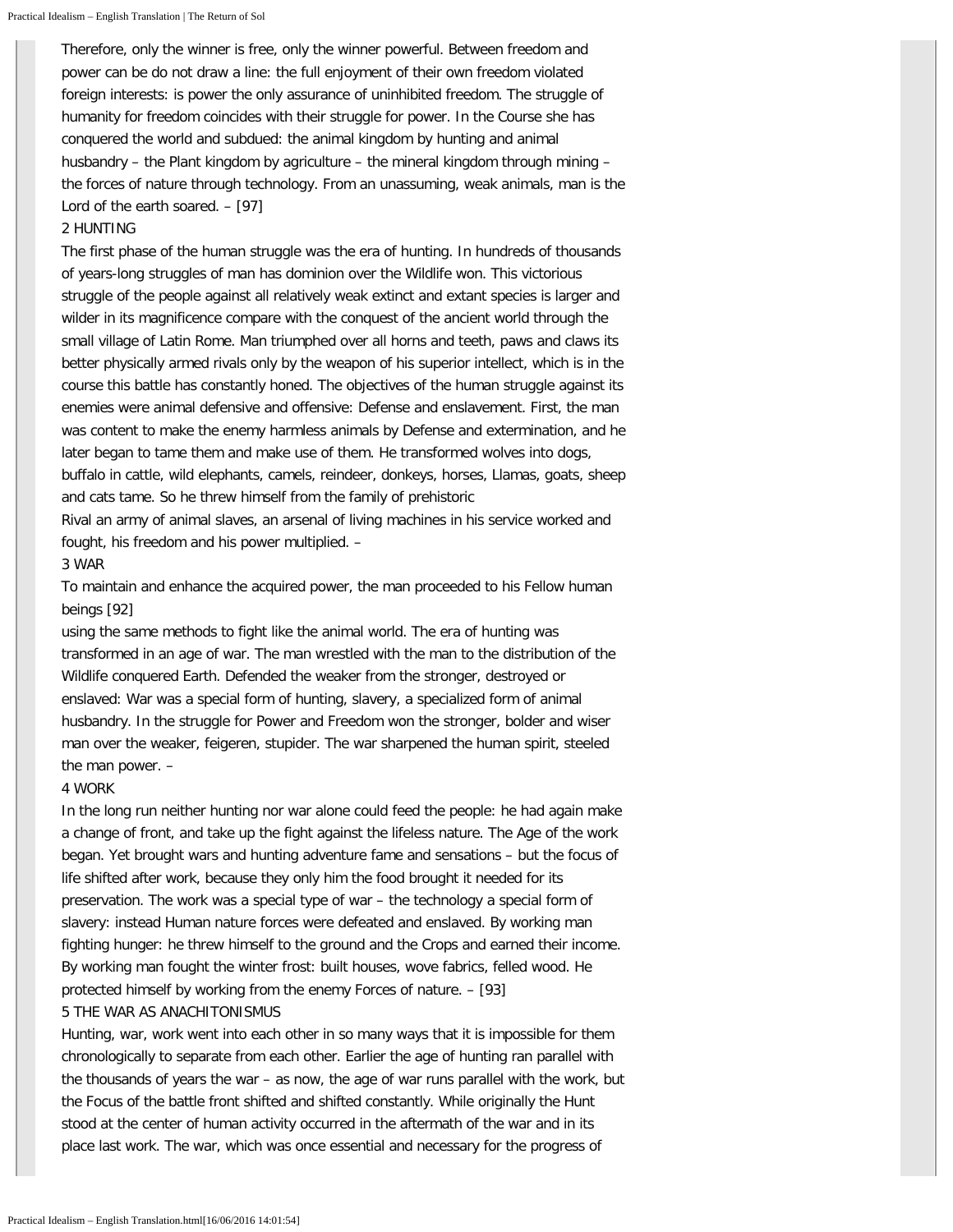Therefore, only the winner is free, only the winner powerful. Between freedom and power can be do not draw a line: the full enjoyment of their own freedom violated foreign interests: is power the only assurance of uninhibited freedom. The struggle of humanity for freedom coincides with their struggle for power. In the Course she has conquered the world and subdued: the animal kingdom by hunting and animal husbandry – the Plant kingdom by agriculture – the mineral kingdom through mining – the forces of nature through technology. From an unassuming, weak animals, man is the Lord of the earth soared. – [97]

#### 2 HUNTING

The first phase of the human struggle was the era of hunting. In hundreds of thousands of years-long struggles of man has dominion over the Wildlife won. This victorious struggle of the people against all relatively weak extinct and extant species is larger and wilder in its magnificence compare with the conquest of the ancient world through the small village of Latin Rome. Man triumphed over all horns and teeth, paws and claws its better physically armed rivals only by the weapon of his superior intellect, which is in the course this battle has constantly honed. The objectives of the human struggle against its enemies were animal defensive and offensive: Defense and enslavement. First, the man was content to make the enemy harmless animals by Defense and extermination, and he later began to tame them and make use of them. He transformed wolves into dogs,

 buffalo in cattle, wild elephants, camels, reindeer, donkeys, horses, Llamas, goats, sheep and cats tame. So he threw himself from the family of prehistoric

Rival an army of animal slaves, an arsenal of living machines in his service worked and fought, his freedom and his power multiplied. –

# 3 WAR

To maintain and enhance the acquired power, the man proceeded to his Fellow human beings [92]

using the same methods to fight like the animal world. The era of hunting was transformed in an age of war. The man wrestled with the man to the distribution of the Wildlife conquered Earth. Defended the weaker from the stronger, destroyed or enslaved: War was a special form of hunting, slavery, a specialized form of animal husbandry. In the struggle for Power and Freedom won the stronger, bolder and wiser man over the weaker, feigeren, stupider. The war sharpened the human spirit, steeled the man power. –

## 4 WORK

In the long run neither hunting nor war alone could feed the people: he had again make a change of front, and take up the fight against the lifeless nature. The Age of the work began. Yet brought wars and hunting adventure fame and sensations – but the focus of life shifted after work, because they only him the food brought it needed for its preservation. The work was a special type of war – the technology a special form of slavery: instead Human nature forces were defeated and enslaved. By working man fighting hunger: he threw himself to the ground and the Crops and earned their income. By working man fought the winter frost: built houses, wove fabrics, felled wood. He protected himself by working from the enemy Forces of nature. – [93] 5 THE WAR AS ANACHITONISMUS

Hunting, war, work went into each other in so many ways that it is impossible for them chronologically to separate from each other. Earlier the age of hunting ran parallel with the thousands of years the war – as now, the age of war runs parallel with the work, but the Focus of the battle front shifted and shifted constantly. While originally the Hunt stood at the center of human activity occurred in the aftermath of the war and in its place last work. The war, which was once essential and necessary for the progress of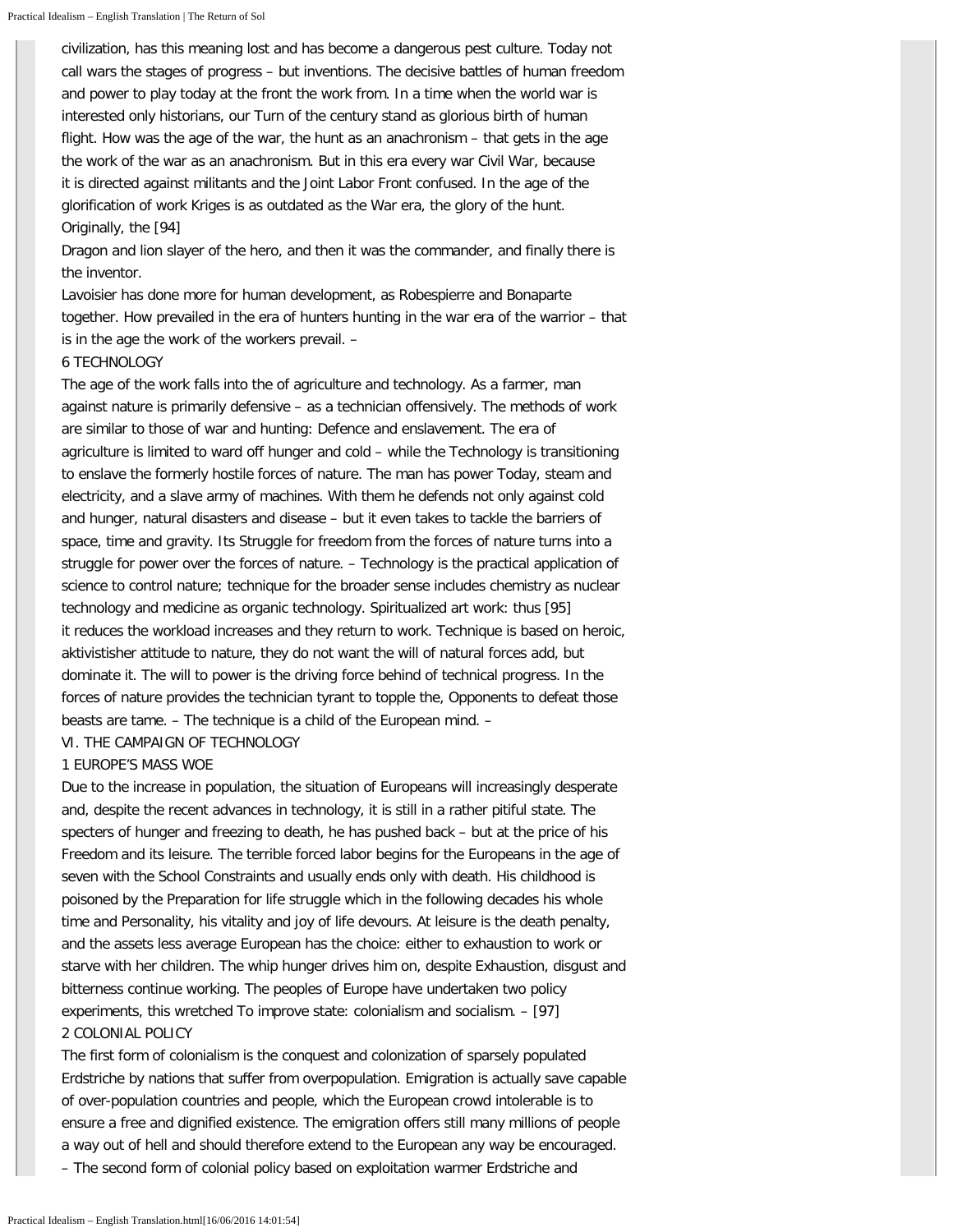civilization, has this meaning lost and has become a dangerous pest culture. Today not call wars the stages of progress – but inventions. The decisive battles of human freedom and power to play today at the front the work from. In a time when the world war is interested only historians, our Turn of the century stand as glorious birth of human flight. How was the age of the war, the hunt as an anachronism – that gets in the age the work of the war as an anachronism. But in this era every war Civil War, because it is directed against militants and the Joint Labor Front confused. In the age of the glorification of work Kriges is as outdated as the War era, the glory of the hunt. Originally, the [94]

Dragon and lion slayer of the hero, and then it was the commander, and finally there is the inventor.

Lavoisier has done more for human development, as Robespierre and Bonaparte together. How prevailed in the era of hunters hunting in the war era of the warrior – that is in the age the work of the workers prevail. –

#### 6 TECHNOLOGY

The age of the work falls into the of agriculture and technology. As a farmer, man against nature is primarily defensive – as a technician offensively. The methods of work are similar to those of war and hunting: Defence and enslavement. The era of agriculture is limited to ward off hunger and cold – while the Technology is transitioning to enslave the formerly hostile forces of nature. The man has power Today, steam and electricity, and a slave army of machines. With them he defends not only against cold and hunger, natural disasters and disease – but it even takes to tackle the barriers of space, time and gravity. Its Struggle for freedom from the forces of nature turns into a struggle for power over the forces of nature. – Technology is the practical application of science to control nature; technique for the broader sense includes chemistry as nuclear technology and medicine as organic technology. Spiritualized art work: thus [95] it reduces the workload increases and they return to work. Technique is based on heroic, aktivistisher attitude to nature, they do not want the will of natural forces add, but dominate it. The will to power is the driving force behind of technical progress. In the forces of nature provides the technician tyrant to topple the, Opponents to defeat those beasts are tame. – The technique is a child of the European mind. – VI. THE CAMPAIGN OF TECHNOLOGY

#### 1 EUROPE'S MASS WOE

Due to the increase in population, the situation of Europeans will increasingly desperate and, despite the recent advances in technology, it is still in a rather pitiful state. The specters of hunger and freezing to death, he has pushed back – but at the price of his Freedom and its leisure. The terrible forced labor begins for the Europeans in the age of seven with the School Constraints and usually ends only with death. His childhood is poisoned by the Preparation for life struggle which in the following decades his whole time and Personality, his vitality and joy of life devours. At leisure is the death penalty, and the assets less average European has the choice: either to exhaustion to work or starve with her children. The whip hunger drives him on, despite Exhaustion, disgust and bitterness continue working. The peoples of Europe have undertaken two policy experiments, this wretched To improve state: colonialism and socialism. – [97] 2 COLONIAL POLICY

The first form of colonialism is the conquest and colonization of sparsely populated Erdstriche by nations that suffer from overpopulation. Emigration is actually save capable of over-population countries and people, which the European crowd intolerable is to ensure a free and dignified existence. The emigration offers still many millions of people a way out of hell and should therefore extend to the European any way be encouraged.

– The second form of colonial policy based on exploitation warmer Erdstriche and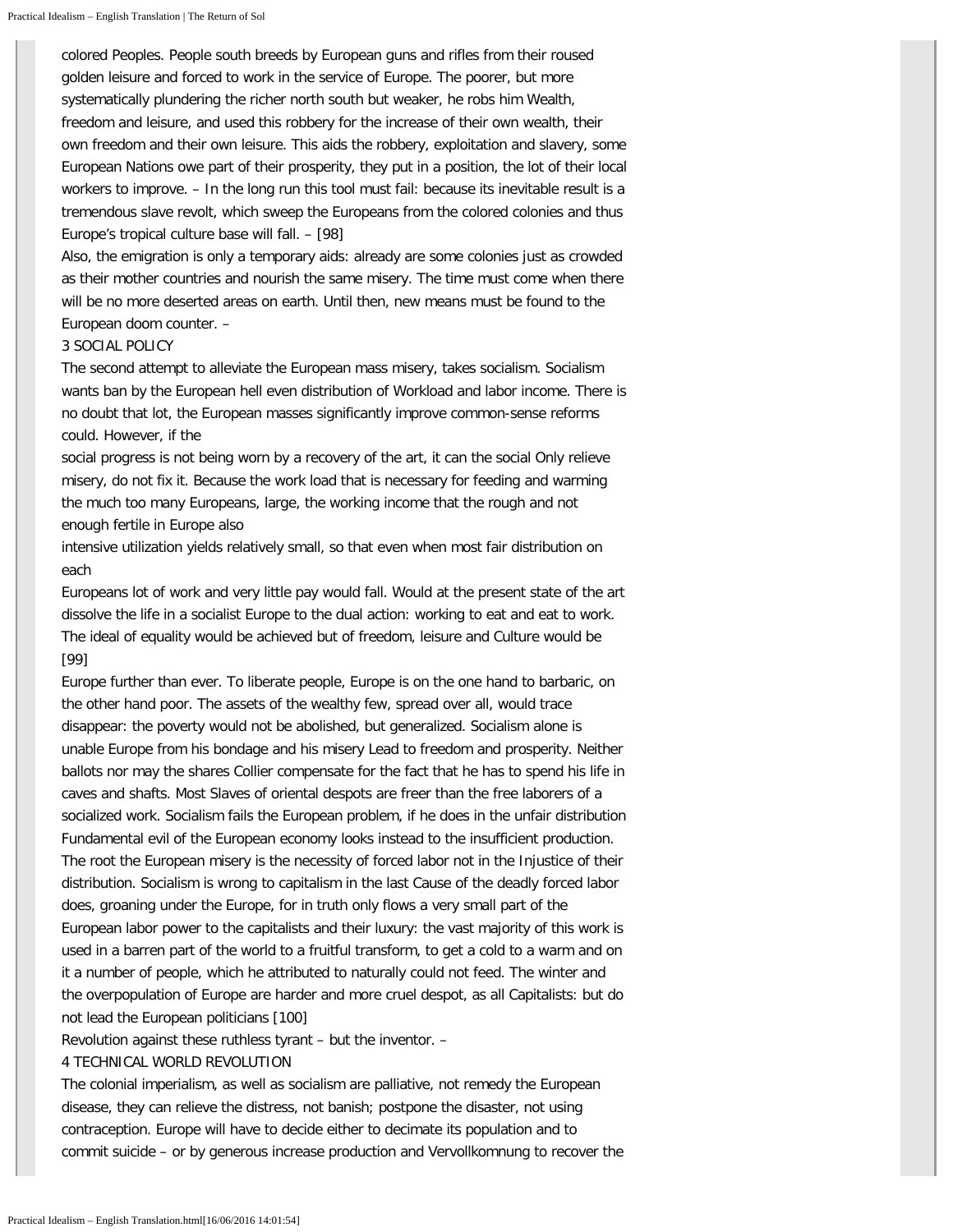colored Peoples. People south breeds by European guns and rifles from their roused golden leisure and forced to work in the service of Europe. The poorer, but more systematically plundering the richer north south but weaker, he robs him Wealth, freedom and leisure, and used this robbery for the increase of their own wealth, their own freedom and their own leisure. This aids the robbery, exploitation and slavery, some European Nations owe part of their prosperity, they put in a position, the lot of their local workers to improve. – In the long run this tool must fail: because its inevitable result is a tremendous slave revolt, which sweep the Europeans from the colored colonies and thus Europe's tropical culture base will fall. – [98]

Also, the emigration is only a temporary aids: already are some colonies just as crowded as their mother countries and nourish the same misery. The time must come when there will be no more deserted areas on earth. Until then, new means must be found to the European doom counter. –

#### 3 SOCIAL POLICY

The second attempt to alleviate the European mass misery, takes socialism. Socialism wants ban by the European hell even distribution of Workload and labor income. There is no doubt that lot, the European masses significantly improve common-sense reforms could. However, if the

social progress is not being worn by a recovery of the art, it can the social Only relieve misery, do not fix it. Because the work load that is necessary for feeding and warming the much too many Europeans, large, the working income that the rough and not enough fertile in Europe also

intensive utilization yields relatively small, so that even when most fair distribution on each

Europeans lot of work and very little pay would fall. Would at the present state of the art dissolve the life in a socialist Europe to the dual action: working to eat and eat to work. The ideal of equality would be achieved but of freedom, leisure and Culture would be [99]

 Europe further than ever. To liberate people, Europe is on the one hand to barbaric, on the other hand poor. The assets of the wealthy few, spread over all, would trace disappear: the poverty would not be abolished, but generalized. Socialism alone is unable Europe from his bondage and his misery Lead to freedom and prosperity. Neither ballots nor may the shares Collier compensate for the fact that he has to spend his life in caves and shafts. Most Slaves of oriental despots are freer than the free laborers of a socialized work. Socialism fails the European problem, if he does in the unfair distribution Fundamental evil of the European economy looks instead to the insufficient production. The root the European misery is the necessity of forced labor not in the Injustice of their distribution. Socialism is wrong to capitalism in the last Cause of the deadly forced labor does, groaning under the Europe, for in truth only flows a very small part of the European labor power to the capitalists and their luxury: the vast majority of this work is used in a barren part of the world to a fruitful transform, to get a cold to a warm and on it a number of people, which he attributed to naturally could not feed. The winter and the overpopulation of Europe are harder and more cruel despot, as all Capitalists: but do not lead the European politicians [100]

Revolution against these ruthless tyrant – but the inventor. –

## 4 TECHNICAL WORLD REVOLUTION

The colonial imperialism, as well as socialism are palliative, not remedy the European disease, they can relieve the distress, not banish; postpone the disaster, not using contraception. Europe will have to decide either to decimate its population and to commit suicide – or by generous increase production and Vervollkomnung to recover the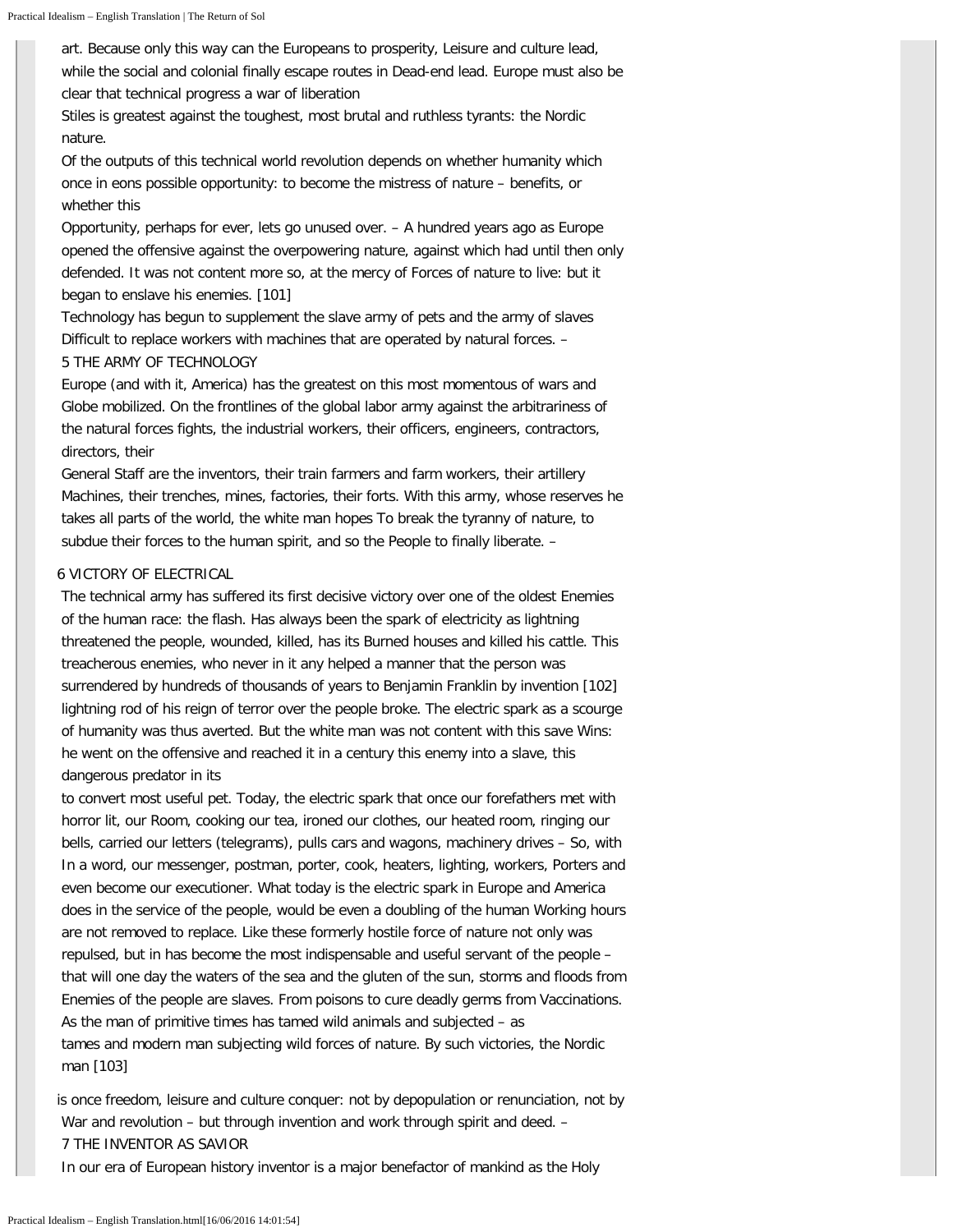art. Because only this way can the Europeans to prosperity, Leisure and culture lead, while the social and colonial finally escape routes in Dead-end lead. Europe must also be clear that technical progress a war of liberation

Stiles is greatest against the toughest, most brutal and ruthless tyrants: the Nordic nature.

Of the outputs of this technical world revolution depends on whether humanity which once in eons possible opportunity: to become the mistress of nature – benefits, or whether this

Opportunity, perhaps for ever, lets go unused over. – A hundred years ago as Europe opened the offensive against the overpowering nature, against which had until then only defended. It was not content more so, at the mercy of Forces of nature to live: but it began to enslave his enemies. [101]

Technology has begun to supplement the slave army of pets and the army of slaves Difficult to replace workers with machines that are operated by natural forces. – 5 THE ARMY OF TECHNOLOGY

Europe (and with it, America) has the greatest on this most momentous of wars and Globe mobilized. On the frontlines of the global labor army against the arbitrariness of the natural forces fights, the industrial workers, their officers, engineers, contractors, directors, their

General Staff are the inventors, their train farmers and farm workers, their artillery Machines, their trenches, mines, factories, their forts. With this army, whose reserves he takes all parts of the world, the white man hopes To break the tyranny of nature, to subdue their forces to the human spirit, and so the People to finally liberate. –

# 6 VICTORY OF ELECTRICAL

The technical army has suffered its first decisive victory over one of the oldest Enemies of the human race: the flash. Has always been the spark of electricity as lightning threatened the people, wounded, killed, has its Burned houses and killed his cattle. This treacherous enemies, who never in it any helped a manner that the person was surrendered by hundreds of thousands of years to Benjamin Franklin by invention [102] lightning rod of his reign of terror over the people broke. The electric spark as a scourge of humanity was thus averted. But the white man was not content with this save Wins: he went on the offensive and reached it in a century this enemy into a slave, this dangerous predator in its

to convert most useful pet. Today, the electric spark that once our forefathers met with horror lit, our Room, cooking our tea, ironed our clothes, our heated room, ringing our bells, carried our letters (telegrams), pulls cars and wagons, machinery drives – So, with In a word, our messenger, postman, porter, cook, heaters, lighting, workers, Porters and even become our executioner. What today is the electric spark in Europe and America does in the service of the people, would be even a doubling of the human Working hours are not removed to replace. Like these formerly hostile force of nature not only was repulsed, but in has become the most indispensable and useful servant of the people – that will one day the waters of the sea and the gluten of the sun, storms and floods from Enemies of the people are slaves. From poisons to cure deadly germs from Vaccinations. As the man of primitive times has tamed wild animals and subjected – as tames and modern man subjecting wild forces of nature. By such victories, the Nordic man [103]

is once freedom, leisure and culture conquer: not by depopulation or renunciation, not by War and revolution – but through invention and work through spirit and deed. – 7 THE INVENTOR AS SAVIOR

In our era of European history inventor is a major benefactor of mankind as the Holy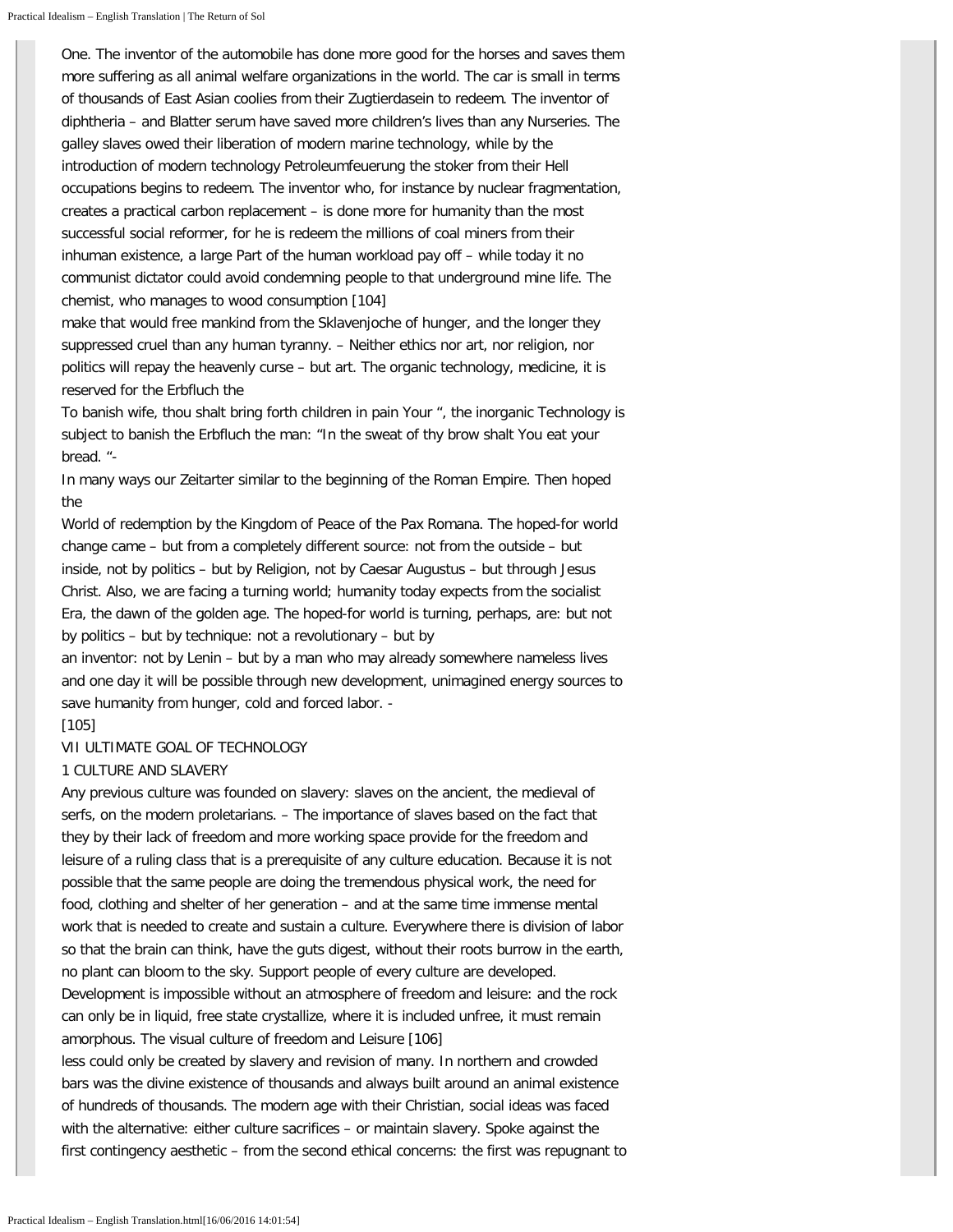One. The inventor of the automobile has done more good for the horses and saves them more suffering as all animal welfare organizations in the world. The car is small in terms of thousands of East Asian coolies from their Zugtierdasein to redeem. The inventor of diphtheria – and Blatter serum have saved more children's lives than any Nurseries. The galley slaves owed their liberation of modern marine technology, while by the introduction of modern technology Petroleumfeuerung the stoker from their Hell occupations begins to redeem. The inventor who, for instance by nuclear fragmentation, creates a practical carbon replacement – is done more for humanity than the most successful social reformer, for he is redeem the millions of coal miners from their inhuman existence, a large Part of the human workload pay off – while today it no communist dictator could avoid condemning people to that underground mine life. The chemist, who manages to wood consumption [104]

make that would free mankind from the Sklavenjoche of hunger, and the longer they suppressed cruel than any human tyranny. – Neither ethics nor art, nor religion, nor politics will repay the heavenly curse – but art. The organic technology, medicine, it is reserved for the Erbfluch the

To banish wife, thou shalt bring forth children in pain Your ", the inorganic Technology is subject to banish the Erbfluch the man: "In the sweat of thy brow shalt You eat your bread. "-

In many ways our Zeitarter similar to the beginning of the Roman Empire. Then hoped the

World of redemption by the Kingdom of Peace of the Pax Romana. The hoped-for world change came – but from a completely different source: not from the outside – but inside, not by politics – but by Religion, not by Caesar Augustus – but through Jesus Christ. Also, we are facing a turning world; humanity today expects from the socialist Era, the dawn of the golden age. The hoped-for world is turning, perhaps, are: but not by politics – but by technique: not a revolutionary – but by

an inventor: not by Lenin – but by a man who may already somewhere nameless lives and one day it will be possible through new development, unimagined energy sources to save humanity from hunger, cold and forced labor. -

# [105]

### VII ULTIMATE GOAL OF TECHNOLOGY

## 1 CULTURE AND SLAVERY

Any previous culture was founded on slavery: slaves on the ancient, the medieval of serfs, on the modern proletarians. – The importance of slaves based on the fact that they by their lack of freedom and more working space provide for the freedom and leisure of a ruling class that is a prerequisite of any culture education. Because it is not possible that the same people are doing the tremendous physical work, the need for food, clothing and shelter of her generation – and at the same time immense mental work that is needed to create and sustain a culture. Everywhere there is division of labor so that the brain can think, have the guts digest, without their roots burrow in the earth, no plant can bloom to the sky. Support people of every culture are developed. Development is impossible without an atmosphere of freedom and leisure: and the rock can only be in liquid, free state crystallize, where it is included unfree, it must remain amorphous. The visual culture of freedom and Leisure [106]

less could only be created by slavery and revision of many. In northern and crowded bars was the divine existence of thousands and always built around an animal existence of hundreds of thousands. The modern age with their Christian, social ideas was faced with the alternative: either culture sacrifices – or maintain slavery. Spoke against the first contingency aesthetic – from the second ethical concerns: the first was repugnant to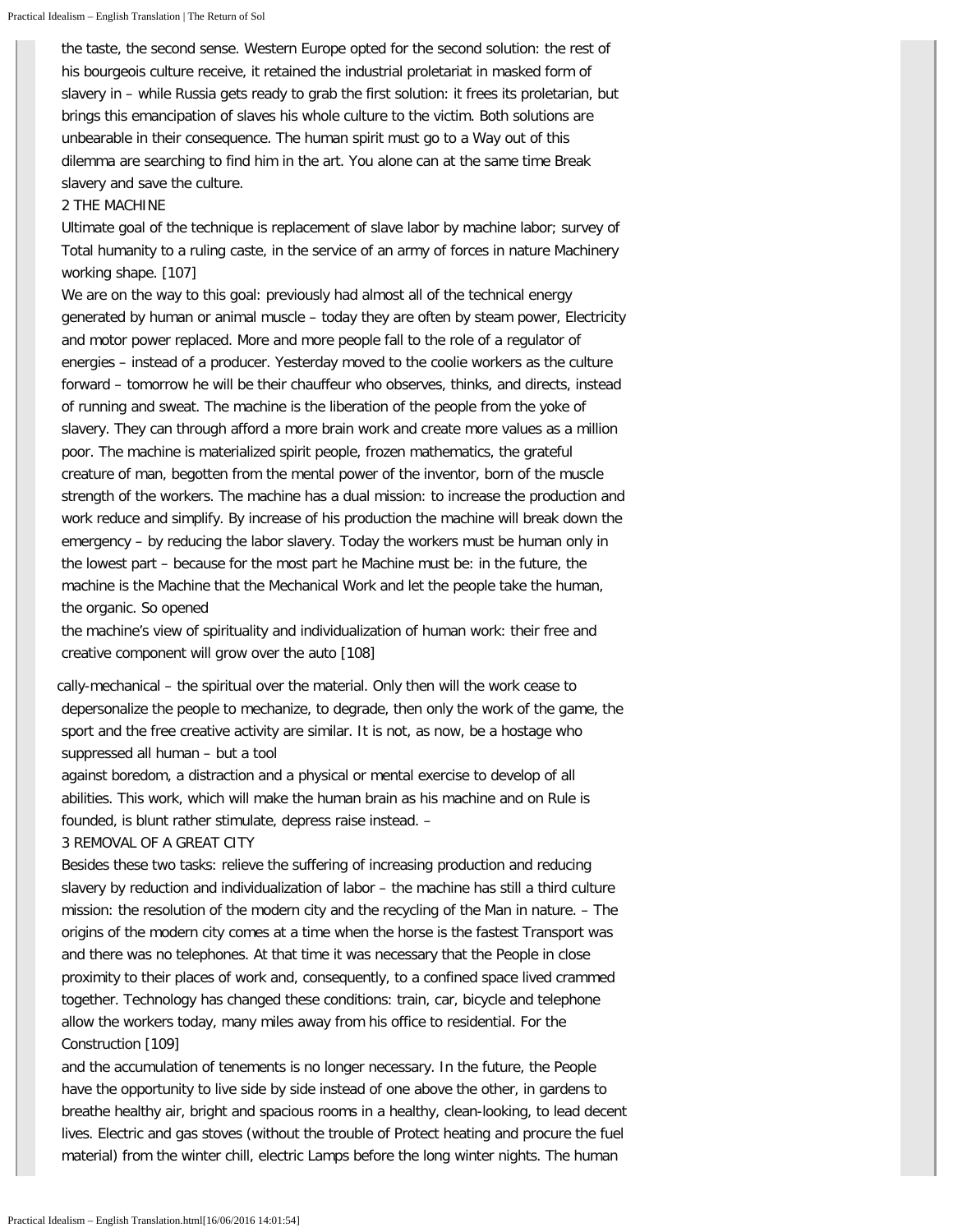the taste, the second sense. Western Europe opted for the second solution: the rest of his bourgeois culture receive, it retained the industrial proletariat in masked form of slavery in – while Russia gets ready to grab the first solution: it frees its proletarian, but brings this emancipation of slaves his whole culture to the victim. Both solutions are unbearable in their consequence. The human spirit must go to a Way out of this dilemma are searching to find him in the art. You alone can at the same time Break slavery and save the culture.

# 2 THE MACHINE

Ultimate goal of the technique is replacement of slave labor by machine labor; survey of Total humanity to a ruling caste, in the service of an army of forces in nature Machinery working shape. [107]

We are on the way to this goal: previously had almost all of the technical energy generated by human or animal muscle – today they are often by steam power, Electricity and motor power replaced. More and more people fall to the role of a regulator of energies – instead of a producer. Yesterday moved to the coolie workers as the culture forward – tomorrow he will be their chauffeur who observes, thinks, and directs, instead of running and sweat. The machine is the liberation of the people from the yoke of slavery. They can through afford a more brain work and create more values as a million poor. The machine is materialized spirit people, frozen mathematics, the grateful creature of man, begotten from the mental power of the inventor, born of the muscle strength of the workers. The machine has a dual mission: to increase the production and work reduce and simplify. By increase of his production the machine will break down the emergency – by reducing the labor slavery. Today the workers must be human only in the lowest part – because for the most part he Machine must be: in the future, the machine is the Machine that the Mechanical Work and let the people take the human, the organic. So opened

the machine's view of spirituality and individualization of human work: their free and creative component will grow over the auto [108]

cally-mechanical – the spiritual over the material. Only then will the work cease to depersonalize the people to mechanize, to degrade, then only the work of the game, the sport and the free creative activity are similar. It is not, as now, be a hostage who suppressed all human – but a tool

against boredom, a distraction and a physical or mental exercise to develop of all abilities. This work, which will make the human brain as his machine and on Rule is founded, is blunt rather stimulate, depress raise instead. –

#### 3 REMOVAL OF A GREAT CITY

Besides these two tasks: relieve the suffering of increasing production and reducing slavery by reduction and individualization of labor – the machine has still a third culture mission: the resolution of the modern city and the recycling of the Man in nature. – The origins of the modern city comes at a time when the horse is the fastest Transport was and there was no telephones. At that time it was necessary that the People in close proximity to their places of work and, consequently, to a confined space lived crammed together. Technology has changed these conditions: train, car, bicycle and telephone allow the workers today, many miles away from his office to residential. For the Construction [109]

and the accumulation of tenements is no longer necessary. In the future, the People have the opportunity to live side by side instead of one above the other, in gardens to breathe healthy air, bright and spacious rooms in a healthy, clean-looking, to lead decent lives. Electric and gas stoves (without the trouble of Protect heating and procure the fuel material) from the winter chill, electric Lamps before the long winter nights. The human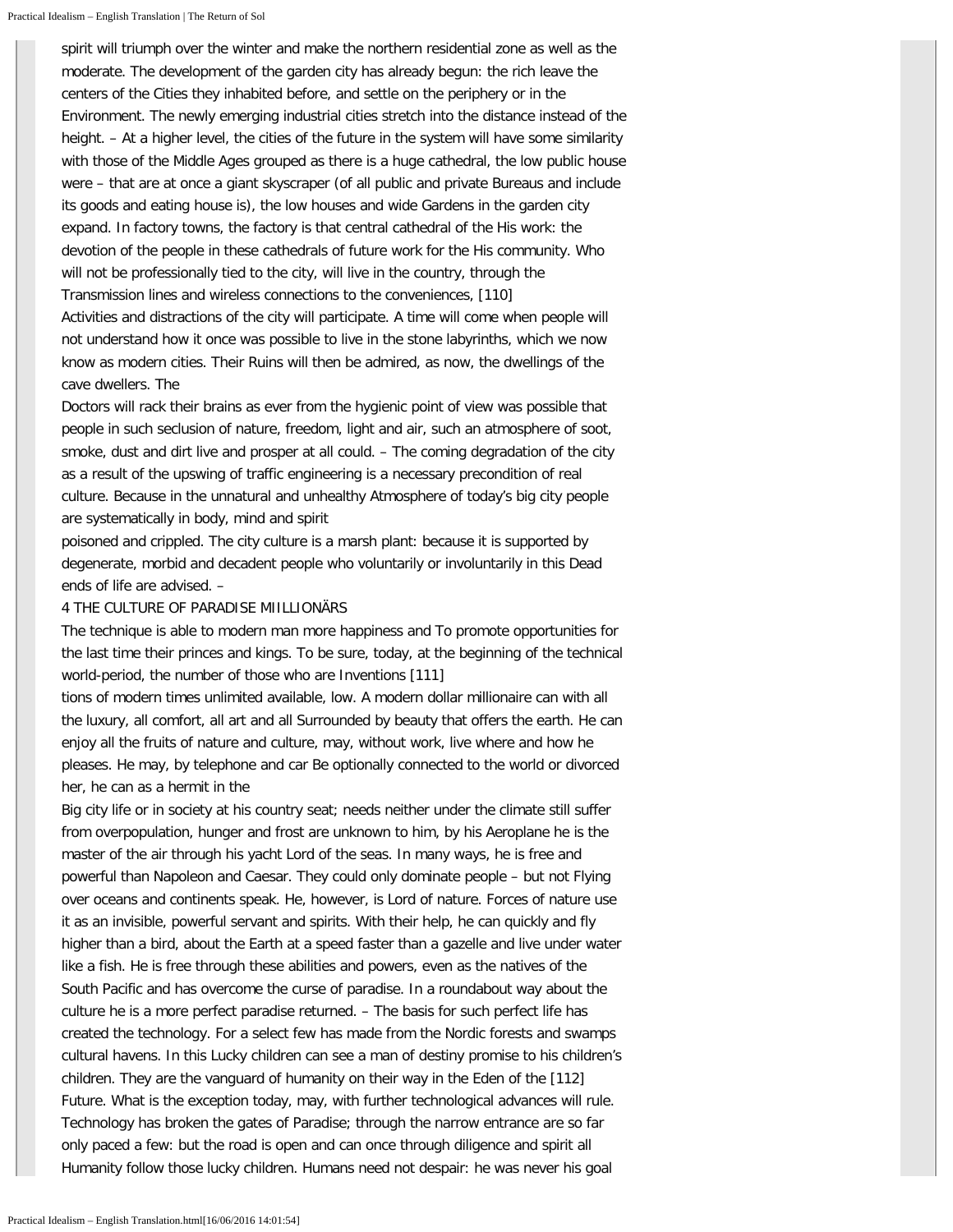spirit will triumph over the winter and make the northern residential zone as well as the moderate. The development of the garden city has already begun: the rich leave the centers of the Cities they inhabited before, and settle on the periphery or in the Environment. The newly emerging industrial cities stretch into the distance instead of the height. – At a higher level, the cities of the future in the system will have some similarity with those of the Middle Ages grouped as there is a huge cathedral, the low public house were – that are at once a giant skyscraper (of all public and private Bureaus and include its goods and eating house is), the low houses and wide Gardens in the garden city expand. In factory towns, the factory is that central cathedral of the His work: the devotion of the people in these cathedrals of future work for the His community. Who will not be professionally tied to the city, will live in the country, through the Transmission lines and wireless connections to the conveniences, [110] Activities and distractions of the city will participate. A time will come when people will not understand how it once was possible to live in the stone labyrinths, which we now know as modern cities. Their Ruins will then be admired, as now, the dwellings of the

 cave dwellers. The Doctors will rack their brains as ever from the hygienic point of view was possible that people in such seclusion of nature, freedom, light and air, such an atmosphere of soot, smoke, dust and dirt live and prosper at all could. – The coming degradation of the city as a result of the upswing of traffic engineering is a necessary precondition of real culture. Because in the unnatural and unhealthy Atmosphere of today's big city people are systematically in body, mind and spirit

poisoned and crippled. The city culture is a marsh plant: because it is supported by degenerate, morbid and decadent people who voluntarily or involuntarily in this Dead ends of life are advised. –

# 4 THE CULTURE OF PARADISE MIILLIONÄRS

The technique is able to modern man more happiness and To promote opportunities for the last time their princes and kings. To be sure, today, at the beginning of the technical world-period, the number of those who are Inventions [111]

 tions of modern times unlimited available, low. A modern dollar millionaire can with all the luxury, all comfort, all art and all Surrounded by beauty that offers the earth. He can enjoy all the fruits of nature and culture, may, without work, live where and how he pleases. He may, by telephone and car Be optionally connected to the world or divorced her, he can as a hermit in the

Big city life or in society at his country seat; needs neither under the climate still suffer from overpopulation, hunger and frost are unknown to him, by his Aeroplane he is the master of the air through his yacht Lord of the seas. In many ways, he is free and powerful than Napoleon and Caesar. They could only dominate people – but not Flying over oceans and continents speak. He, however, is Lord of nature. Forces of nature use it as an invisible, powerful servant and spirits. With their help, he can quickly and fly higher than a bird, about the Earth at a speed faster than a gazelle and live under water like a fish. He is free through these abilities and powers, even as the natives of the South Pacific and has overcome the curse of paradise. In a roundabout way about the culture he is a more perfect paradise returned. – The basis for such perfect life has created the technology. For a select few has made from the Nordic forests and swamps cultural havens. In this Lucky children can see a man of destiny promise to his children's children. They are the vanguard of humanity on their way in the Eden of the [112] Future. What is the exception today, may, with further technological advances will rule. Technology has broken the gates of Paradise; through the narrow entrance are so far only paced a few: but the road is open and can once through diligence and spirit all Humanity follow those lucky children. Humans need not despair: he was never his goal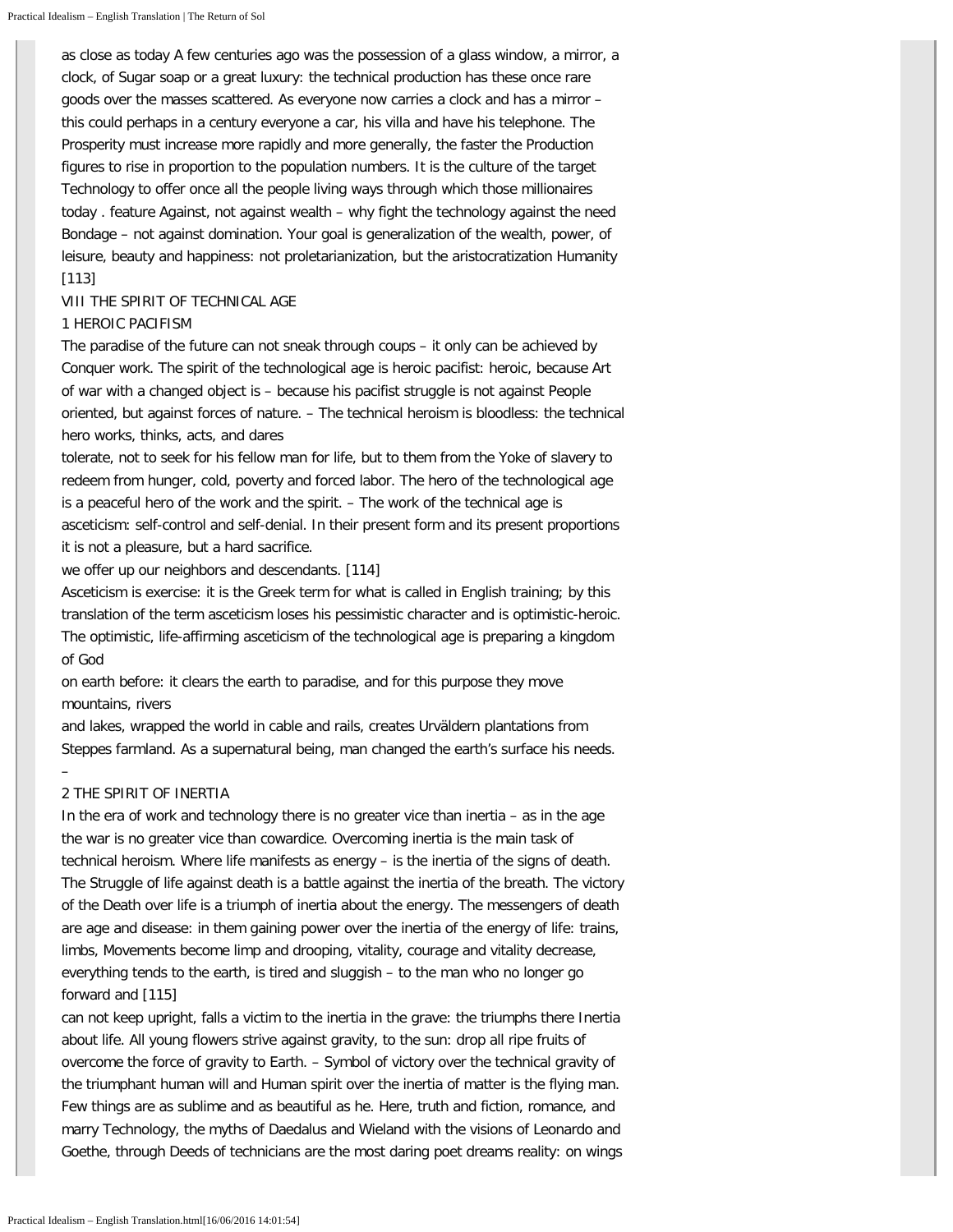as close as today A few centuries ago was the possession of a glass window, a mirror, a clock, of Sugar soap or a great luxury: the technical production has these once rare goods over the masses scattered. As everyone now carries a clock and has a mirror – this could perhaps in a century everyone a car, his villa and have his telephone. The Prosperity must increase more rapidly and more generally, the faster the Production figures to rise in proportion to the population numbers. It is the culture of the target Technology to offer once all the people living ways through which those millionaires today . feature Against, not against wealth – why fight the technology against the need Bondage – not against domination. Your goal is generalization of the wealth, power, of leisure, beauty and happiness: not proletarianization, but the aristocratization Humanity [113]

# VIII THE SPIRIT OF TECHNICAL AGE

#### 1 HEROIC PACIFISM

The paradise of the future can not sneak through coups – it only can be achieved by Conquer work. The spirit of the technological age is heroic pacifist: heroic, because Art of war with a changed object is – because his pacifist struggle is not against People oriented, but against forces of nature. – The technical heroism is bloodless: the technical hero works, thinks, acts, and dares

tolerate, not to seek for his fellow man for life, but to them from the Yoke of slavery to redeem from hunger, cold, poverty and forced labor. The hero of the technological age is a peaceful hero of the work and the spirit. – The work of the technical age is asceticism: self-control and self-denial. In their present form and its present proportions it is not a pleasure, but a hard sacrifice.

we offer up our neighbors and descendants. [114]

Asceticism is exercise: it is the Greek term for what is called in English training; by this translation of the term asceticism loses his pessimistic character and is optimistic-heroic. The optimistic, life-affirming asceticism of the technological age is preparing a kingdom of God

on earth before: it clears the earth to paradise, and for this purpose they move mountains, rivers

and lakes, wrapped the world in cable and rails, creates Urväldern plantations from Steppes farmland. As a supernatural being, man changed the earth's surface his needs.

# 2 THE SPIRIT OF INERTIA

–

In the era of work and technology there is no greater vice than inertia – as in the age the war is no greater vice than cowardice. Overcoming inertia is the main task of technical heroism. Where life manifests as energy – is the inertia of the signs of death. The Struggle of life against death is a battle against the inertia of the breath. The victory of the Death over life is a triumph of inertia about the energy. The messengers of death are age and disease: in them gaining power over the inertia of the energy of life: trains, limbs, Movements become limp and drooping, vitality, courage and vitality decrease, everything tends to the earth, is tired and sluggish – to the man who no longer go forward and [115]

can not keep upright, falls a victim to the inertia in the grave: the triumphs there Inertia about life. All young flowers strive against gravity, to the sun: drop all ripe fruits of overcome the force of gravity to Earth. – Symbol of victory over the technical gravity of the triumphant human will and Human spirit over the inertia of matter is the flying man. Few things are as sublime and as beautiful as he. Here, truth and fiction, romance, and marry Technology, the myths of Daedalus and Wieland with the visions of Leonardo and Goethe, through Deeds of technicians are the most daring poet dreams reality: on wings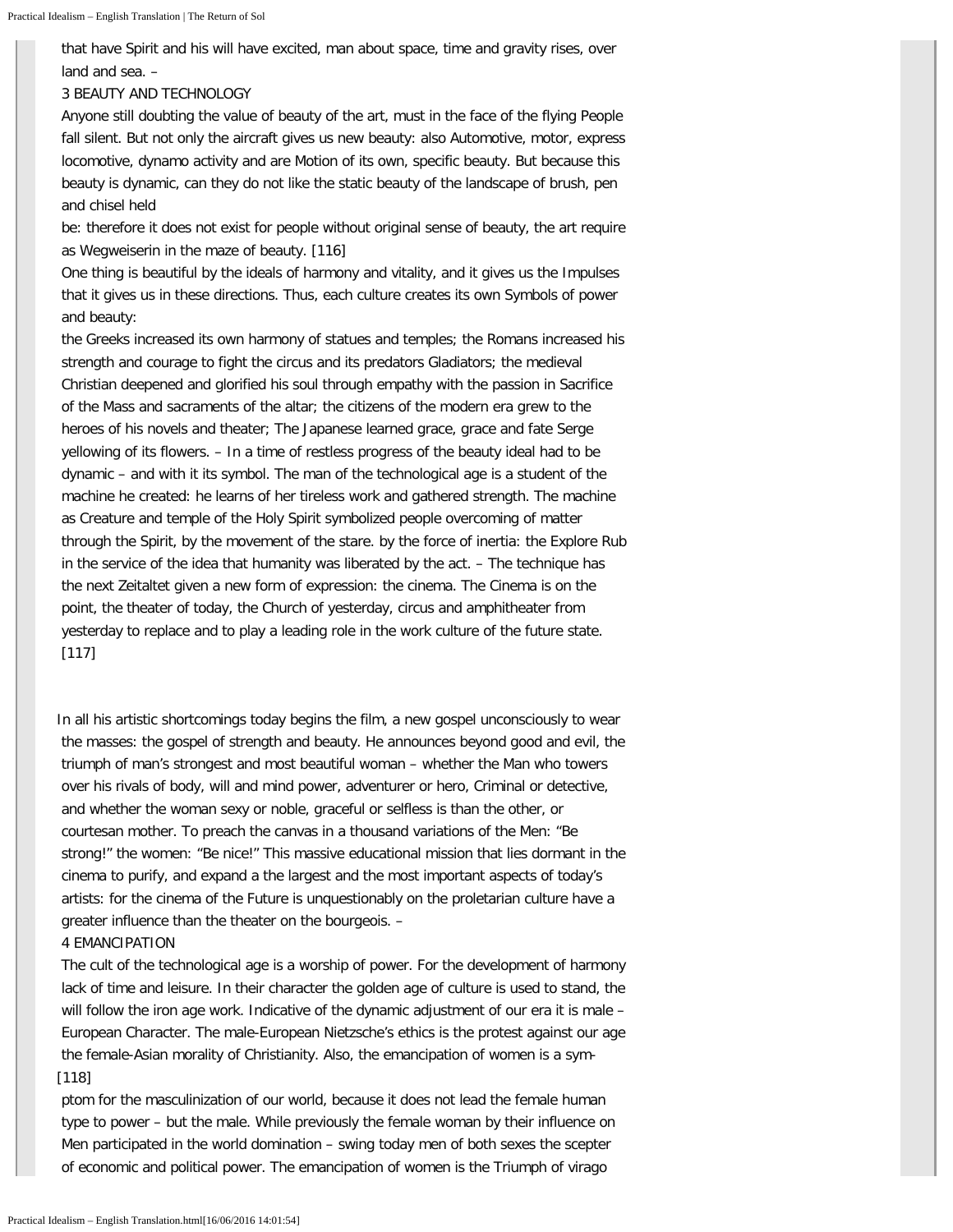that have Spirit and his will have excited, man about space, time and gravity rises, over land and sea. –

# 3 BEAUTY AND TECHNOLOGY

Anyone still doubting the value of beauty of the art, must in the face of the flying People fall silent. But not only the aircraft gives us new beauty: also Automotive, motor, express locomotive, dynamo activity and are Motion of its own, specific beauty. But because this beauty is dynamic, can they do not like the static beauty of the landscape of brush, pen and chisel held

be: therefore it does not exist for people without original sense of beauty, the art require as Wegweiserin in the maze of beauty. [116]

One thing is beautiful by the ideals of harmony and vitality, and it gives us the Impulses that it gives us in these directions. Thus, each culture creates its own Symbols of power and beauty:

the Greeks increased its own harmony of statues and temples; the Romans increased his strength and courage to fight the circus and its predators Gladiators; the medieval Christian deepened and glorified his soul through empathy with the passion in Sacrifice of the Mass and sacraments of the altar; the citizens of the modern era grew to the heroes of his novels and theater; The Japanese learned grace, grace and fate Serge yellowing of its flowers. – In a time of restless progress of the beauty ideal had to be dynamic – and with it its symbol. The man of the technological age is a student of the machine he created: he learns of her tireless work and gathered strength. The machine as Creature and temple of the Holy Spirit symbolized people overcoming of matter through the Spirit, by the movement of the stare. by the force of inertia: the Explore Rub in the service of the idea that humanity was liberated by the act. – The technique has the next Zeitaltet given a new form of expression: the cinema. The Cinema is on the point, the theater of today, the Church of yesterday, circus and amphitheater from yesterday to replace and to play a leading role in the work culture of the future state. [117]

In all his artistic shortcomings today begins the film, a new gospel unconsciously to wear the masses: the gospel of strength and beauty. He announces beyond good and evil, the triumph of man's strongest and most beautiful woman – whether the Man who towers over his rivals of body, will and mind power, adventurer or hero, Criminal or detective, and whether the woman sexy or noble, graceful or selfless is than the other, or courtesan mother. To preach the canvas in a thousand variations of the Men: "Be strong!" the women: "Be nice!" This massive educational mission that lies dormant in the cinema to purify, and expand a the largest and the most important aspects of today's artists: for the cinema of the Future is unquestionably on the proletarian culture have a greater influence than the theater on the bourgeois. –

#### 4 EMANCIPATION

The cult of the technological age is a worship of power. For the development of harmony lack of time and leisure. In their character the golden age of culture is used to stand, the will follow the iron age work. Indicative of the dynamic adjustment of our era it is male - European Character. The male-European Nietzsche's ethics is the protest against our age the female-Asian morality of Christianity. Also, the emancipation of women is a sym- [118]

ptom for the masculinization of our world, because it does not lead the female human type to power – but the male. While previously the female woman by their influence on Men participated in the world domination – swing today men of both sexes the scepter of economic and political power. The emancipation of women is the Triumph of virago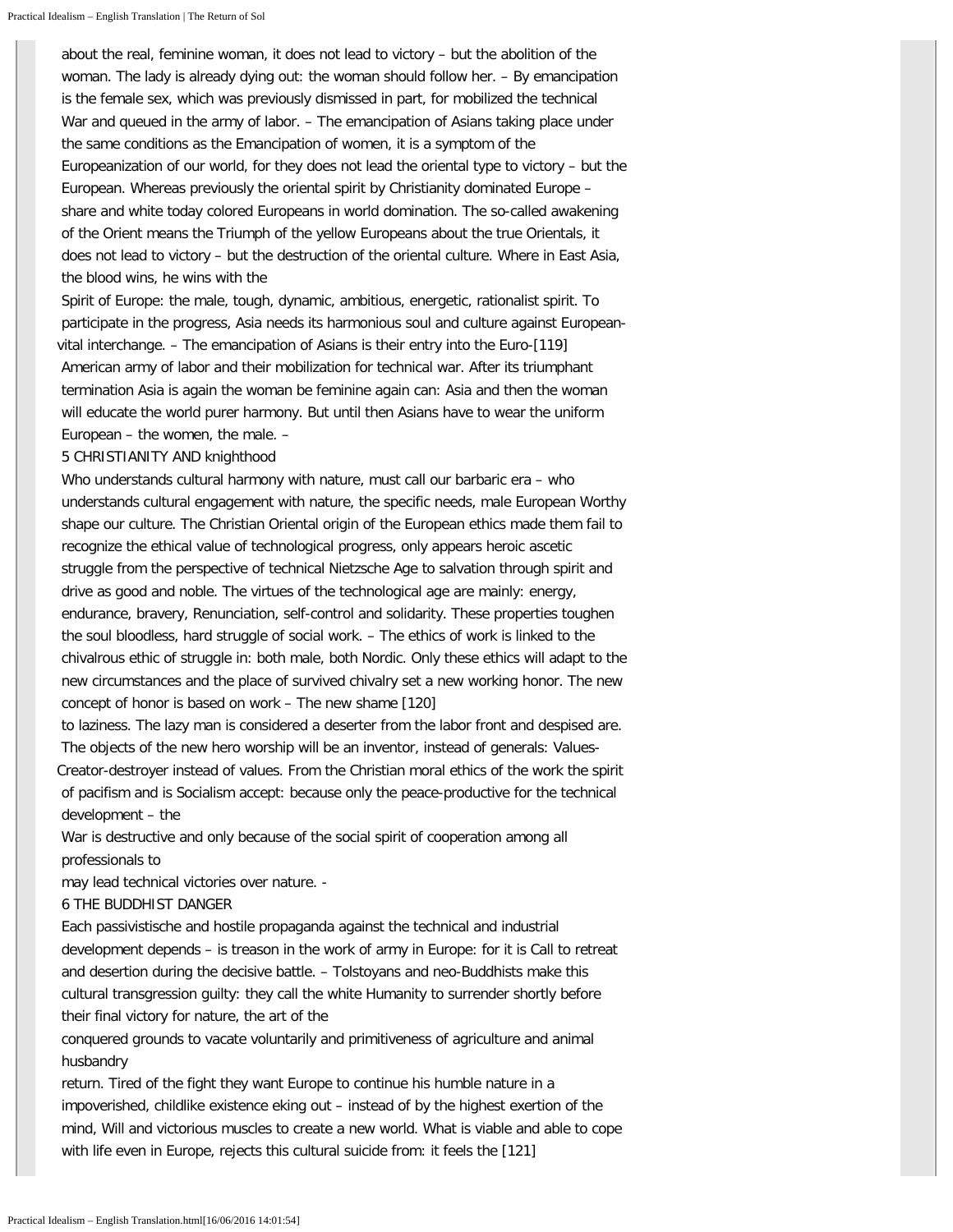about the real, feminine woman, it does not lead to victory – but the abolition of the woman. The lady is already dying out: the woman should follow her. – By emancipation is the female sex, which was previously dismissed in part, for mobilized the technical War and queued in the army of labor. – The emancipation of Asians taking place under the same conditions as the Emancipation of women, it is a symptom of the Europeanization of our world, for they does not lead the oriental type to victory – but the European. Whereas previously the oriental spirit by Christianity dominated Europe – share and white today colored Europeans in world domination. The so-called awakening of the Orient means the Triumph of the yellow Europeans about the true Orientals, it does not lead to victory – but the destruction of the oriental culture. Where in East Asia, the blood wins, he wins with the

Spirit of Europe: the male, tough, dynamic, ambitious, energetic, rationalist spirit. To participate in the progress, Asia needs its harmonious soul and culture against Europeanvital interchange. – The emancipation of Asians is their entry into the Euro-[119] American army of labor and their mobilization for technical war. After its triumphant termination Asia is again the woman be feminine again can: Asia and then the woman will educate the world purer harmony. But until then Asians have to wear the uniform European – the women, the male. –

#### 5 CHRISTIANITY AND knighthood

Who understands cultural harmony with nature, must call our barbaric era – who understands cultural engagement with nature, the specific needs, male European Worthy shape our culture. The Christian Oriental origin of the European ethics made them fail to recognize the ethical value of technological progress, only appears heroic ascetic struggle from the perspective of technical Nietzsche Age to salvation through spirit and drive as good and noble. The virtues of the technological age are mainly: energy, endurance, bravery, Renunciation, self-control and solidarity. These properties toughen the soul bloodless, hard struggle of social work. – The ethics of work is linked to the chivalrous ethic of struggle in: both male, both Nordic. Only these ethics will adapt to the new circumstances and the place of survived chivalry set a new working honor. The new concept of honor is based on work – The new shame [120]

to laziness. The lazy man is considered a deserter from the labor front and despised are. The objects of the new hero worship will be an inventor, instead of generals: Values-Creator-destroyer instead of values. From the Christian moral ethics of the work the spirit of pacifism and is Socialism accept: because only the peace-productive for the technical development – the

War is destructive and only because of the social spirit of cooperation among all professionals to

may lead technical victories over nature. -

#### 6 THE BUDDHIST DANGER

Each passivistische and hostile propaganda against the technical and industrial development depends – is treason in the work of army in Europe: for it is Call to retreat and desertion during the decisive battle. – Tolstoyans and neo-Buddhists make this cultural transgression guilty: they call the white Humanity to surrender shortly before their final victory for nature, the art of the

conquered grounds to vacate voluntarily and primitiveness of agriculture and animal husbandry

return. Tired of the fight they want Europe to continue his humble nature in a impoverished, childlike existence eking out – instead of by the highest exertion of the mind, Will and victorious muscles to create a new world. What is viable and able to cope with life even in Europe, rejects this cultural suicide from: it feels the [121]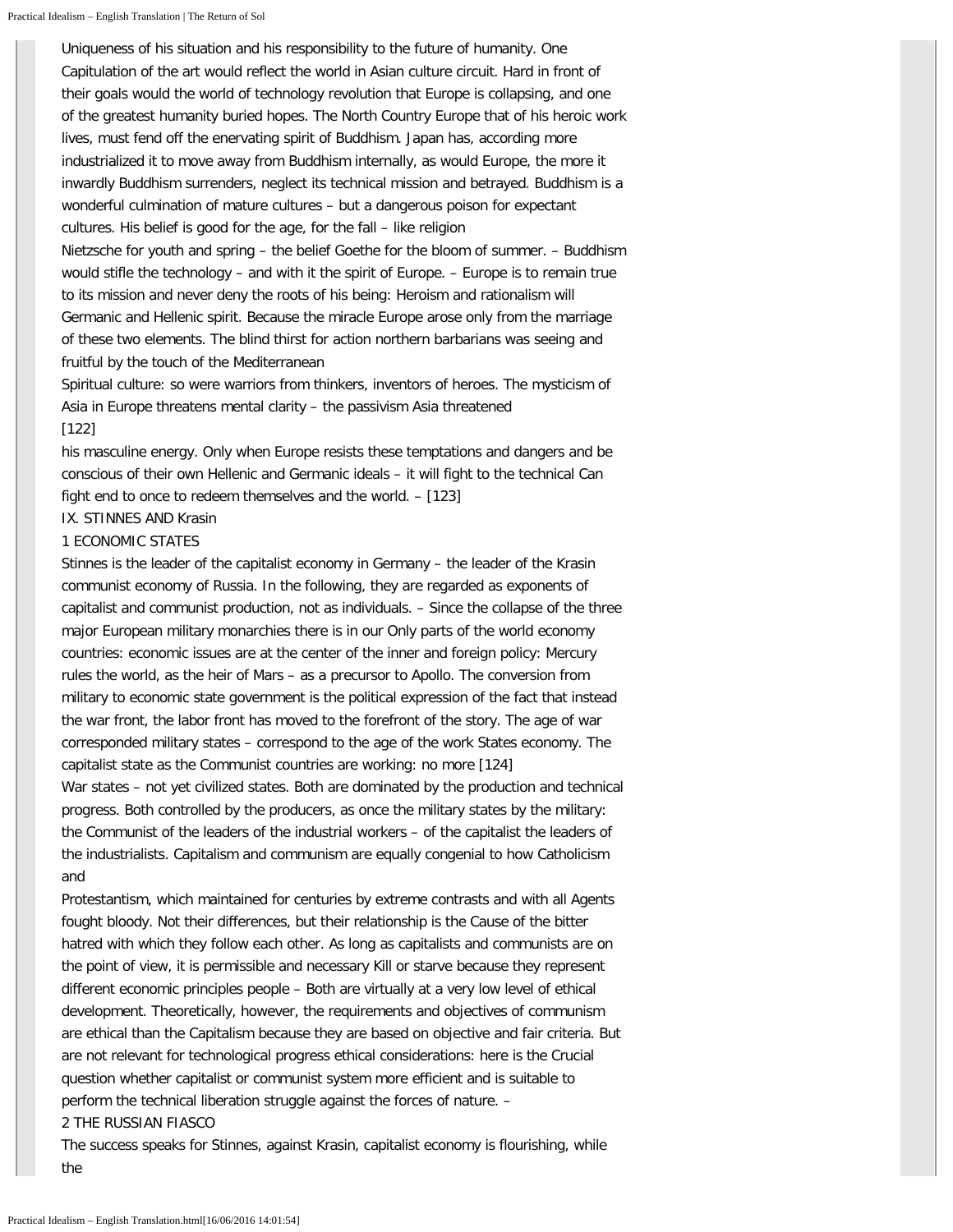Uniqueness of his situation and his responsibility to the future of humanity. One Capitulation of the art would reflect the world in Asian culture circuit. Hard in front of their goals would the world of technology revolution that Europe is collapsing, and one of the greatest humanity buried hopes. The North Country Europe that of his heroic work lives, must fend off the enervating spirit of Buddhism. Japan has, according more industrialized it to move away from Buddhism internally, as would Europe, the more it inwardly Buddhism surrenders, neglect its technical mission and betrayed. Buddhism is a wonderful culmination of mature cultures – but a dangerous poison for expectant cultures. His belief is good for the age, for the fall – like religion Nietzsche for youth and spring – the belief Goethe for the bloom of summer. – Buddhism would stifle the technology – and with it the spirit of Europe. – Europe is to remain true to its mission and never deny the roots of his being: Heroism and rationalism will Germanic and Hellenic spirit. Because the miracle Europe arose only from the marriage of these two elements. The blind thirst for action northern barbarians was seeing and

fruitful by the touch of the Mediterranean

Spiritual culture: so were warriors from thinkers, inventors of heroes. The mysticism of Asia in Europe threatens mental clarity – the passivism Asia threatened [122]

his masculine energy. Only when Europe resists these temptations and dangers and be conscious of their own Hellenic and Germanic ideals – it will fight to the technical Can fight end to once to redeem themselves and the world. – [123]

# IX. STINNES AND Krasin

## 1 ECONOMIC STATES

 Stinnes is the leader of the capitalist economy in Germany – the leader of the Krasin communist economy of Russia. In the following, they are regarded as exponents of capitalist and communist production, not as individuals. – Since the collapse of the three major European military monarchies there is in our Only parts of the world economy countries: economic issues are at the center of the inner and foreign policy: Mercury rules the world, as the heir of Mars – as a precursor to Apollo. The conversion from military to economic state government is the political expression of the fact that instead the war front, the labor front has moved to the forefront of the story. The age of war corresponded military states – correspond to the age of the work States economy. The capitalist state as the Communist countries are working: no more [124] War states – not yet civilized states. Both are dominated by the production and technical progress. Both controlled by the producers, as once the military states by the military:

 the Communist of the leaders of the industrial workers – of the capitalist the leaders of the industrialists. Capitalism and communism are equally congenial to how Catholicism and

Protestantism, which maintained for centuries by extreme contrasts and with all Agents fought bloody. Not their differences, but their relationship is the Cause of the bitter hatred with which they follow each other. As long as capitalists and communists are on the point of view, it is permissible and necessary Kill or starve because they represent different economic principles people – Both are virtually at a very low level of ethical development. Theoretically, however, the requirements and objectives of communism are ethical than the Capitalism because they are based on objective and fair criteria. But are not relevant for technological progress ethical considerations: here is the Crucial question whether capitalist or communist system more efficient and is suitable to perform the technical liberation struggle against the forces of nature. – 2 THE RUSSIAN FIASCO

The success speaks for Stinnes, against Krasin, capitalist economy is flourishing, while the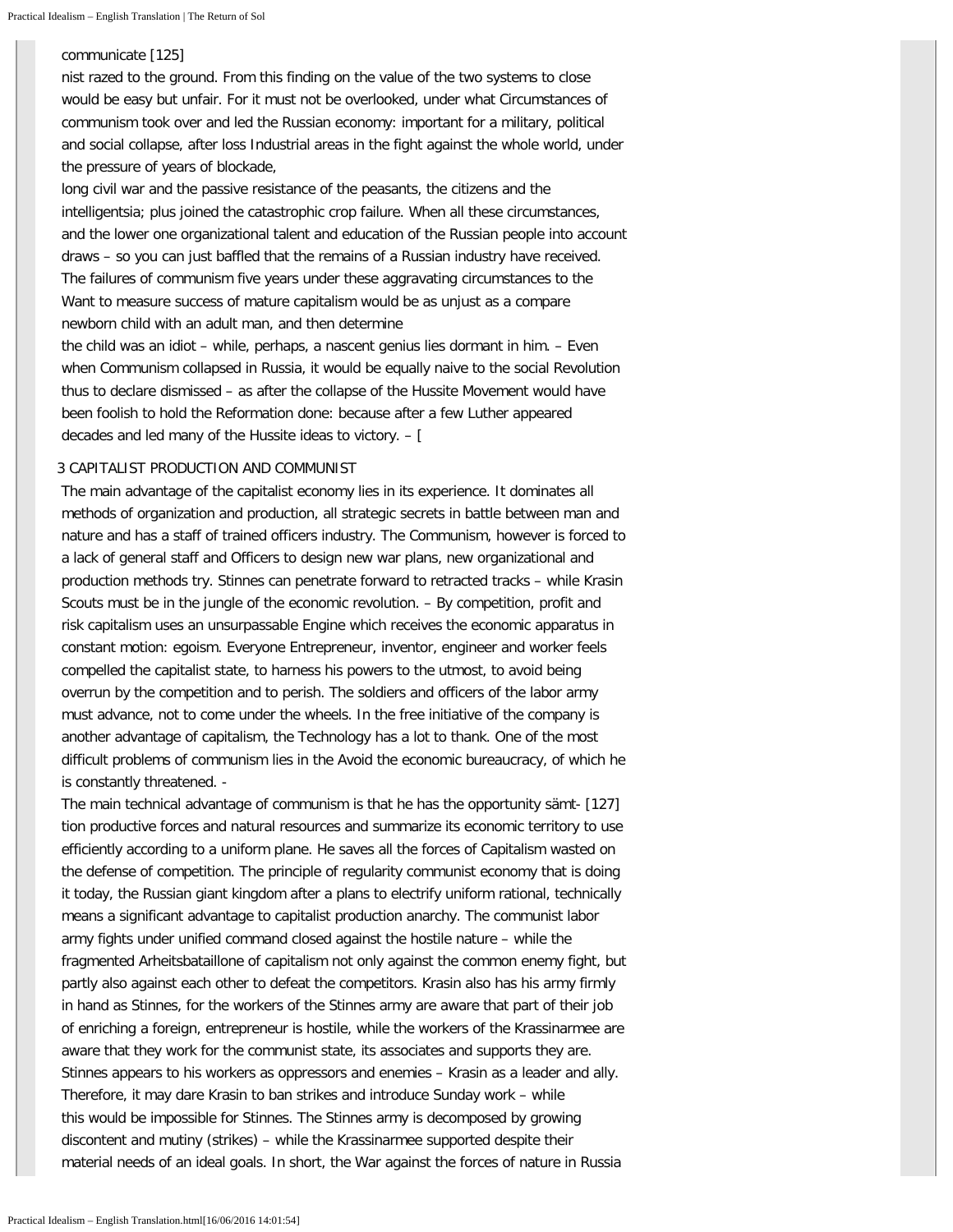# communicate [125]

nist razed to the ground. From this finding on the value of the two systems to close would be easy but unfair. For it must not be overlooked, under what Circumstances of communism took over and led the Russian economy: important for a military, political and social collapse, after loss Industrial areas in the fight against the whole world, under the pressure of years of blockade,

long civil war and the passive resistance of the peasants, the citizens and the intelligentsia; plus joined the catastrophic crop failure. When all these circumstances, and the lower one organizational talent and education of the Russian people into account draws – so you can just baffled that the remains of a Russian industry have received. The failures of communism five years under these aggravating circumstances to the Want to measure success of mature capitalism would be as unjust as a compare newborn child with an adult man, and then determine

the child was an idiot – while, perhaps, a nascent genius lies dormant in him. – Even when Communism collapsed in Russia, it would be equally naive to the social Revolution thus to declare dismissed – as after the collapse of the Hussite Movement would have been foolish to hold the Reformation done: because after a few Luther appeared decades and led many of the Hussite ideas to victory. – [

#### 3 CAPITALIST PRODUCTION AND COMMUNIST

The main advantage of the capitalist economy lies in its experience. It dominates all methods of organization and production, all strategic secrets in battle between man and nature and has a staff of trained officers industry. The Communism, however is forced to a lack of general staff and Officers to design new war plans, new organizational and production methods try. Stinnes can penetrate forward to retracted tracks – while Krasin Scouts must be in the jungle of the economic revolution. – By competition, profit and risk capitalism uses an unsurpassable Engine which receives the economic apparatus in constant motion: egoism. Everyone Entrepreneur, inventor, engineer and worker feels compelled the capitalist state, to harness his powers to the utmost, to avoid being overrun by the competition and to perish. The soldiers and officers of the labor army must advance, not to come under the wheels. In the free initiative of the company is another advantage of capitalism, the Technology has a lot to thank. One of the most difficult problems of communism lies in the Avoid the economic bureaucracy, of which he is constantly threatened. -

The main technical advantage of communism is that he has the opportunity sämt- [127] tion productive forces and natural resources and summarize its economic territory to use efficiently according to a uniform plane. He saves all the forces of Capitalism wasted on the defense of competition. The principle of regularity communist economy that is doing it today, the Russian giant kingdom after a plans to electrify uniform rational, technically means a significant advantage to capitalist production anarchy. The communist labor army fights under unified command closed against the hostile nature – while the fragmented Arheitsbataillone of capitalism not only against the common enemy fight, but partly also against each other to defeat the competitors. Krasin also has his army firmly in hand as Stinnes, for the workers of the Stinnes army are aware that part of their job of enriching a foreign, entrepreneur is hostile, while the workers of the Krassinarmee are aware that they work for the communist state, its associates and supports they are. Stinnes appears to his workers as oppressors and enemies – Krasin as a leader and ally. Therefore, it may dare Krasin to ban strikes and introduce Sunday work – while this would be impossible for Stinnes. The Stinnes army is decomposed by growing discontent and mutiny (strikes) – while the Krassinarmee supported despite their material needs of an ideal goals. In short, the War against the forces of nature in Russia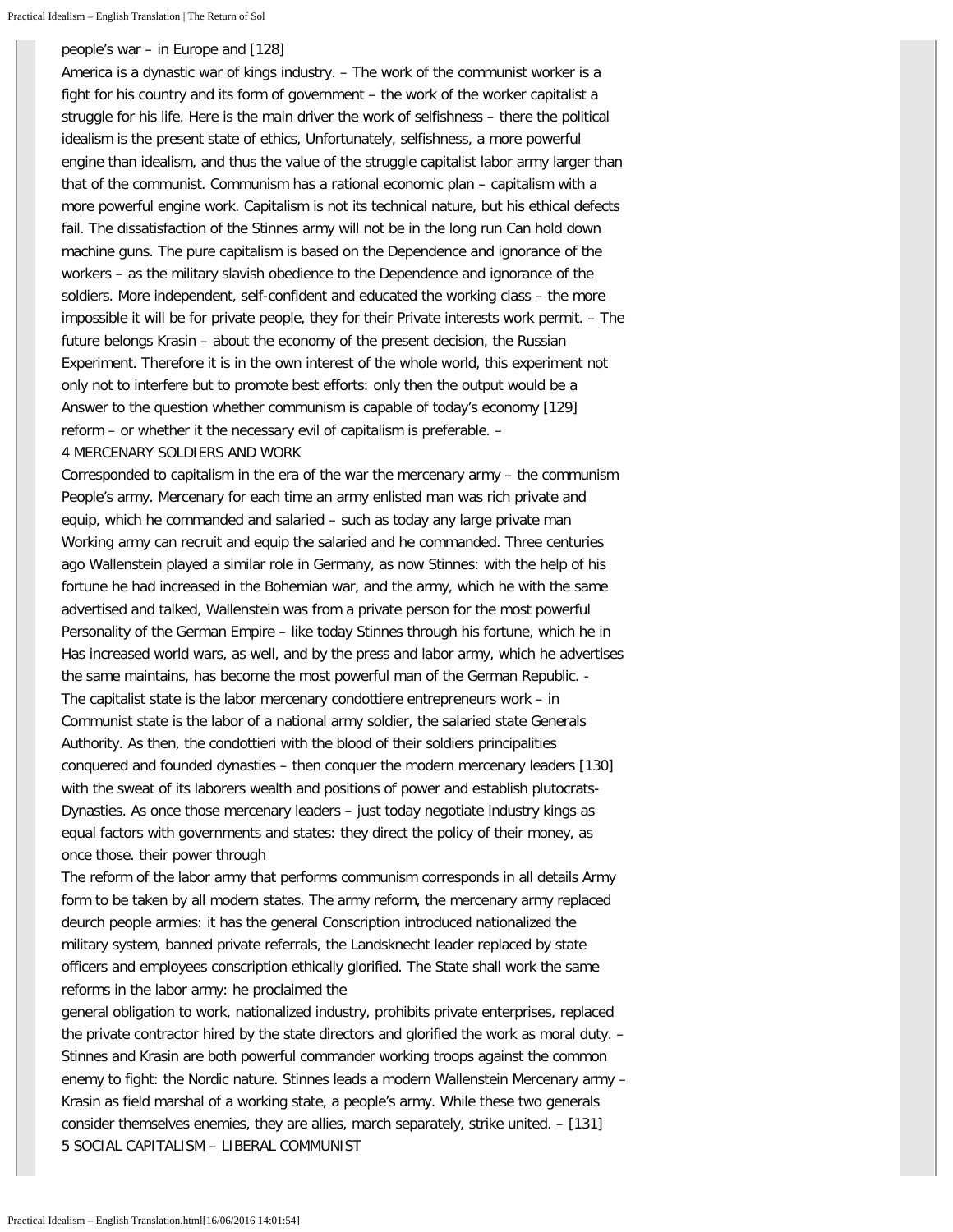# people's war – in Europe and [128]

America is a dynastic war of kings industry. – The work of the communist worker is a fight for his country and its form of government – the work of the worker capitalist a struggle for his life. Here is the main driver the work of selfishness – there the political idealism is the present state of ethics, Unfortunately, selfishness, a more powerful engine than idealism, and thus the value of the struggle capitalist labor army larger than that of the communist. Communism has a rational economic plan – capitalism with a more powerful engine work. Capitalism is not its technical nature, but his ethical defects fail. The dissatisfaction of the Stinnes army will not be in the long run Can hold down machine guns. The pure capitalism is based on the Dependence and ignorance of the workers – as the military slavish obedience to the Dependence and ignorance of the soldiers. More independent, self-confident and educated the working class – the more impossible it will be for private people, they for their Private interests work permit. – The future belongs Krasin – about the economy of the present decision, the Russian Experiment. Therefore it is in the own interest of the whole world, this experiment not only not to interfere but to promote best efforts: only then the output would be a Answer to the question whether communism is capable of today's economy [129] reform – or whether it the necessary evil of capitalism is preferable. – 4 MERCENARY SOLDIERS AND WORK

Corresponded to capitalism in the era of the war the mercenary army – the communism People's army. Mercenary for each time an army enlisted man was rich private and equip, which he commanded and salaried – such as today any large private man Working army can recruit and equip the salaried and he commanded. Three centuries ago Wallenstein played a similar role in Germany, as now Stinnes: with the help of his fortune he had increased in the Bohemian war, and the army, which he with the same advertised and talked, Wallenstein was from a private person for the most powerful Personality of the German Empire – like today Stinnes through his fortune, which he in Has increased world wars, as well, and by the press and labor army, which he advertises the same maintains, has become the most powerful man of the German Republic. - The capitalist state is the labor mercenary condottiere entrepreneurs work – in Communist state is the labor of a national army soldier, the salaried state Generals Authority. As then, the condottieri with the blood of their soldiers principalities conquered and founded dynasties – then conquer the modern mercenary leaders [130] with the sweat of its laborers wealth and positions of power and establish plutocrats- Dynasties. As once those mercenary leaders – just today negotiate industry kings as equal factors with governments and states: they direct the policy of their money, as once those. their power through

The reform of the labor army that performs communism corresponds in all details Army form to be taken by all modern states. The army reform, the mercenary army replaced deurch people armies: it has the general Conscription introduced nationalized the military system, banned private referrals, the Landsknecht leader replaced by state officers and employees conscription ethically glorified. The State shall work the same reforms in the labor army: he proclaimed the

general obligation to work, nationalized industry, prohibits private enterprises, replaced the private contractor hired by the state directors and glorified the work as moral duty. – Stinnes and Krasin are both powerful commander working troops against the common enemy to fight: the Nordic nature. Stinnes leads a modern Wallenstein Mercenary army – Krasin as field marshal of a working state, a people's army. While these two generals consider themselves enemies, they are allies, march separately, strike united. – [131] 5 SOCIAL CAPITALISM – LIBERAL COMMUNIST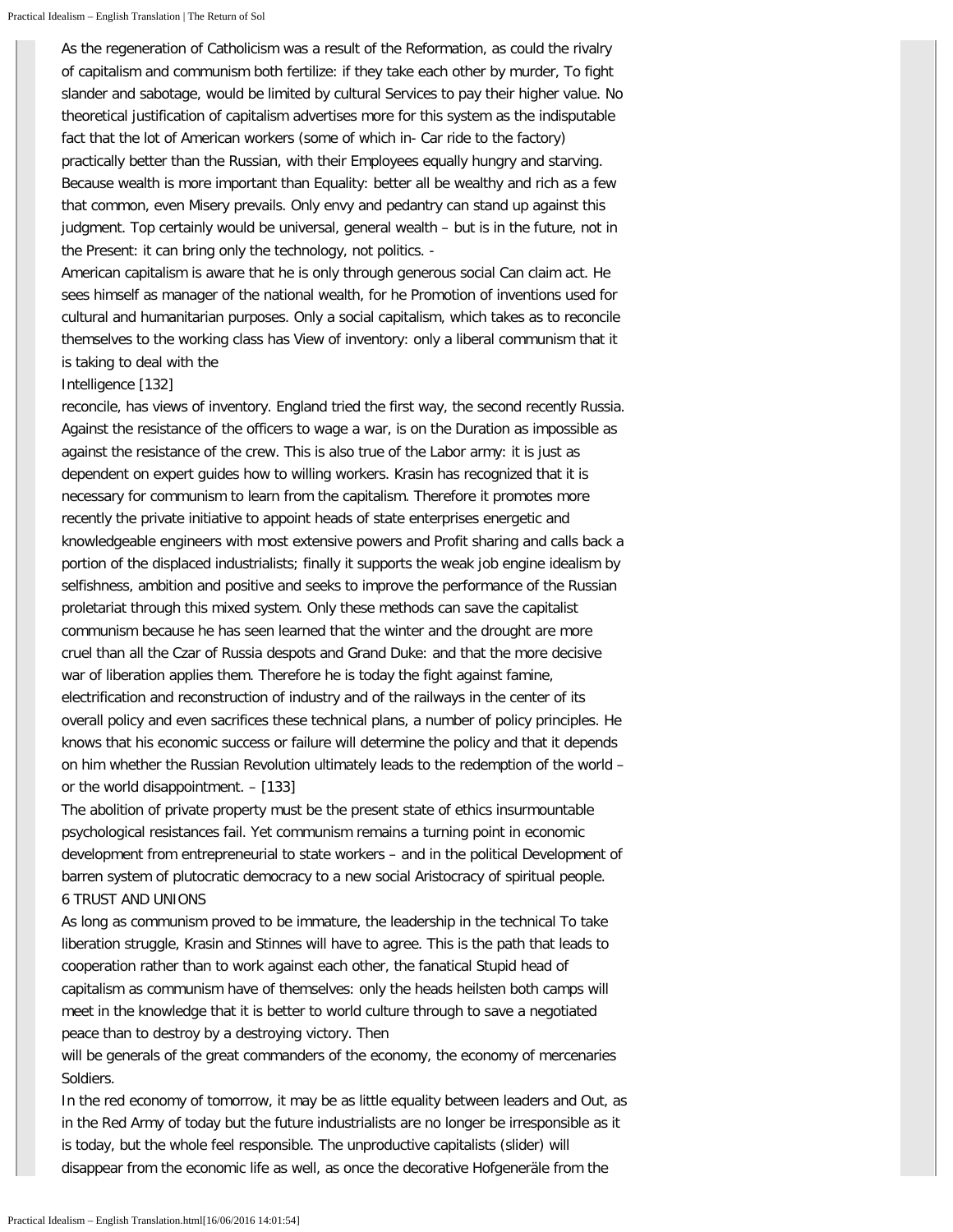As the regeneration of Catholicism was a result of the Reformation, as could the rivalry of capitalism and communism both fertilize: if they take each other by murder, To fight slander and sabotage, would be limited by cultural Services to pay their higher value. No theoretical justification of capitalism advertises more for this system as the indisputable fact that the lot of American workers (some of which in- Car ride to the factory) practically better than the Russian, with their Employees equally hungry and starving. Because wealth is more important than Equality: better all be wealthy and rich as a few that common, even Misery prevails. Only envy and pedantry can stand up against this judgment. Top certainly would be universal, general wealth – but is in the future, not in the Present: it can bring only the technology, not politics. -

American capitalism is aware that he is only through generous social Can claim act. He sees himself as manager of the national wealth, for he Promotion of inventions used for cultural and humanitarian purposes. Only a social capitalism, which takes as to reconcile themselves to the working class has View of inventory: only a liberal communism that it is taking to deal with the

## Intelligence [132]

reconcile, has views of inventory. England tried the first way, the second recently Russia. Against the resistance of the officers to wage a war, is on the Duration as impossible as against the resistance of the crew. This is also true of the Labor army: it is just as dependent on expert guides how to willing workers. Krasin has recognized that it is necessary for communism to learn from the capitalism. Therefore it promotes more recently the private initiative to appoint heads of state enterprises energetic and knowledgeable engineers with most extensive powers and Profit sharing and calls back a portion of the displaced industrialists; finally it supports the weak job engine idealism by selfishness, ambition and positive and seeks to improve the performance of the Russian proletariat through this mixed system. Only these methods can save the capitalist communism because he has seen learned that the winter and the drought are more cruel than all the Czar of Russia despots and Grand Duke: and that the more decisive war of liberation applies them. Therefore he is today the fight against famine, electrification and reconstruction of industry and of the railways in the center of its overall policy and even sacrifices these technical plans, a number of policy principles. He knows that his economic success or failure will determine the policy and that it depends on him whether the Russian Revolution ultimately leads to the redemption of the world – or the world disappointment. – [133]

The abolition of private property must be the present state of ethics insurmountable psychological resistances fail. Yet communism remains a turning point in economic development from entrepreneurial to state workers – and in the political Development of barren system of plutocratic democracy to a new social Aristocracy of spiritual people. 6 TRUST AND UNIONS

As long as communism proved to be immature, the leadership in the technical To take liberation struggle, Krasin and Stinnes will have to agree. This is the path that leads to cooperation rather than to work against each other, the fanatical Stupid head of capitalism as communism have of themselves: only the heads heilsten both camps will meet in the knowledge that it is better to world culture through to save a negotiated peace than to destroy by a destroying victory. Then

will be generals of the great commanders of the economy, the economy of mercenaries Soldiers.

In the red economy of tomorrow, it may be as little equality between leaders and Out, as in the Red Army of today but the future industrialists are no longer be irresponsible as it is today, but the whole feel responsible. The unproductive capitalists (slider) will disappear from the economic life as well, as once the decorative Hofgeneräle from the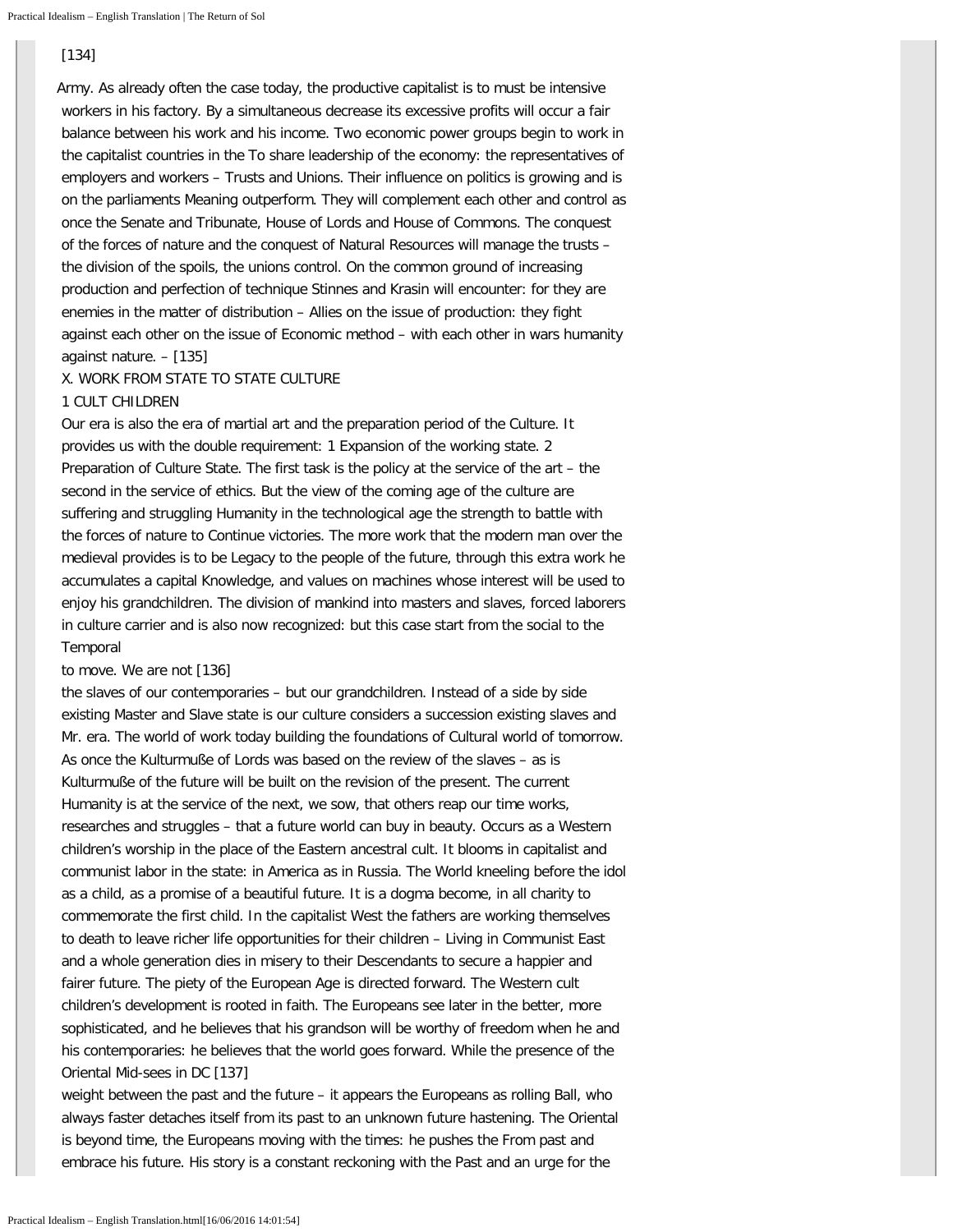# [134]

Army. As already often the case today, the productive capitalist is to must be intensive workers in his factory. By a simultaneous decrease its excessive profits will occur a fair balance between his work and his income. Two economic power groups begin to work in the capitalist countries in the To share leadership of the economy: the representatives of employers and workers – Trusts and Unions. Their influence on politics is growing and is on the parliaments Meaning outperform. They will complement each other and control as once the Senate and Tribunate, House of Lords and House of Commons. The conquest of the forces of nature and the conquest of Natural Resources will manage the trusts – the division of the spoils, the unions control. On the common ground of increasing production and perfection of technique Stinnes and Krasin will encounter: for they are enemies in the matter of distribution – Allies on the issue of production: they fight against each other on the issue of Economic method – with each other in wars humanity against nature. – [135]

# X. WORK FROM STATE TO STATE CULTURE

# 1 CULT CHILDREN

Our era is also the era of martial art and the preparation period of the Culture. It provides us with the double requirement: 1 Expansion of the working state. 2 Preparation of Culture State. The first task is the policy at the service of the art – the second in the service of ethics. But the view of the coming age of the culture are suffering and struggling Humanity in the technological age the strength to battle with the forces of nature to Continue victories. The more work that the modern man over the medieval provides is to be Legacy to the people of the future, through this extra work he accumulates a capital Knowledge, and values on machines whose interest will be used to enjoy his grandchildren. The division of mankind into masters and slaves, forced laborers in culture carrier and is also now recognized: but this case start from the social to the Temporal

# to move. We are not [136]

the slaves of our contemporaries – but our grandchildren. Instead of a side by side existing Master and Slave state is our culture considers a succession existing slaves and Mr. era. The world of work today building the foundations of Cultural world of tomorrow. As once the Kulturmuße of Lords was based on the review of the slaves – as is Kulturmuße of the future will be built on the revision of the present. The current Humanity is at the service of the next, we sow, that others reap our time works, researches and struggles – that a future world can buy in beauty. Occurs as a Western children's worship in the place of the Eastern ancestral cult. It blooms in capitalist and communist labor in the state: in America as in Russia. The World kneeling before the idol as a child, as a promise of a beautiful future. It is a dogma become, in all charity to commemorate the first child. In the capitalist West the fathers are working themselves to death to leave richer life opportunities for their children – Living in Communist East and a whole generation dies in misery to their Descendants to secure a happier and fairer future. The piety of the European Age is directed forward. The Western cult children's development is rooted in faith. The Europeans see later in the better, more sophisticated, and he believes that his grandson will be worthy of freedom when he and his contemporaries: he believes that the world goes forward. While the presence of the Oriental Mid-sees in DC [137]

weight between the past and the future – it appears the Europeans as rolling Ball, who always faster detaches itself from its past to an unknown future hastening. The Oriental is beyond time, the Europeans moving with the times: he pushes the From past and embrace his future. His story is a constant reckoning with the Past and an urge for the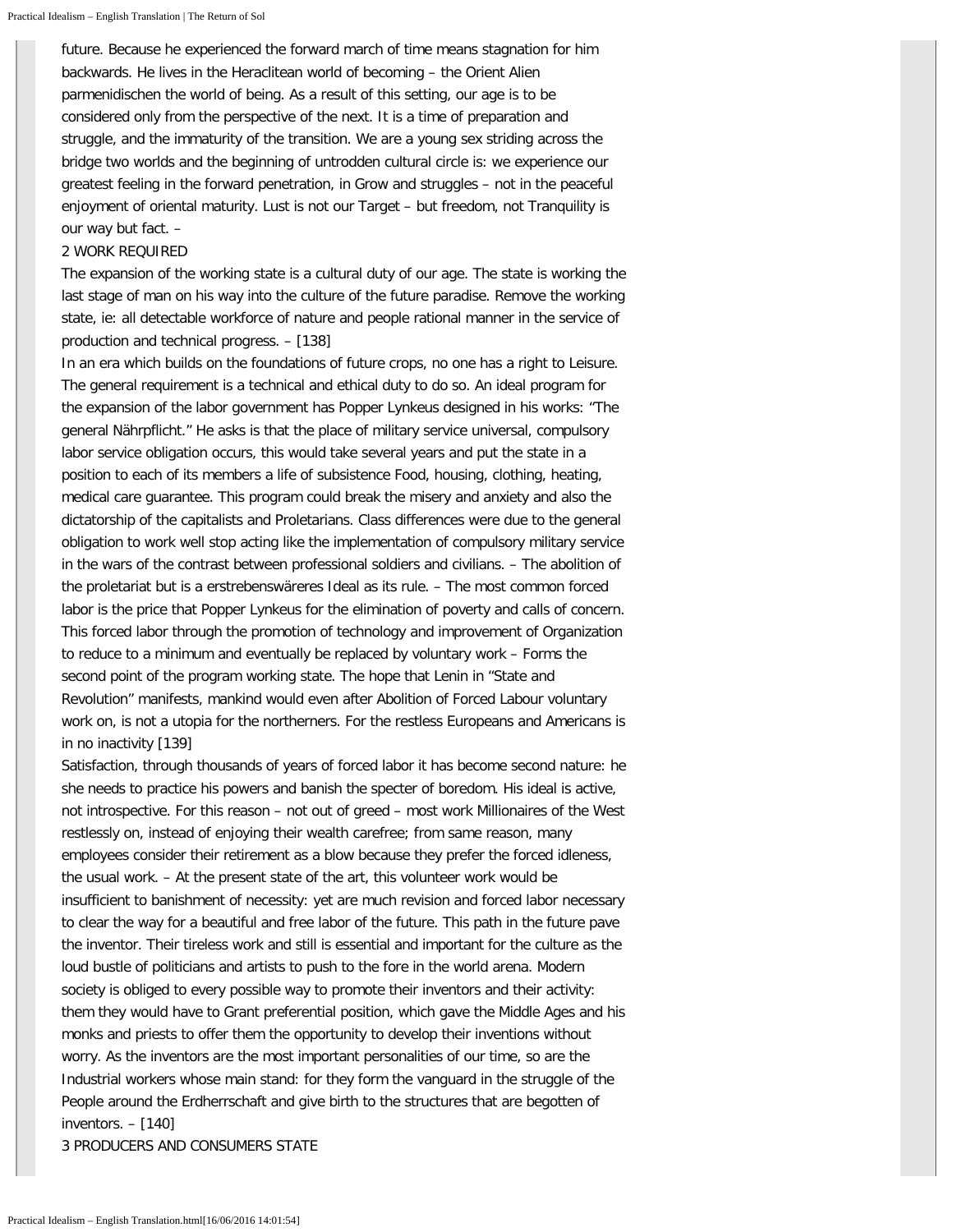future. Because he experienced the forward march of time means stagnation for him backwards. He lives in the Heraclitean world of becoming – the Orient Alien parmenidischen the world of being. As a result of this setting, our age is to be considered only from the perspective of the next. It is a time of preparation and struggle, and the immaturity of the transition. We are a young sex striding across the bridge two worlds and the beginning of untrodden cultural circle is: we experience our greatest feeling in the forward penetration, in Grow and struggles – not in the peaceful enjoyment of oriental maturity. Lust is not our Target – but freedom, not Tranquility is our way but fact. –

#### 2 WORK REQUIRED

The expansion of the working state is a cultural duty of our age. The state is working the last stage of man on his way into the culture of the future paradise. Remove the working state, ie: all detectable workforce of nature and people rational manner in the service of production and technical progress. – [138]

In an era which builds on the foundations of future crops, no one has a right to Leisure. The general requirement is a technical and ethical duty to do so. An ideal program for the expansion of the labor government has Popper Lynkeus designed in his works: "The general Nährpflicht." He asks is that the place of military service universal, compulsory labor service obligation occurs, this would take several years and put the state in a position to each of its members a life of subsistence Food, housing, clothing, heating, medical care guarantee. This program could break the misery and anxiety and also the dictatorship of the capitalists and Proletarians. Class differences were due to the general obligation to work well stop acting like the implementation of compulsory military service in the wars of the contrast between professional soldiers and civilians. – The abolition of the proletariat but is a erstrebenswäreres Ideal as its rule. – The most common forced labor is the price that Popper Lynkeus for the elimination of poverty and calls of concern. This forced labor through the promotion of technology and improvement of Organization to reduce to a minimum and eventually be replaced by voluntary work – Forms the second point of the program working state. The hope that Lenin in "State and Revolution" manifests, mankind would even after Abolition of Forced Labour voluntary work on, is not a utopia for the northerners. For the restless Europeans and Americans is in no inactivity [139]

Satisfaction, through thousands of years of forced labor it has become second nature: he she needs to practice his powers and banish the specter of boredom. His ideal is active, not introspective. For this reason – not out of greed – most work Millionaires of the West restlessly on, instead of enjoying their wealth carefree; from same reason, many employees consider their retirement as a blow because they prefer the forced idleness, the usual work. – At the present state of the art, this volunteer work would be insufficient to banishment of necessity: yet are much revision and forced labor necessary to clear the way for a beautiful and free labor of the future. This path in the future pave the inventor. Their tireless work and still is essential and important for the culture as the loud bustle of politicians and artists to push to the fore in the world arena. Modern society is obliged to every possible way to promote their inventors and their activity: them they would have to Grant preferential position, which gave the Middle Ages and his monks and priests to offer them the opportunity to develop their inventions without worry. As the inventors are the most important personalities of our time, so are the Industrial workers whose main stand: for they form the vanguard in the struggle of the People around the Erdherrschaft and give birth to the structures that are begotten of inventors. – [140]

3 PRODUCERS AND CONSUMERS STATE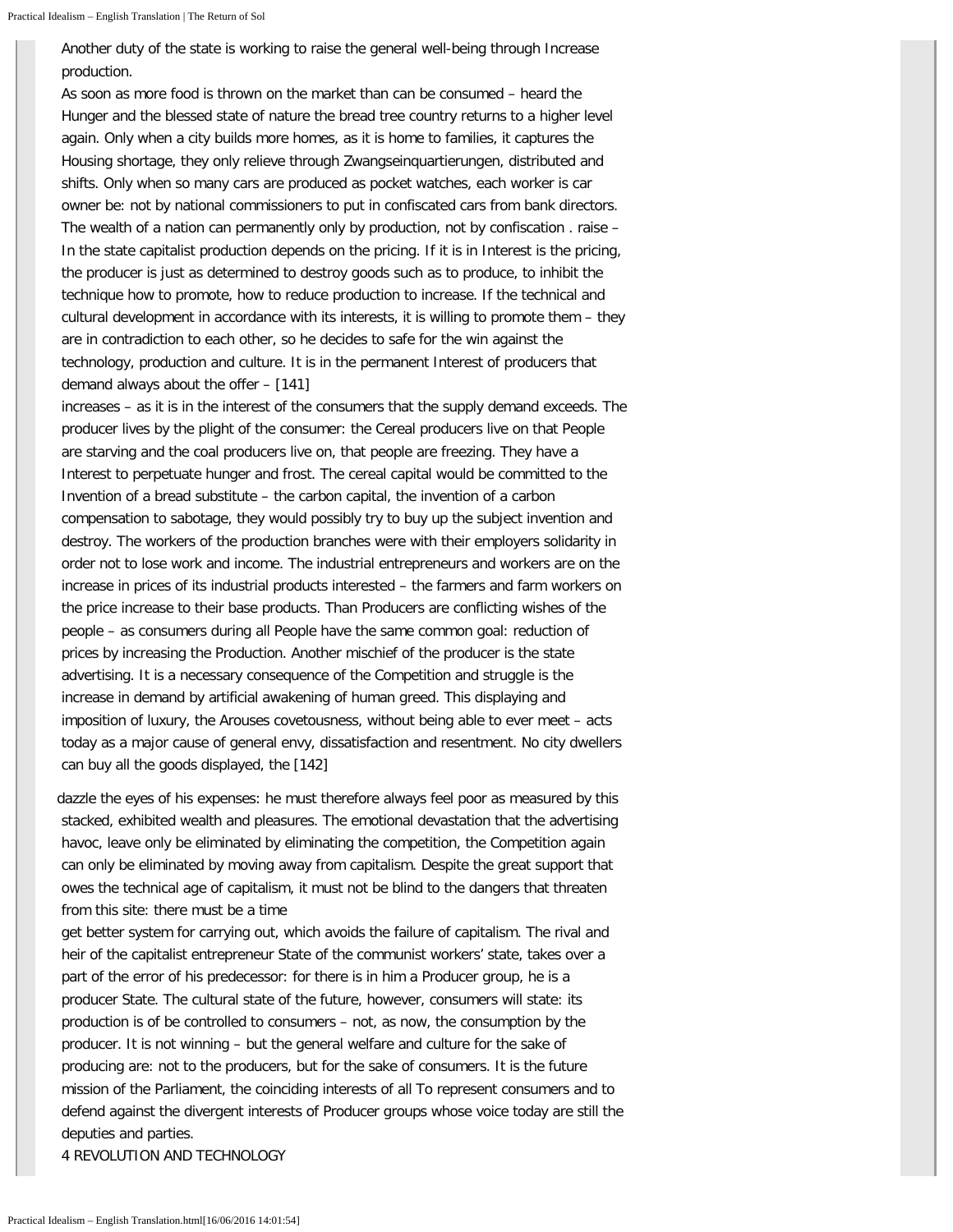Another duty of the state is working to raise the general well-being through Increase production.

As soon as more food is thrown on the market than can be consumed – heard the Hunger and the blessed state of nature the bread tree country returns to a higher level again. Only when a city builds more homes, as it is home to families, it captures the Housing shortage, they only relieve through Zwangseinquartierungen, distributed and shifts. Only when so many cars are produced as pocket watches, each worker is car owner be: not by national commissioners to put in confiscated cars from bank directors. The wealth of a nation can permanently only by production, not by confiscation . raise – In the state capitalist production depends on the pricing. If it is in Interest is the pricing, the producer is just as determined to destroy goods such as to produce, to inhibit the technique how to promote, how to reduce production to increase. If the technical and cultural development in accordance with its interests, it is willing to promote them – they are in contradiction to each other, so he decides to safe for the win against the technology, production and culture. It is in the permanent Interest of producers that demand always about the offer – [141]

increases – as it is in the interest of the consumers that the supply demand exceeds. The producer lives by the plight of the consumer: the Cereal producers live on that People are starving and the coal producers live on, that people are freezing. They have a Interest to perpetuate hunger and frost. The cereal capital would be committed to the Invention of a bread substitute – the carbon capital, the invention of a carbon compensation to sabotage, they would possibly try to buy up the subject invention and destroy. The workers of the production branches were with their employers solidarity in order not to lose work and income. The industrial entrepreneurs and workers are on the increase in prices of its industrial products interested – the farmers and farm workers on the price increase to their base products. Than Producers are conflicting wishes of the people – as consumers during all People have the same common goal: reduction of prices by increasing the Production. Another mischief of the producer is the state advertising. It is a necessary consequence of the Competition and struggle is the increase in demand by artificial awakening of human greed. This displaying and imposition of luxury, the Arouses covetousness, without being able to ever meet – acts today as a major cause of general envy, dissatisfaction and resentment. No city dwellers can buy all the goods displayed, the [142]

dazzle the eyes of his expenses: he must therefore always feel poor as measured by this stacked, exhibited wealth and pleasures. The emotional devastation that the advertising havoc, leave only be eliminated by eliminating the competition, the Competition again can only be eliminated by moving away from capitalism. Despite the great support that owes the technical age of capitalism, it must not be blind to the dangers that threaten from this site: there must be a time

get better system for carrying out, which avoids the failure of capitalism. The rival and heir of the capitalist entrepreneur State of the communist workers' state, takes over a part of the error of his predecessor: for there is in him a Producer group, he is a producer State. The cultural state of the future, however, consumers will state: its production is of be controlled to consumers – not, as now, the consumption by the producer. It is not winning – but the general welfare and culture for the sake of producing are: not to the producers, but for the sake of consumers. It is the future mission of the Parliament, the coinciding interests of all To represent consumers and to defend against the divergent interests of Producer groups whose voice today are still the deputies and parties.

4 REVOLUTION AND TECHNOLOGY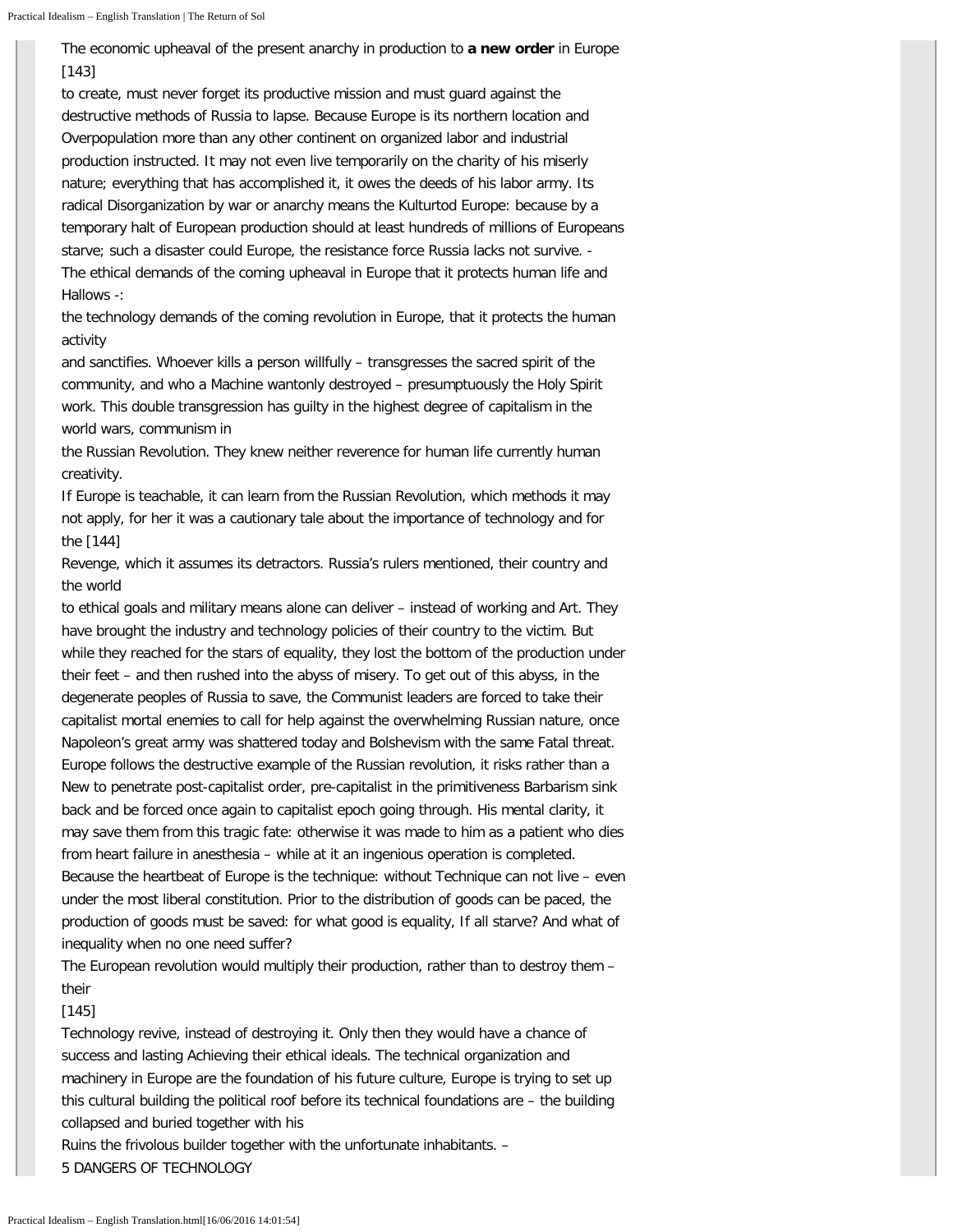Practical Idealism – English Translation | The Return of Sol

The economic upheaval of the present anarchy in production to **a new order** in Europe [143]

to create, must never forget its productive mission and must guard against the destructive methods of Russia to lapse. Because Europe is its northern location and Overpopulation more than any other continent on organized labor and industrial production instructed. It may not even live temporarily on the charity of his miserly nature; everything that has accomplished it, it owes the deeds of his labor army. Its radical Disorganization by war or anarchy means the Kulturtod Europe: because by a temporary halt of European production should at least hundreds of millions of Europeans starve; such a disaster could Europe, the resistance force Russia lacks not survive. - The ethical demands of the coming upheaval in Europe that it protects human life and Hallows -:

the technology demands of the coming revolution in Europe, that it protects the human activity

and sanctifies. Whoever kills a person willfully – transgresses the sacred spirit of the community, and who a Machine wantonly destroyed – presumptuously the Holy Spirit work. This double transgression has guilty in the highest degree of capitalism in the world wars, communism in

the Russian Revolution. They knew neither reverence for human life currently human creativity.

If Europe is teachable, it can learn from the Russian Revolution, which methods it may not apply, for her it was a cautionary tale about the importance of technology and for the [144]

Revenge, which it assumes its detractors. Russia's rulers mentioned, their country and the world

to ethical goals and military means alone can deliver – instead of working and Art. They have brought the industry and technology policies of their country to the victim. But while they reached for the stars of equality, they lost the bottom of the production under their feet – and then rushed into the abyss of misery. To get out of this abyss, in the degenerate peoples of Russia to save, the Communist leaders are forced to take their capitalist mortal enemies to call for help against the overwhelming Russian nature, once Napoleon's great army was shattered today and Bolshevism with the same Fatal threat. Europe follows the destructive example of the Russian revolution, it risks rather than a New to penetrate post-capitalist order, pre-capitalist in the primitiveness Barbarism sink back and be forced once again to capitalist epoch going through. His mental clarity, it may save them from this tragic fate: otherwise it was made to him as a patient who dies from heart failure in anesthesia – while at it an ingenious operation is completed. Because the heartbeat of Europe is the technique: without Technique can not live – even under the most liberal constitution. Prior to the distribution of goods can be paced, the production of goods must be saved: for what good is equality, If all starve? And what of inequality when no one need suffer?

The European revolution would multiply their production, rather than to destroy them – their

# [145]

Technology revive, instead of destroying it. Only then they would have a chance of success and lasting Achieving their ethical ideals. The technical organization and machinery in Europe are the foundation of his future culture, Europe is trying to set up this cultural building the political roof before its technical foundations are – the building collapsed and buried together with his

Ruins the frivolous builder together with the unfortunate inhabitants. –

5 DANGERS OF TECHNOLOGY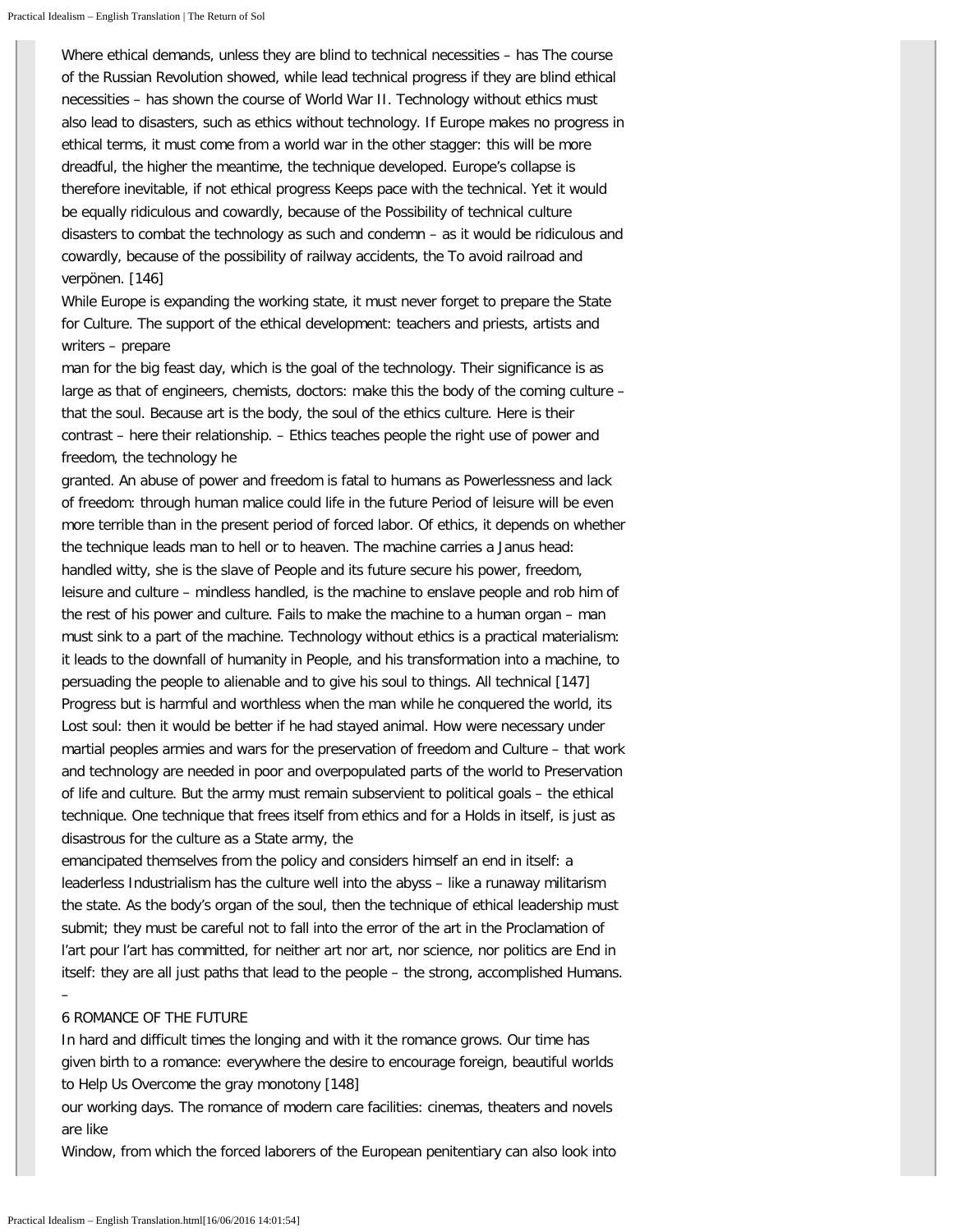Where ethical demands, unless they are blind to technical necessities – has The course of the Russian Revolution showed, while lead technical progress if they are blind ethical necessities – has shown the course of World War II. Technology without ethics must also lead to disasters, such as ethics without technology. If Europe makes no progress in ethical terms, it must come from a world war in the other stagger: this will be more dreadful, the higher the meantime, the technique developed. Europe's collapse is therefore inevitable, if not ethical progress Keeps pace with the technical. Yet it would be equally ridiculous and cowardly, because of the Possibility of technical culture disasters to combat the technology as such and condemn – as it would be ridiculous and cowardly, because of the possibility of railway accidents, the To avoid railroad and verpönen. [146]

While Europe is expanding the working state, it must never forget to prepare the State for Culture. The support of the ethical development: teachers and priests, artists and writers – prepare

man for the big feast day, which is the goal of the technology. Their significance is as large as that of engineers, chemists, doctors: make this the body of the coming culture – that the soul. Because art is the body, the soul of the ethics culture. Here is their contrast – here their relationship. – Ethics teaches people the right use of power and freedom, the technology he

granted. An abuse of power and freedom is fatal to humans as Powerlessness and lack of freedom: through human malice could life in the future Period of leisure will be even more terrible than in the present period of forced labor. Of ethics, it depends on whether the technique leads man to hell or to heaven. The machine carries a Janus head: handled witty, she is the slave of People and its future secure his power, freedom, leisure and culture – mindless handled, is the machine to enslave people and rob him of the rest of his power and culture. Fails to make the machine to a human organ – man must sink to a part of the machine. Technology without ethics is a practical materialism: it leads to the downfall of humanity in People, and his transformation into a machine, to persuading the people to alienable and to give his soul to things. All technical [147] Progress but is harmful and worthless when the man while he conquered the world, its Lost soul: then it would be better if he had stayed animal. How were necessary under martial peoples armies and wars for the preservation of freedom and Culture – that work and technology are needed in poor and overpopulated parts of the world to Preservation of life and culture. But the army must remain subservient to political goals – the ethical technique. One technique that frees itself from ethics and for a Holds in itself, is just as disastrous for the culture as a State army, the

emancipated themselves from the policy and considers himself an end in itself: a leaderless Industrialism has the culture well into the abyss – like a runaway militarism the state. As the body's organ of the soul, then the technique of ethical leadership must submit; they must be careful not to fall into the error of the art in the Proclamation of l'art pour l'art has committed, for neither art nor art, nor science, nor politics are End in itself: they are all just paths that lead to the people – the strong, accomplished Humans.

#### 6 ROMANCE OF THE FUTURE

–

In hard and difficult times the longing and with it the romance grows. Our time has given birth to a romance: everywhere the desire to encourage foreign, beautiful worlds to Help Us Overcome the gray monotony [148]

our working days. The romance of modern care facilities: cinemas, theaters and novels are like

Window, from which the forced laborers of the European penitentiary can also look into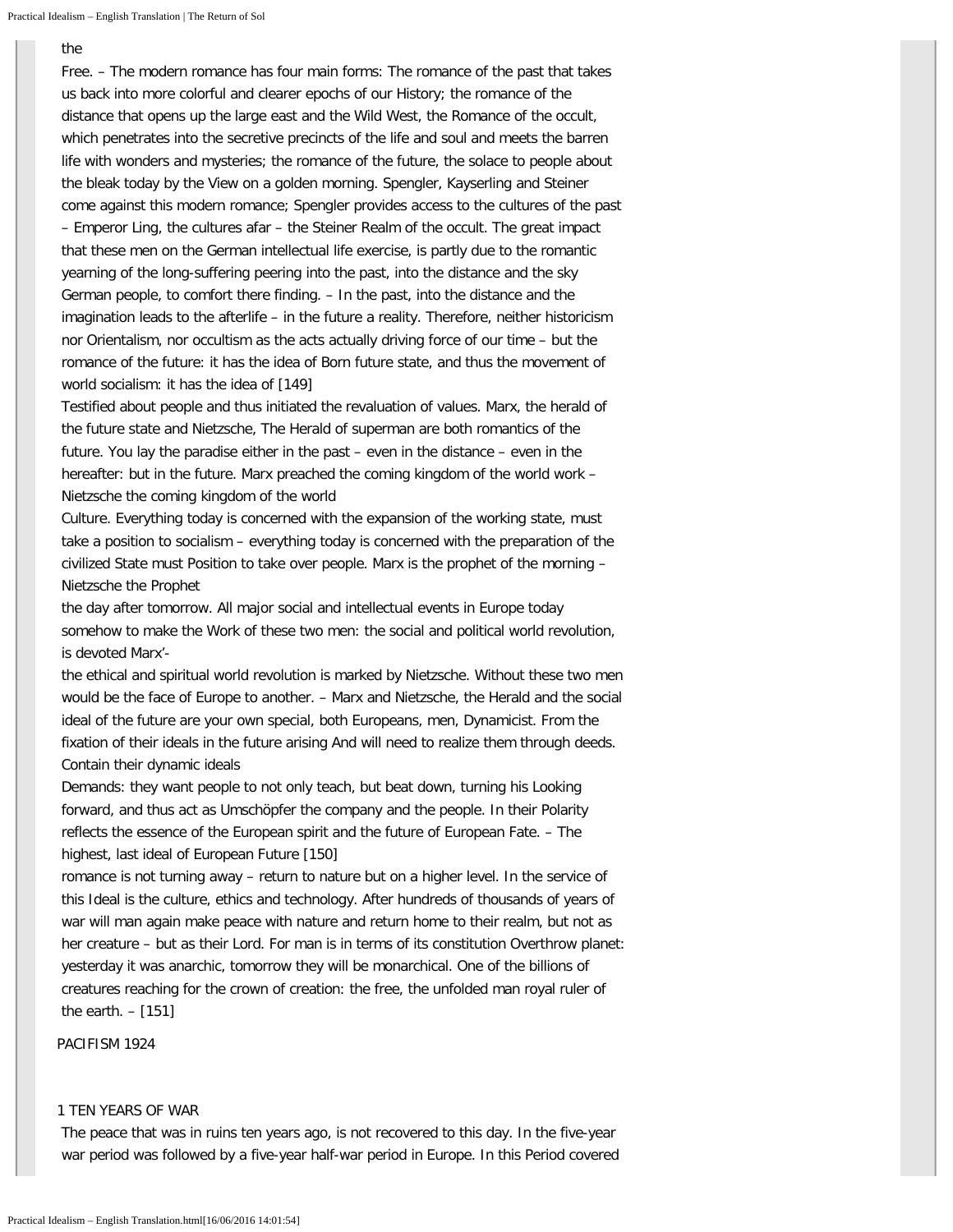Practical Idealism – English Translation | The Return of Sol

# the

Free. – The modern romance has four main forms: The romance of the past that takes us back into more colorful and clearer epochs of our History; the romance of the distance that opens up the large east and the Wild West, the Romance of the occult, which penetrates into the secretive precincts of the life and soul and meets the barren life with wonders and mysteries; the romance of the future, the solace to people about the bleak today by the View on a golden morning. Spengler, Kayserling and Steiner come against this modern romance; Spengler provides access to the cultures of the past – Emperor Ling, the cultures afar – the Steiner Realm of the occult. The great impact that these men on the German intellectual life exercise, is partly due to the romantic yearning of the long-suffering peering into the past, into the distance and the sky German people, to comfort there finding. – In the past, into the distance and the imagination leads to the afterlife – in the future a reality. Therefore, neither historicism nor Orientalism, nor occultism as the acts actually driving force of our time – but the romance of the future: it has the idea of Born future state, and thus the movement of world socialism: it has the idea of [149]

Testified about people and thus initiated the revaluation of values. Marx, the herald of the future state and Nietzsche, The Herald of superman are both romantics of the future. You lay the paradise either in the past – even in the distance – even in the hereafter: but in the future. Marx preached the coming kingdom of the world work – Nietzsche the coming kingdom of the world

Culture. Everything today is concerned with the expansion of the working state, must take a position to socialism – everything today is concerned with the preparation of the civilized State must Position to take over people. Marx is the prophet of the morning – Nietzsche the Prophet

the day after tomorrow. All major social and intellectual events in Europe today somehow to make the Work of these two men: the social and political world revolution, is devoted Marx'-

the ethical and spiritual world revolution is marked by Nietzsche. Without these two men would be the face of Europe to another. – Marx and Nietzsche, the Herald and the social ideal of the future are your own special, both Europeans, men, Dynamicist. From the fixation of their ideals in the future arising And will need to realize them through deeds. Contain their dynamic ideals

Demands: they want people to not only teach, but beat down, turning his Looking forward, and thus act as Umschöpfer the company and the people. In their Polarity reflects the essence of the European spirit and the future of European Fate. – The highest, last ideal of European Future [150]

romance is not turning away – return to nature but on a higher level. In the service of this Ideal is the culture, ethics and technology. After hundreds of thousands of years of war will man again make peace with nature and return home to their realm, but not as her creature – but as their Lord. For man is in terms of its constitution Overthrow planet: yesterday it was anarchic, tomorrow they will be monarchical. One of the billions of creatures reaching for the crown of creation: the free, the unfolded man royal ruler of the earth.  $-$  [151]

PACIFISM 1924

# 1 TEN YEARS OF WAR

The peace that was in ruins ten years ago, is not recovered to this day. In the five-year war period was followed by a five-year half-war period in Europe. In this Period covered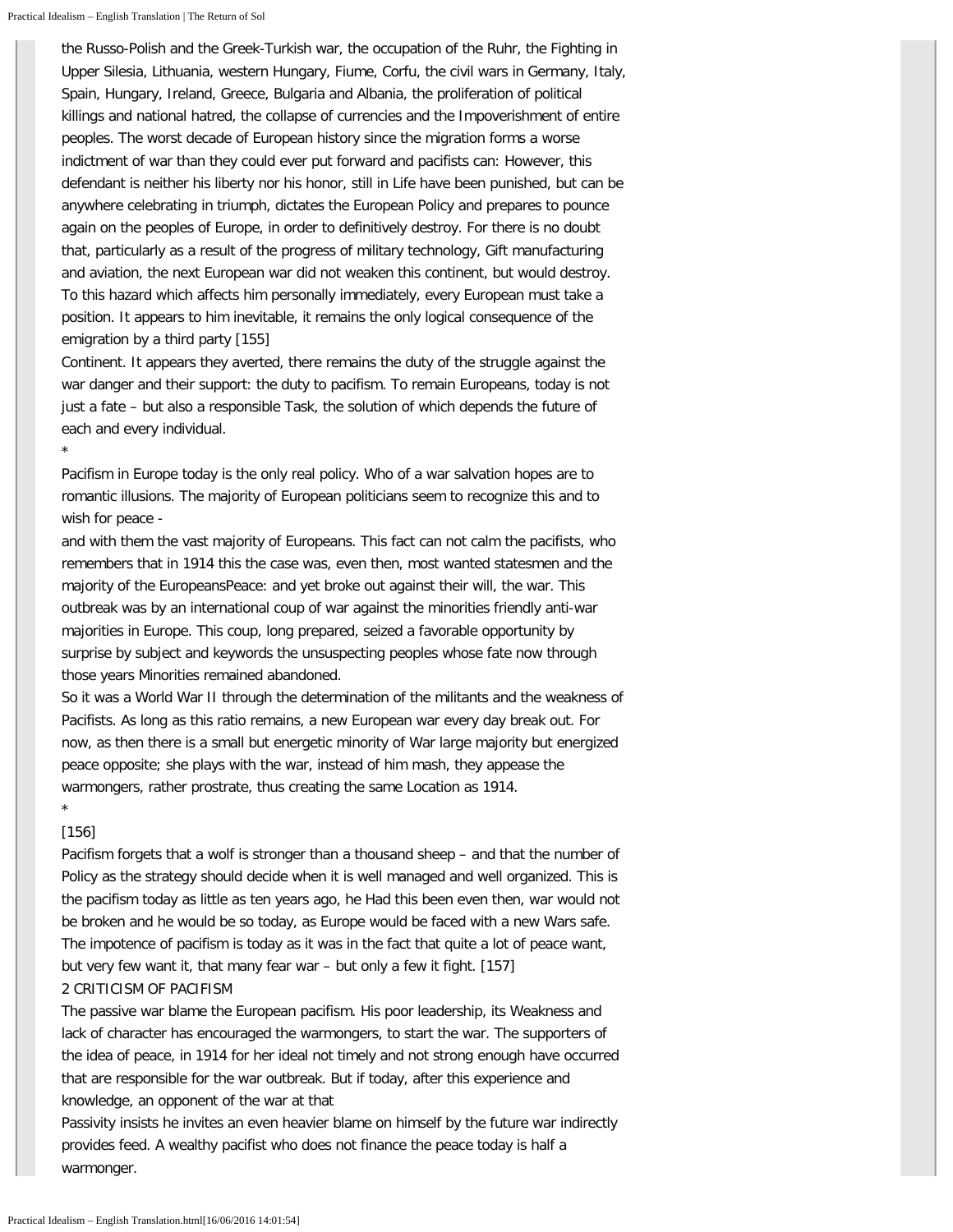the Russo-Polish and the Greek-Turkish war, the occupation of the Ruhr, the Fighting in Upper Silesia, Lithuania, western Hungary, Fiume, Corfu, the civil wars in Germany, Italy, Spain, Hungary, Ireland, Greece, Bulgaria and Albania, the proliferation of political killings and national hatred, the collapse of currencies and the Impoverishment of entire peoples. The worst decade of European history since the migration forms a worse indictment of war than they could ever put forward and pacifists can: However, this defendant is neither his liberty nor his honor, still in Life have been punished, but can be anywhere celebrating in triumph, dictates the European Policy and prepares to pounce again on the peoples of Europe, in order to definitively destroy. For there is no doubt that, particularly as a result of the progress of military technology, Gift manufacturing and aviation, the next European war did not weaken this continent, but would destroy. To this hazard which affects him personally immediately, every European must take a position. It appears to him inevitable, it remains the only logical consequence of the emigration by a third party [155]

Continent. It appears they averted, there remains the duty of the struggle against the war danger and their support: the duty to pacifism. To remain Europeans, today is not just a fate – but also a responsible Task, the solution of which depends the future of each and every individual.

Pacifism in Europe today is the only real policy. Who of a war salvation hopes are to romantic illusions. The majority of European politicians seem to recognize this and to wish for peace -

and with them the vast majority of Europeans. This fact can not calm the pacifists, who remembers that in 1914 this the case was, even then, most wanted statesmen and the majority of the EuropeansPeace: and yet broke out against their will, the war. This outbreak was by an international coup of war against the minorities friendly anti-war majorities in Europe. This coup, long prepared, seized a favorable opportunity by surprise by subject and keywords the unsuspecting peoples whose fate now through those years Minorities remained abandoned.

So it was a World War II through the determination of the militants and the weakness of Pacifists. As long as this ratio remains, a new European war every day break out. For now, as then there is a small but energetic minority of War large majority but energized peace opposite; she plays with the war, instead of him mash, they appease the warmongers, rather prostrate, thus creating the same Location as 1914.

#### [156]

\*

\*

Pacifism forgets that a wolf is stronger than a thousand sheep – and that the number of Policy as the strategy should decide when it is well managed and well organized. This is the pacifism today as little as ten years ago, he Had this been even then, war would not be broken and he would be so today, as Europe would be faced with a new Wars safe. The impotence of pacifism is today as it was in the fact that quite a lot of peace want, but very few want it, that many fear war – but only a few it fight. [157]

2 CRITICISM OF PACIFISM

The passive war blame the European pacifism. His poor leadership, its Weakness and lack of character has encouraged the warmongers, to start the war. The supporters of the idea of peace, in 1914 for her ideal not timely and not strong enough have occurred that are responsible for the war outbreak. But if today, after this experience and knowledge, an opponent of the war at that

Passivity insists he invites an even heavier blame on himself by the future war indirectly provides feed. A wealthy pacifist who does not finance the peace today is half a warmonger.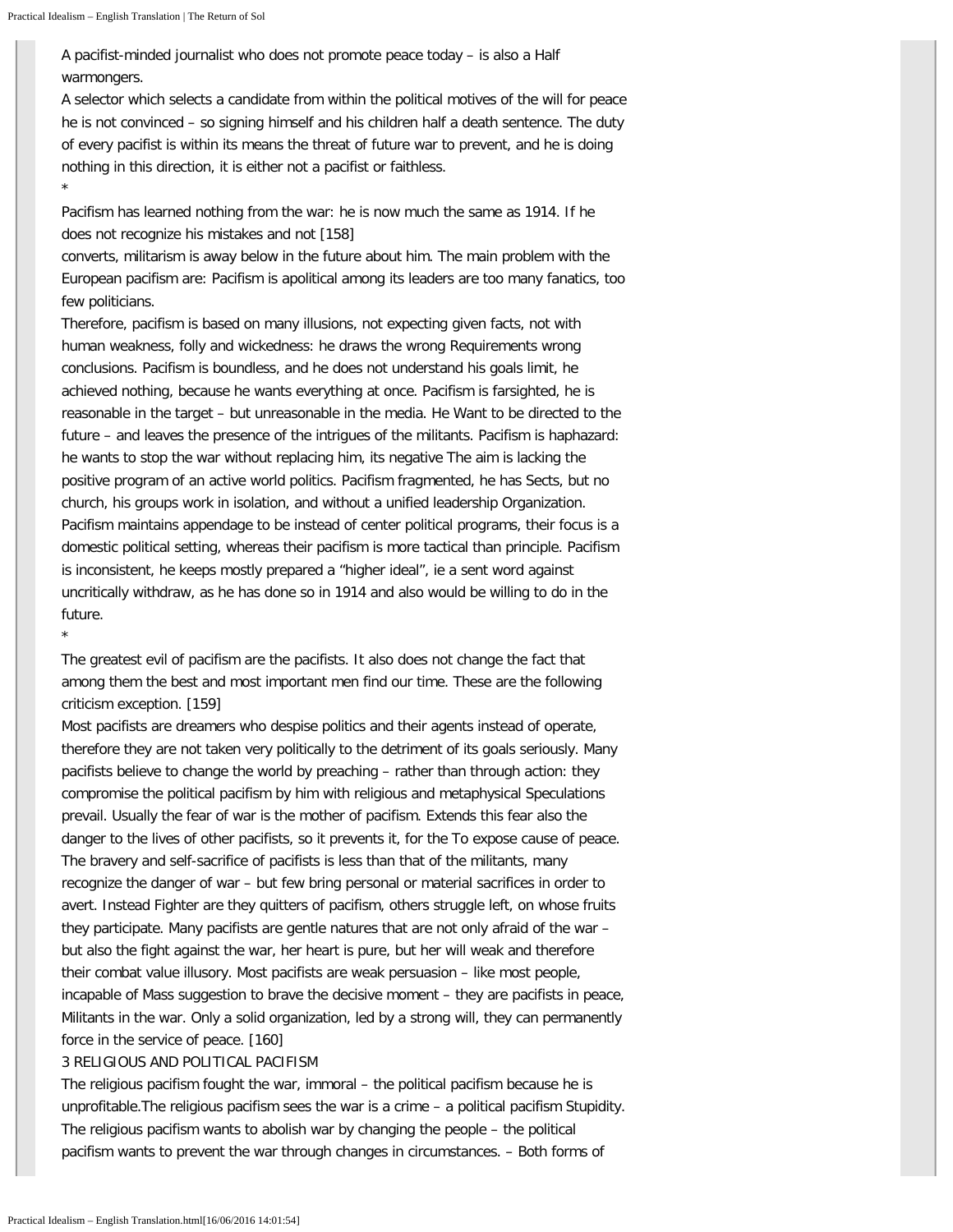\*

\*

A pacifist-minded journalist who does not promote peace today – is also a Half warmongers.

A selector which selects a candidate from within the political motives of the will for peace he is not convinced – so signing himself and his children half a death sentence. The duty of every pacifist is within its means the threat of future war to prevent, and he is doing nothing in this direction, it is either not a pacifist or faithless.

Pacifism has learned nothing from the war: he is now much the same as 1914. If he does not recognize his mistakes and not [158]

converts, militarism is away below in the future about him. The main problem with the European pacifism are: Pacifism is apolitical among its leaders are too many fanatics, too few politicians.

Therefore, pacifism is based on many illusions, not expecting given facts, not with human weakness, folly and wickedness: he draws the wrong Requirements wrong conclusions. Pacifism is boundless, and he does not understand his goals limit, he achieved nothing, because he wants everything at once. Pacifism is farsighted, he is reasonable in the target – but unreasonable in the media. He Want to be directed to the future – and leaves the presence of the intrigues of the militants. Pacifism is haphazard: he wants to stop the war without replacing him, its negative The aim is lacking the positive program of an active world politics. Pacifism fragmented, he has Sects, but no church, his groups work in isolation, and without a unified leadership Organization. Pacifism maintains appendage to be instead of center political programs, their focus is a domestic political setting, whereas their pacifism is more tactical than principle. Pacifism is inconsistent, he keeps mostly prepared a "higher ideal", ie a sent word against uncritically withdraw, as he has done so in 1914 and also would be willing to do in the future.

The greatest evil of pacifism are the pacifists. It also does not change the fact that among them the best and most important men find our time. These are the following criticism exception. [159]

Most pacifists are dreamers who despise politics and their agents instead of operate, therefore they are not taken very politically to the detriment of its goals seriously. Many pacifists believe to change the world by preaching – rather than through action: they compromise the political pacifism by him with religious and metaphysical Speculations prevail. Usually the fear of war is the mother of pacifism. Extends this fear also the danger to the lives of other pacifists, so it prevents it, for the To expose cause of peace. The bravery and self-sacrifice of pacifists is less than that of the militants, many recognize the danger of war – but few bring personal or material sacrifices in order to avert. Instead Fighter are they quitters of pacifism, others struggle left, on whose fruits they participate. Many pacifists are gentle natures that are not only afraid of the war – but also the fight against the war, her heart is pure, but her will weak and therefore their combat value illusory. Most pacifists are weak persuasion – like most people, incapable of Mass suggestion to brave the decisive moment – they are pacifists in peace, Militants in the war. Only a solid organization, led by a strong will, they can permanently force in the service of peace. [160]

## 3 RELIGIOUS AND POLITICAL PACIFISM

The religious pacifism fought the war, immoral – the political pacifism because he is unprofitable.The religious pacifism sees the war is a crime – a political pacifism Stupidity. The religious pacifism wants to abolish war by changing the people – the political pacifism wants to prevent the war through changes in circumstances. – Both forms of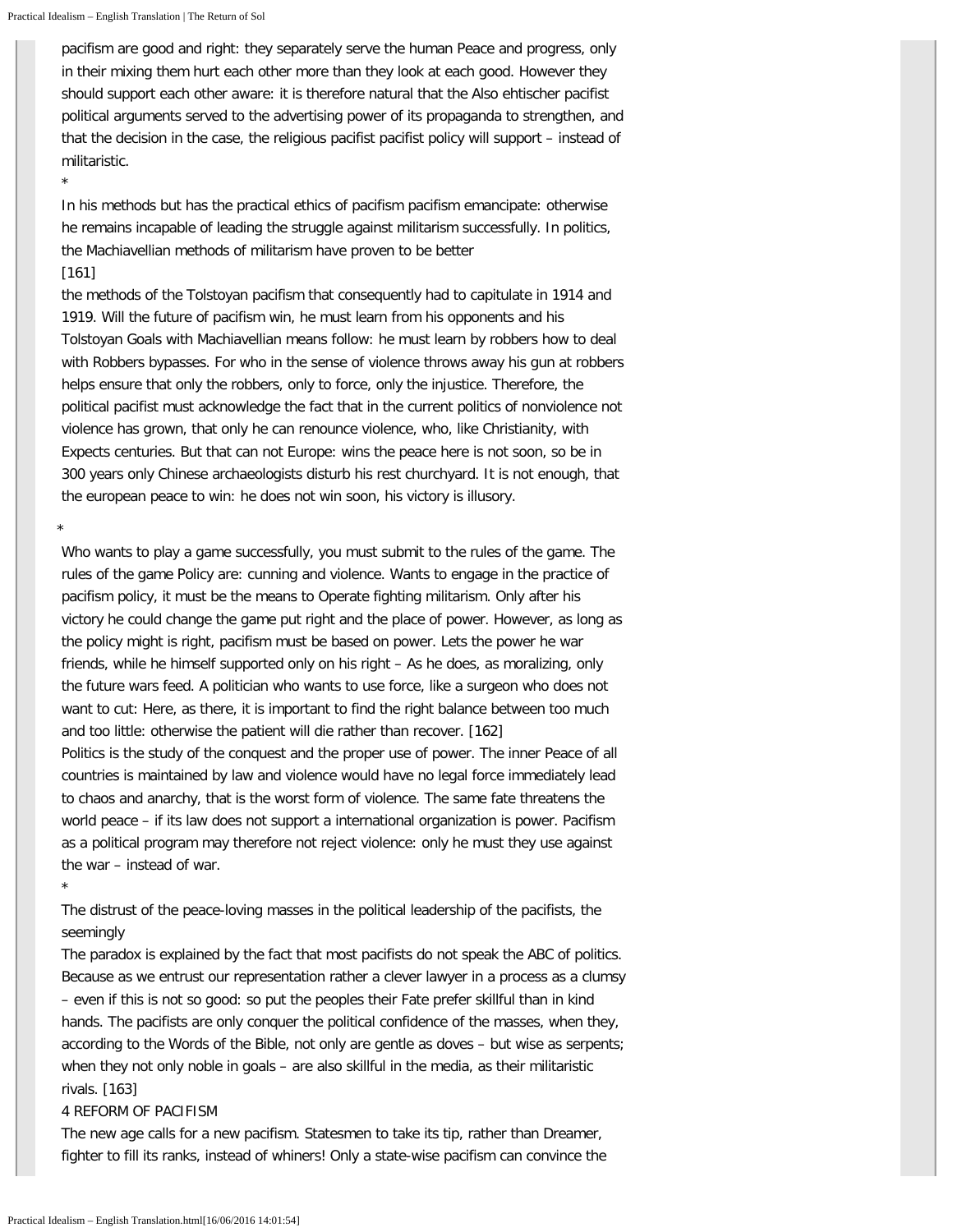```
Practical Idealism – English Translation | The Return of Sol
```
 pacifism are good and right: they separately serve the human Peace and progress, only in their mixing them hurt each other more than they look at each good. However they should support each other aware: it is therefore natural that the Also ehtischer pacifist political arguments served to the advertising power of its propaganda to strengthen, and that the decision in the case, the religious pacifist pacifist policy will support – instead of militaristic.

In his methods but has the practical ethics of pacifism pacifism emancipate: otherwise he remains incapable of leading the struggle against militarism successfully. In politics, the Machiavellian methods of militarism have proven to be better

# [161]

\*

\*

the methods of the Tolstoyan pacifism that consequently had to capitulate in 1914 and 1919. Will the future of pacifism win, he must learn from his opponents and his Tolstoyan Goals with Machiavellian means follow: he must learn by robbers how to deal with Robbers bypasses. For who in the sense of violence throws away his gun at robbers helps ensure that only the robbers, only to force, only the injustice. Therefore, the political pacifist must acknowledge the fact that in the current politics of nonviolence not violence has grown, that only he can renounce violence, who, like Christianity, with Expects centuries. But that can not Europe: wins the peace here is not soon, so be in 300 years only Chinese archaeologists disturb his rest churchyard. It is not enough, that the european peace to win: he does not win soon, his victory is illusory.

Who wants to play a game successfully, you must submit to the rules of the game. The rules of the game Policy are: cunning and violence. Wants to engage in the practice of pacifism policy, it must be the means to Operate fighting militarism. Only after his victory he could change the game put right and the place of power. However, as long as the policy might is right, pacifism must be based on power. Lets the power he war friends, while he himself supported only on his right – As he does, as moralizing, only the future wars feed. A politician who wants to use force, like a surgeon who does not want to cut: Here, as there, it is important to find the right balance between too much and too little: otherwise the patient will die rather than recover. [162] Politics is the study of the conquest and the proper use of power. The inner Peace of all countries is maintained by law and violence would have no legal force immediately lead to chaos and anarchy, that is the worst form of violence. The same fate threatens the world peace – if its law does not support a international organization is power. Pacifism

 as a political program may therefore not reject violence: only he must they use against the war – instead of war. \*

The distrust of the peace-loving masses in the political leadership of the pacifists, the seemingly

The paradox is explained by the fact that most pacifists do not speak the ABC of politics. Because as we entrust our representation rather a clever lawyer in a process as a clumsy – even if this is not so good: so put the peoples their Fate prefer skillful than in kind hands. The pacifists are only conquer the political confidence of the masses, when they, according to the Words of the Bible, not only are gentle as doves – but wise as serpents; when they not only noble in goals – are also skillful in the media, as their militaristic rivals. [163]

# 4 REFORM OF PACIFISM

The new age calls for a new pacifism. Statesmen to take its tip, rather than Dreamer, fighter to fill its ranks, instead of whiners! Only a state-wise pacifism can convince the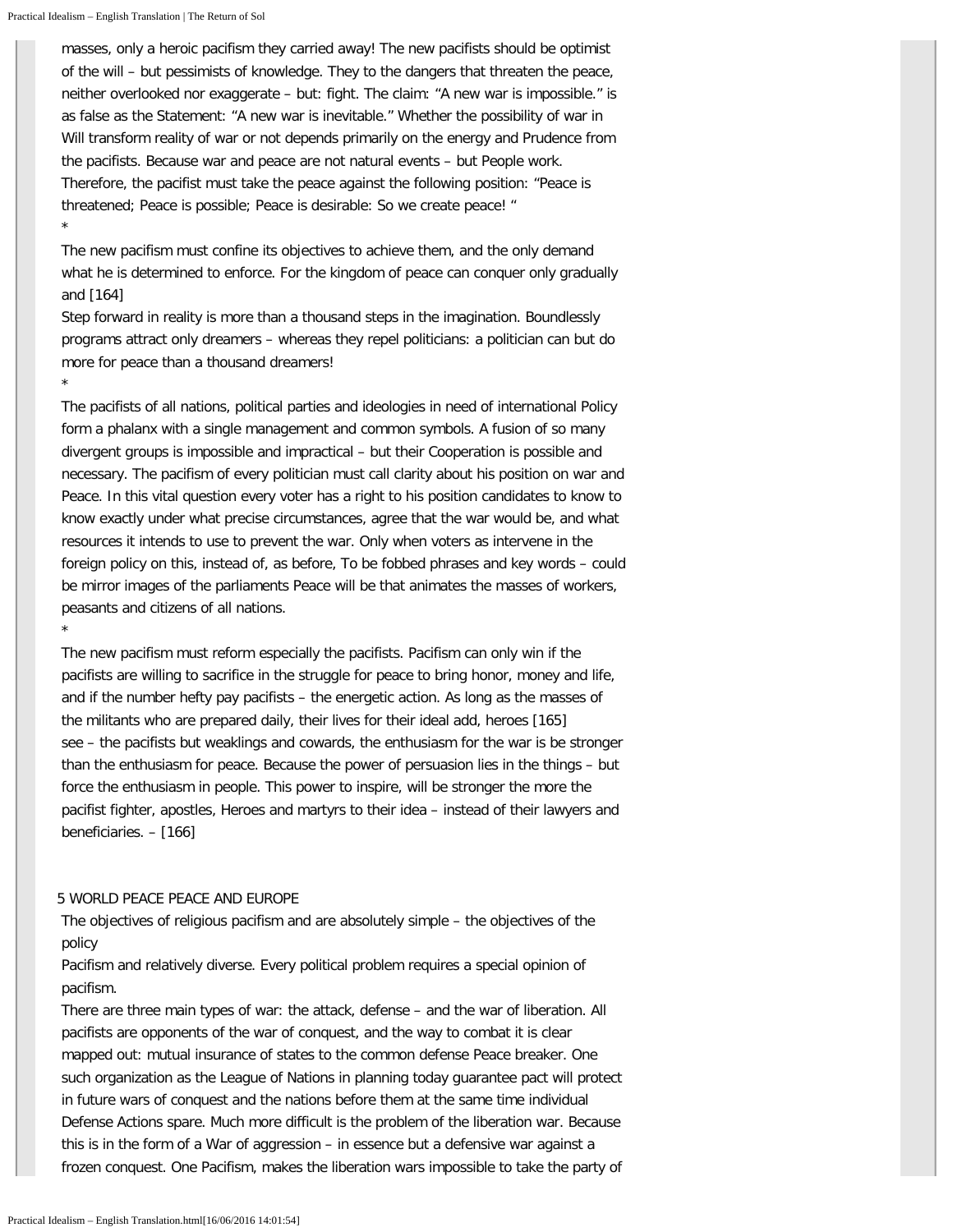\*

\*

 masses, only a heroic pacifism they carried away! The new pacifists should be optimist of the will – but pessimists of knowledge. They to the dangers that threaten the peace, neither overlooked nor exaggerate – but: fight. The claim: "A new war is impossible." is as false as the Statement: "A new war is inevitable." Whether the possibility of war in Will transform reality of war or not depends primarily on the energy and Prudence from the pacifists. Because war and peace are not natural events – but People work. Therefore, the pacifist must take the peace against the following position: "Peace is threatened; Peace is possible; Peace is desirable: So we create peace! " \*

The new pacifism must confine its objectives to achieve them, and the only demand what he is determined to enforce. For the kingdom of peace can conquer only gradually and [164]

Step forward in reality is more than a thousand steps in the imagination. Boundlessly programs attract only dreamers – whereas they repel politicians: a politician can but do more for peace than a thousand dreamers!

The pacifists of all nations, political parties and ideologies in need of international Policy form a phalanx with a single management and common symbols. A fusion of so many divergent groups is impossible and impractical – but their Cooperation is possible and necessary. The pacifism of every politician must call clarity about his position on war and Peace. In this vital question every voter has a right to his position candidates to know to know exactly under what precise circumstances, agree that the war would be, and what resources it intends to use to prevent the war. Only when voters as intervene in the foreign policy on this, instead of, as before, To be fobbed phrases and key words – could be mirror images of the parliaments Peace will be that animates the masses of workers, peasants and citizens of all nations.

The new pacifism must reform especially the pacifists. Pacifism can only win if the pacifists are willing to sacrifice in the struggle for peace to bring honor, money and life, and if the number hefty pay pacifists – the energetic action. As long as the masses of the militants who are prepared daily, their lives for their ideal add, heroes [165] see – the pacifists but weaklings and cowards, the enthusiasm for the war is be stronger than the enthusiasm for peace. Because the power of persuasion lies in the things – but force the enthusiasm in people. This power to inspire, will be stronger the more the pacifist fighter, apostles, Heroes and martyrs to their idea – instead of their lawyers and beneficiaries. – [166]

#### 5 WORLD PEACE PEACE AND EUROPE

The objectives of religious pacifism and are absolutely simple – the objectives of the policy

Pacifism and relatively diverse. Every political problem requires a special opinion of pacifism.

There are three main types of war: the attack, defense – and the war of liberation. All pacifists are opponents of the war of conquest, and the way to combat it is clear mapped out: mutual insurance of states to the common defense Peace breaker. One such organization as the League of Nations in planning today guarantee pact will protect in future wars of conquest and the nations before them at the same time individual Defense Actions spare. Much more difficult is the problem of the liberation war. Because this is in the form of a War of aggression – in essence but a defensive war against a frozen conquest. One Pacifism, makes the liberation wars impossible to take the party of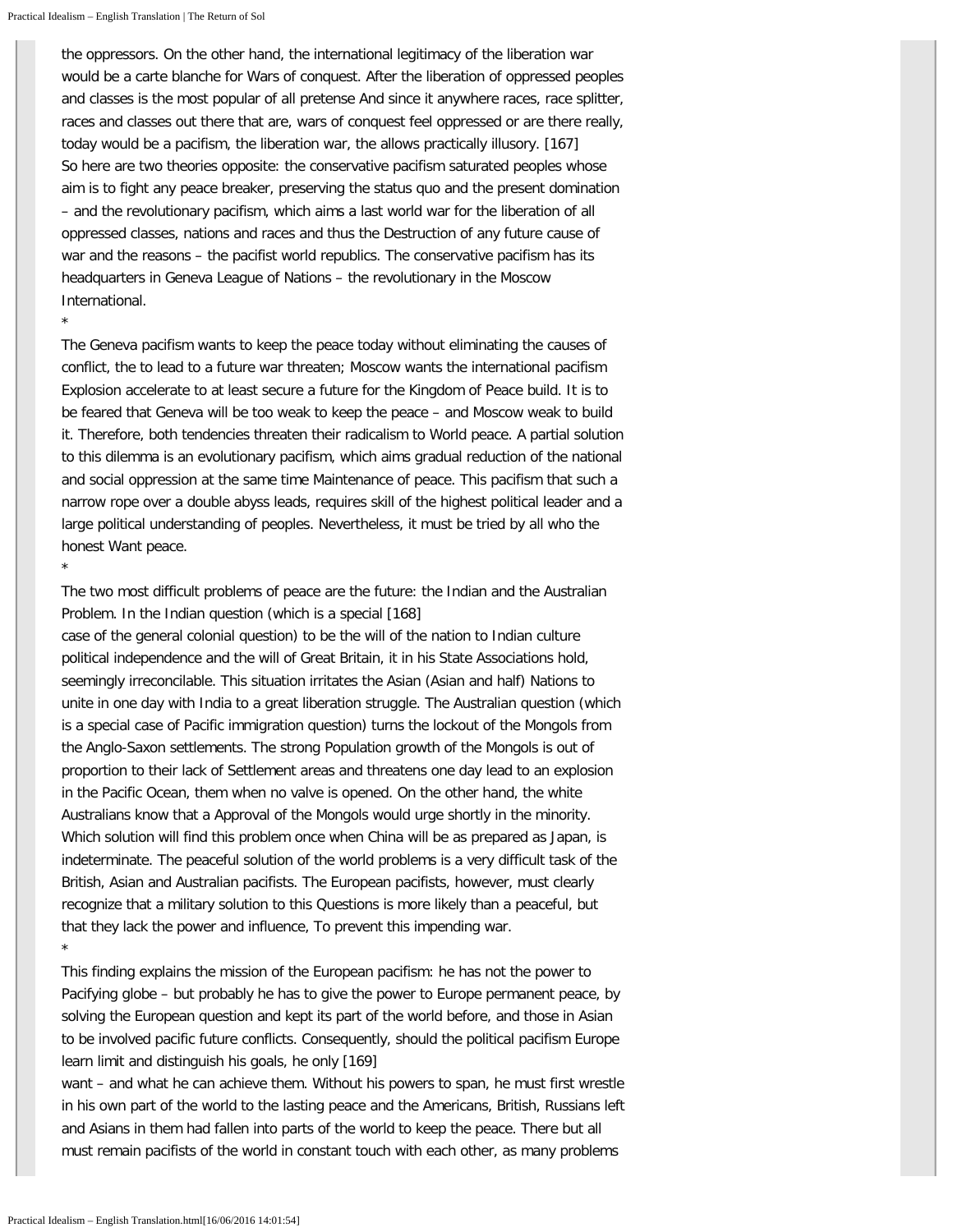\*

\*

 the oppressors. On the other hand, the international legitimacy of the liberation war would be a carte blanche for Wars of conquest. After the liberation of oppressed peoples and classes is the most popular of all pretense And since it anywhere races, race splitter, races and classes out there that are, wars of conquest feel oppressed or are there really, today would be a pacifism, the liberation war, the allows practically illusory. [167] So here are two theories opposite: the conservative pacifism saturated peoples whose aim is to fight any peace breaker, preserving the status quo and the present domination – and the revolutionary pacifism, which aims a last world war for the liberation of all oppressed classes, nations and races and thus the Destruction of any future cause of war and the reasons – the pacifist world republics. The conservative pacifism has its headquarters in Geneva League of Nations – the revolutionary in the Moscow International.

The Geneva pacifism wants to keep the peace today without eliminating the causes of conflict, the to lead to a future war threaten; Moscow wants the international pacifism Explosion accelerate to at least secure a future for the Kingdom of Peace build. It is to be feared that Geneva will be too weak to keep the peace – and Moscow weak to build it. Therefore, both tendencies threaten their radicalism to World peace. A partial solution to this dilemma is an evolutionary pacifism, which aims gradual reduction of the national and social oppression at the same time Maintenance of peace. This pacifism that such a narrow rope over a double abyss leads, requires skill of the highest political leader and a large political understanding of peoples. Nevertheless, it must be tried by all who the honest Want peace.

The two most difficult problems of peace are the future: the Indian and the Australian Problem. In the Indian question (which is a special [168]

case of the general colonial question) to be the will of the nation to Indian culture political independence and the will of Great Britain, it in his State Associations hold, seemingly irreconcilable. This situation irritates the Asian (Asian and half) Nations to unite in one day with India to a great liberation struggle. The Australian question (which is a special case of Pacific immigration question) turns the lockout of the Mongols from the Anglo-Saxon settlements. The strong Population growth of the Mongols is out of proportion to their lack of Settlement areas and threatens one day lead to an explosion in the Pacific Ocean, them when no valve is opened. On the other hand, the white Australians know that a Approval of the Mongols would urge shortly in the minority. Which solution will find this problem once when China will be as prepared as Japan, is indeterminate. The peaceful solution of the world problems is a very difficult task of the British, Asian and Australian pacifists. The European pacifists, however, must clearly recognize that a military solution to this Questions is more likely than a peaceful, but that they lack the power and influence, To prevent this impending war. \*

This finding explains the mission of the European pacifism: he has not the power to Pacifying globe – but probably he has to give the power to Europe permanent peace, by solving the European question and kept its part of the world before, and those in Asian to be involved pacific future conflicts. Consequently, should the political pacifism Europe learn limit and distinguish his goals, he only [169]

want – and what he can achieve them. Without his powers to span, he must first wrestle in his own part of the world to the lasting peace and the Americans, British, Russians left and Asians in them had fallen into parts of the world to keep the peace. There but all must remain pacifists of the world in constant touch with each other, as many problems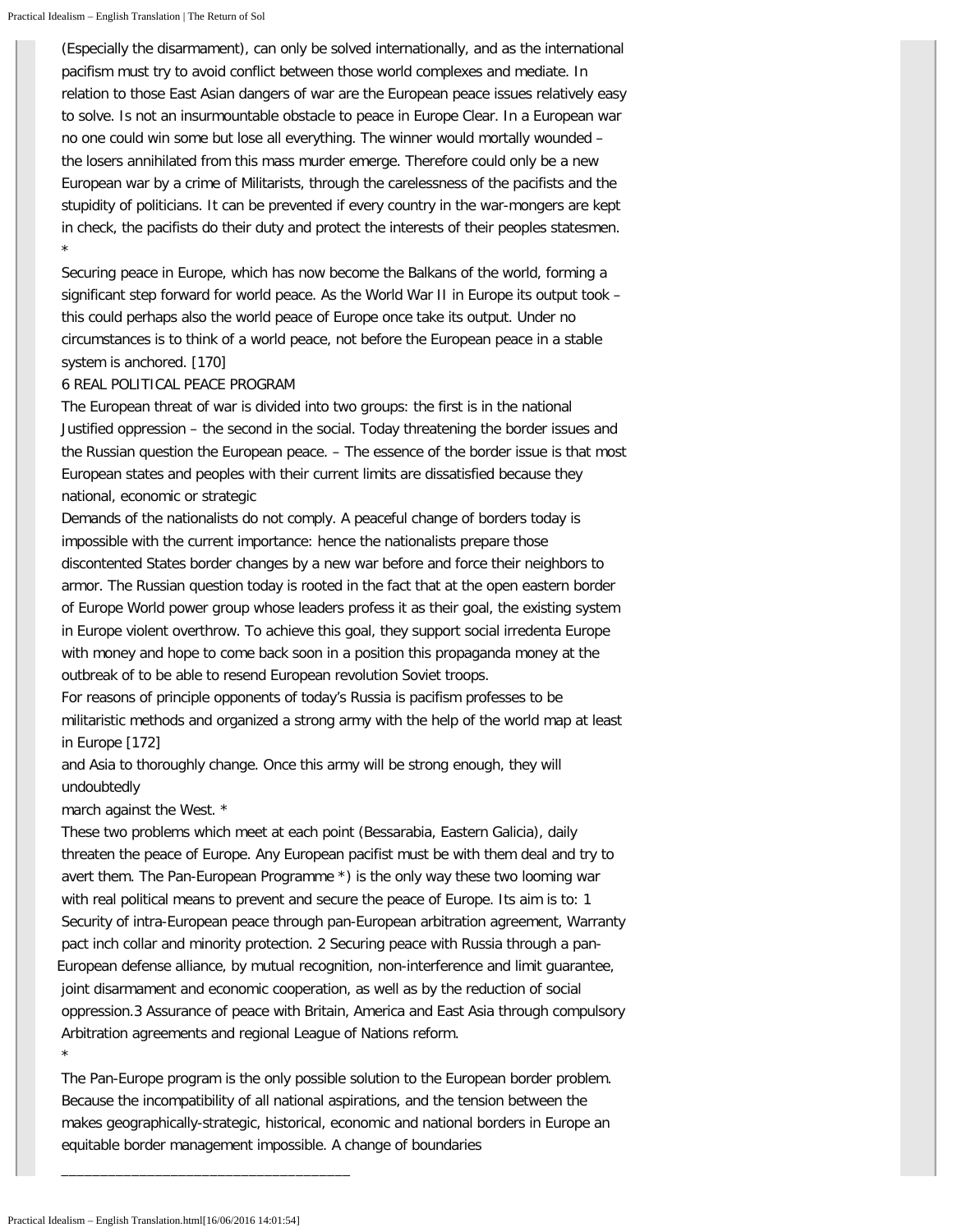(Especially the disarmament), can only be solved internationally, and as the international pacifism must try to avoid conflict between those world complexes and mediate. In relation to those East Asian dangers of war are the European peace issues relatively easy to solve. Is not an insurmountable obstacle to peace in Europe Clear. In a European war no one could win some but lose all everything. The winner would mortally wounded – the losers annihilated from this mass murder emerge. Therefore could only be a new European war by a crime of Militarists, through the carelessness of the pacifists and the stupidity of politicians. It can be prevented if every country in the war-mongers are kept in check, the pacifists do their duty and protect the interests of their peoples statesmen. \*

Securing peace in Europe, which has now become the Balkans of the world, forming a significant step forward for world peace. As the World War II in Europe its output took – this could perhaps also the world peace of Europe once take its output. Under no circumstances is to think of a world peace, not before the European peace in a stable system is anchored. [170]

## 6 REAL POLITICAL PEACE PROGRAM

The European threat of war is divided into two groups: the first is in the national Justified oppression – the second in the social. Today threatening the border issues and the Russian question the European peace. – The essence of the border issue is that most European states and peoples with their current limits are dissatisfied because they national, economic or strategic

Demands of the nationalists do not comply. A peaceful change of borders today is impossible with the current importance: hence the nationalists prepare those discontented States border changes by a new war before and force their neighbors to armor. The Russian question today is rooted in the fact that at the open eastern border of Europe World power group whose leaders profess it as their goal, the existing system in Europe violent overthrow. To achieve this goal, they support social irredenta Europe with money and hope to come back soon in a position this propaganda money at the outbreak of to be able to resend European revolution Soviet troops.

For reasons of principle opponents of today's Russia is pacifism professes to be militaristic methods and organized a strong army with the help of the world map at least in Europe [172]

and Asia to thoroughly change. Once this army will be strong enough, they will undoubtedly

march against the West. \*

These two problems which meet at each point (Bessarabia, Eastern Galicia), daily threaten the peace of Europe. Any European pacifist must be with them deal and try to avert them. The Pan-European Programme \*) is the only way these two looming war with real political means to prevent and secure the peace of Europe. Its aim is to: 1 Security of intra-European peace through pan-European arbitration agreement, Warranty pact inch collar and minority protection. 2 Securing peace with Russia through a pan-European defense alliance, by mutual recognition, non-interference and limit guarantee, joint disarmament and economic cooperation, as well as by the reduction of social oppression.3 Assurance of peace with Britain, America and East Asia through compulsory Arbitration agreements and regional League of Nations reform.

The Pan-Europe program is the only possible solution to the European border problem. Because the incompatibility of all national aspirations, and the tension between the makes geographically-strategic, historical, economic and national borders in Europe an equitable border management impossible. A change of boundaries

\_\_\_\_\_\_\_\_\_\_\_\_\_\_\_\_\_\_\_\_\_\_\_\_\_\_\_\_\_\_\_\_\_\_\_\_\_

\*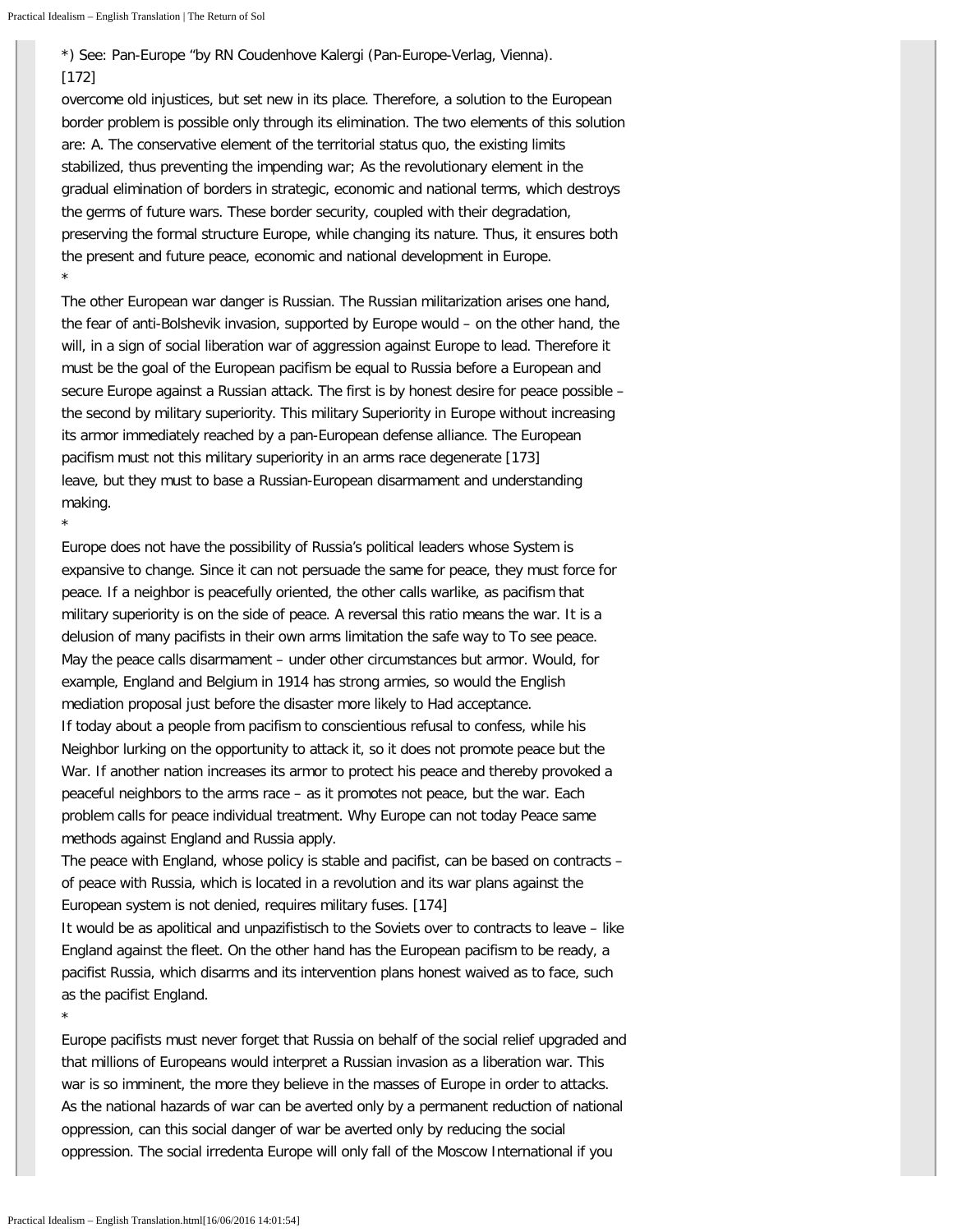\*

\*

\*) See: Pan-Europe "by RN Coudenhove Kalergi (Pan-Europe-Verlag, Vienna). [172]

overcome old injustices, but set new in its place. Therefore, a solution to the European border problem is possible only through its elimination. The two elements of this solution are: A. The conservative element of the territorial status quo, the existing limits stabilized, thus preventing the impending war; As the revolutionary element in the gradual elimination of borders in strategic, economic and national terms, which destroys the germs of future wars. These border security, coupled with their degradation, preserving the formal structure Europe, while changing its nature. Thus, it ensures both the present and future peace, economic and national development in Europe. \*

The other European war danger is Russian. The Russian militarization arises one hand, the fear of anti-Bolshevik invasion, supported by Europe would – on the other hand, the will, in a sign of social liberation war of aggression against Europe to lead. Therefore it must be the goal of the European pacifism be equal to Russia before a European and secure Europe against a Russian attack. The first is by honest desire for peace possible – the second by military superiority. This military Superiority in Europe without increasing its armor immediately reached by a pan-European defense alliance. The European pacifism must not this military superiority in an arms race degenerate [173] leave, but they must to base a Russian-European disarmament and understanding making.

Europe does not have the possibility of Russia's political leaders whose System is expansive to change. Since it can not persuade the same for peace, they must force for peace. If a neighbor is peacefully oriented, the other calls warlike, as pacifism that military superiority is on the side of peace. A reversal this ratio means the war. It is a delusion of many pacifists in their own arms limitation the safe way to To see peace. May the peace calls disarmament – under other circumstances but armor. Would, for example, England and Belgium in 1914 has strong armies, so would the English mediation proposal just before the disaster more likely to Had acceptance. If today about a people from pacifism to conscientious refusal to confess, while his Neighbor lurking on the opportunity to attack it, so it does not promote peace but the War. If another nation increases its armor to protect his peace and thereby provoked a peaceful neighbors to the arms race – as it promotes not peace, but the war. Each problem calls for peace individual treatment. Why Europe can not today Peace same methods against England and Russia apply.

The peace with England, whose policy is stable and pacifist, can be based on contracts – of peace with Russia, which is located in a revolution and its war plans against the European system is not denied, requires military fuses. [174]

It would be as apolitical and unpazifistisch to the Soviets over to contracts to leave – like England against the fleet. On the other hand has the European pacifism to be ready, a pacifist Russia, which disarms and its intervention plans honest waived as to face, such as the pacifist England.

Europe pacifists must never forget that Russia on behalf of the social relief upgraded and that millions of Europeans would interpret a Russian invasion as a liberation war. This war is so imminent, the more they believe in the masses of Europe in order to attacks. As the national hazards of war can be averted only by a permanent reduction of national oppression, can this social danger of war be averted only by reducing the social oppression. The social irredenta Europe will only fall of the Moscow International if you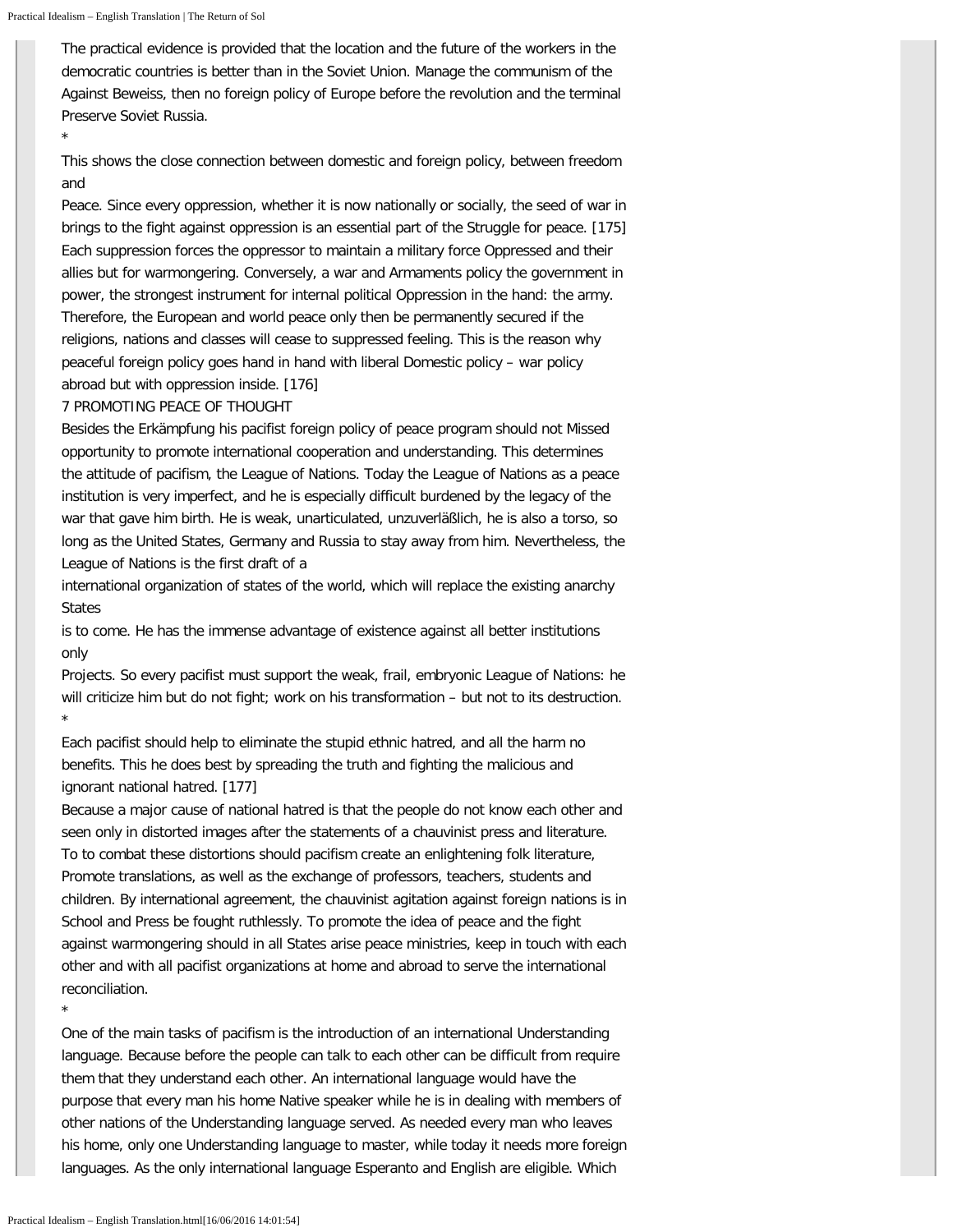\*

 The practical evidence is provided that the location and the future of the workers in the democratic countries is better than in the Soviet Union. Manage the communism of the Against Beweiss, then no foreign policy of Europe before the revolution and the terminal Preserve Soviet Russia.

This shows the close connection between domestic and foreign policy, between freedom and

Peace. Since every oppression, whether it is now nationally or socially, the seed of war in brings to the fight against oppression is an essential part of the Struggle for peace. [175] Each suppression forces the oppressor to maintain a military force Oppressed and their allies but for warmongering. Conversely, a war and Armaments policy the government in power, the strongest instrument for internal political Oppression in the hand: the army. Therefore, the European and world peace only then be permanently secured if the religions, nations and classes will cease to suppressed feeling. This is the reason why peaceful foreign policy goes hand in hand with liberal Domestic policy – war policy abroad but with oppression inside. [176]

## 7 PROMOTING PEACE OF THOUGHT

Besides the Erkämpfung his pacifist foreign policy of peace program should not Missed opportunity to promote international cooperation and understanding. This determines the attitude of pacifism, the League of Nations. Today the League of Nations as a peace institution is very imperfect, and he is especially difficult burdened by the legacy of the war that gave him birth. He is weak, unarticulated, unzuverläßlich, he is also a torso, so long as the United States, Germany and Russia to stay away from him. Nevertheless, the League of Nations is the first draft of a

international organization of states of the world, which will replace the existing anarchy States

is to come. He has the immense advantage of existence against all better institutions only

Projects. So every pacifist must support the weak, frail, embryonic League of Nations: he will criticize him but do not fight; work on his transformation – but not to its destruction. \*

Each pacifist should help to eliminate the stupid ethnic hatred, and all the harm no benefits. This he does best by spreading the truth and fighting the malicious and ignorant national hatred. [177]

Because a major cause of national hatred is that the people do not know each other and seen only in distorted images after the statements of a chauvinist press and literature. To to combat these distortions should pacifism create an enlightening folk literature, Promote translations, as well as the exchange of professors, teachers, students and children. By international agreement, the chauvinist agitation against foreign nations is in School and Press be fought ruthlessly. To promote the idea of peace and the fight against warmongering should in all States arise peace ministries, keep in touch with each other and with all pacifist organizations at home and abroad to serve the international reconciliation.

\*

One of the main tasks of pacifism is the introduction of an international Understanding language. Because before the people can talk to each other can be difficult from require them that they understand each other. An international language would have the purpose that every man his home Native speaker while he is in dealing with members of other nations of the Understanding language served. As needed every man who leaves his home, only one Understanding language to master, while today it needs more foreign languages. As the only international language Esperanto and English are eligible. Which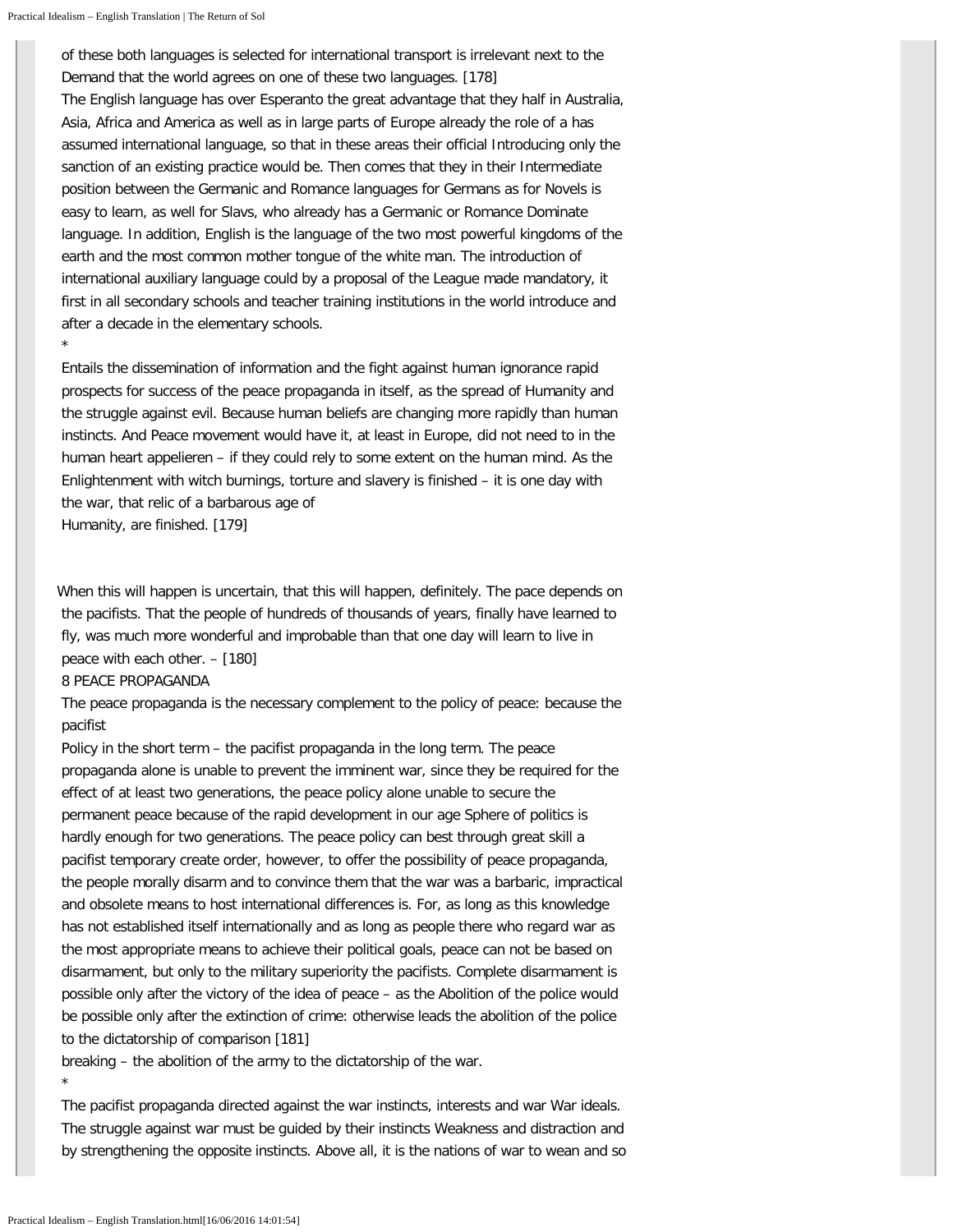of these both languages is selected for international transport is irrelevant next to the Demand that the world agrees on one of these two languages. [178] The English language has over Esperanto the great advantage that they half in Australia, Asia, Africa and America as well as in large parts of Europe already the role of a has assumed international language, so that in these areas their official Introducing only the sanction of an existing practice would be. Then comes that they in their Intermediate position between the Germanic and Romance languages for Germans as for Novels is easy to learn, as well for Slavs, who already has a Germanic or Romance Dominate language. In addition, English is the language of the two most powerful kingdoms of the earth and the most common mother tongue of the white man. The introduction of international auxiliary language could by a proposal of the League made mandatory, it first in all secondary schools and teacher training institutions in the world introduce and after a decade in the elementary schools.

Entails the dissemination of information and the fight against human ignorance rapid prospects for success of the peace propaganda in itself, as the spread of Humanity and the struggle against evil. Because human beliefs are changing more rapidly than human instincts. And Peace movement would have it, at least in Europe, did not need to in the human heart appelieren – if they could rely to some extent on the human mind. As the Enlightenment with witch burnings, torture and slavery is finished – it is one day with the war, that relic of a barbarous age of

Humanity, are finished. [179]

\*

When this will happen is uncertain, that this will happen, definitely. The pace depends on the pacifists. That the people of hundreds of thousands of years, finally have learned to fly, was much more wonderful and improbable than that one day will learn to live in peace with each other. – [180]

#### 8 PEACE PROPAGANDA

The peace propaganda is the necessary complement to the policy of peace: because the pacifist

Policy in the short term – the pacifist propaganda in the long term. The peace propaganda alone is unable to prevent the imminent war, since they be required for the effect of at least two generations, the peace policy alone unable to secure the permanent peace because of the rapid development in our age Sphere of politics is hardly enough for two generations. The peace policy can best through great skill a pacifist temporary create order, however, to offer the possibility of peace propaganda, the people morally disarm and to convince them that the war was a barbaric, impractical and obsolete means to host international differences is. For, as long as this knowledge has not established itself internationally and as long as people there who regard war as the most appropriate means to achieve their political goals, peace can not be based on disarmament, but only to the military superiority the pacifists. Complete disarmament is possible only after the victory of the idea of peace – as the Abolition of the police would be possible only after the extinction of crime: otherwise leads the abolition of the police to the dictatorship of comparison [181]

breaking – the abolition of the army to the dictatorship of the war.

The pacifist propaganda directed against the war instincts, interests and war War ideals. The struggle against war must be guided by their instincts Weakness and distraction and by strengthening the opposite instincts. Above all, it is the nations of war to wean and so

\*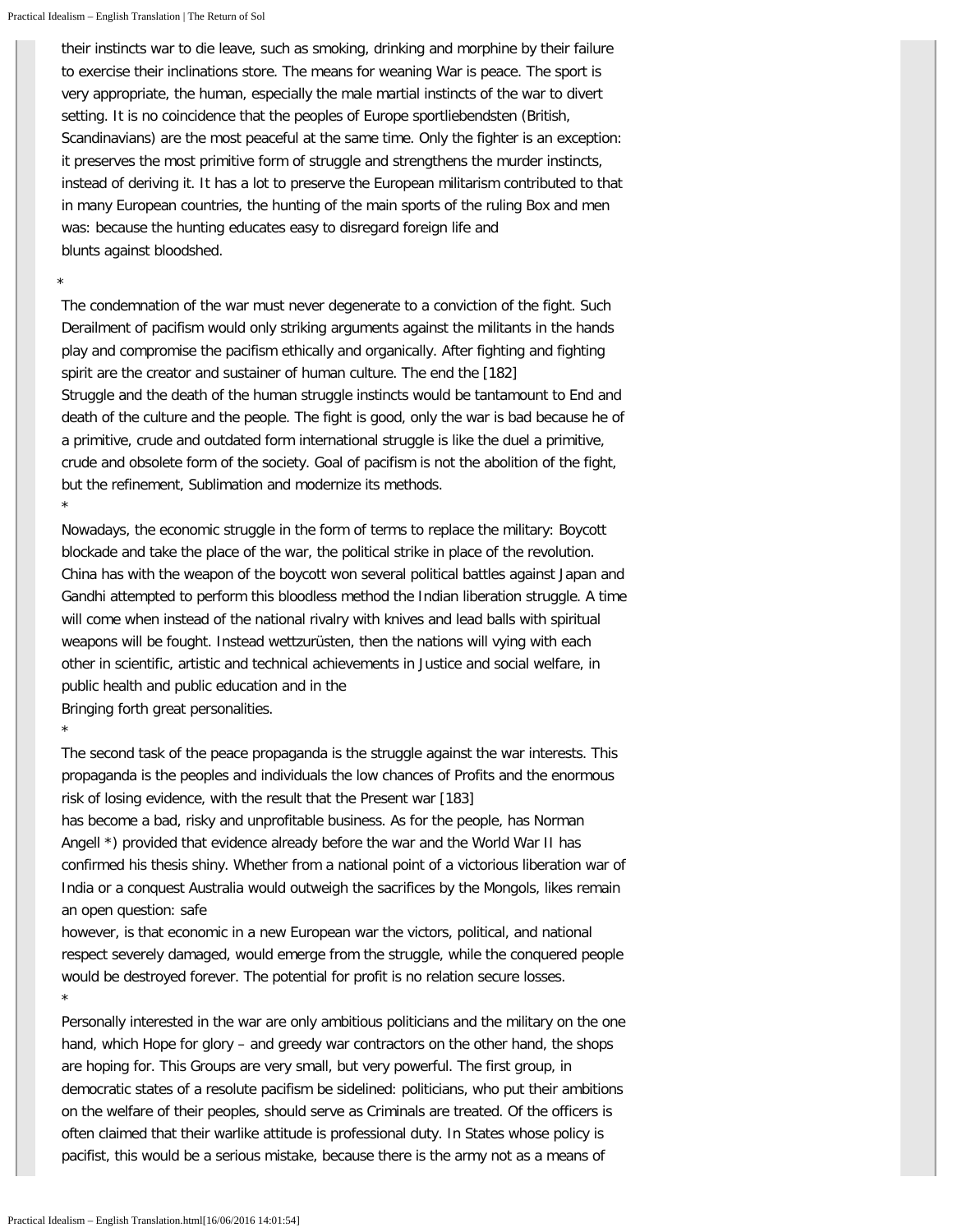\*

\*

\*

 their instincts war to die leave, such as smoking, drinking and morphine by their failure to exercise their inclinations store. The means for weaning War is peace. The sport is very appropriate, the human, especially the male martial instincts of the war to divert setting. It is no coincidence that the peoples of Europe sportliebendsten (British, Scandinavians) are the most peaceful at the same time. Only the fighter is an exception: it preserves the most primitive form of struggle and strengthens the murder instincts, instead of deriving it. It has a lot to preserve the European militarism contributed to that in many European countries, the hunting of the main sports of the ruling Box and men was: because the hunting educates easy to disregard foreign life and blunts against bloodshed.

The condemnation of the war must never degenerate to a conviction of the fight. Such Derailment of pacifism would only striking arguments against the militants in the hands play and compromise the pacifism ethically and organically. After fighting and fighting spirit are the creator and sustainer of human culture. The end the [182] Struggle and the death of the human struggle instincts would be tantamount to End and death of the culture and the people. The fight is good, only the war is bad because he of a primitive, crude and outdated form international struggle is like the duel a primitive, crude and obsolete form of the society. Goal of pacifism is not the abolition of the fight, but the refinement, Sublimation and modernize its methods.

Nowadays, the economic struggle in the form of terms to replace the military: Boycott blockade and take the place of the war, the political strike in place of the revolution. China has with the weapon of the boycott won several political battles against Japan and Gandhi attempted to perform this bloodless method the Indian liberation struggle. A time will come when instead of the national rivalry with knives and lead balls with spiritual weapons will be fought. Instead wettzurüsten, then the nations will vying with each other in scientific, artistic and technical achievements in Justice and social welfare, in public health and public education and in the Bringing forth great personalities.

The second task of the peace propaganda is the struggle against the war interests. This propaganda is the peoples and individuals the low chances of Profits and the enormous risk of losing evidence, with the result that the Present war [183] has become a bad, risky and unprofitable business. As for the people, has Norman

 Angell \*) provided that evidence already before the war and the World War II has confirmed his thesis shiny. Whether from a national point of a victorious liberation war of India or a conquest Australia would outweigh the sacrifices by the Mongols, likes remain an open question: safe

however, is that economic in a new European war the victors, political, and national respect severely damaged, would emerge from the struggle, while the conquered people would be destroyed forever. The potential for profit is no relation secure losses. \*

 Personally interested in the war are only ambitious politicians and the military on the one hand, which Hope for glory – and greedy war contractors on the other hand, the shops are hoping for. This Groups are very small, but very powerful. The first group, in democratic states of a resolute pacifism be sidelined: politicians, who put their ambitions on the welfare of their peoples, should serve as Criminals are treated. Of the officers is often claimed that their warlike attitude is professional duty. In States whose policy is pacifist, this would be a serious mistake, because there is the army not as a means of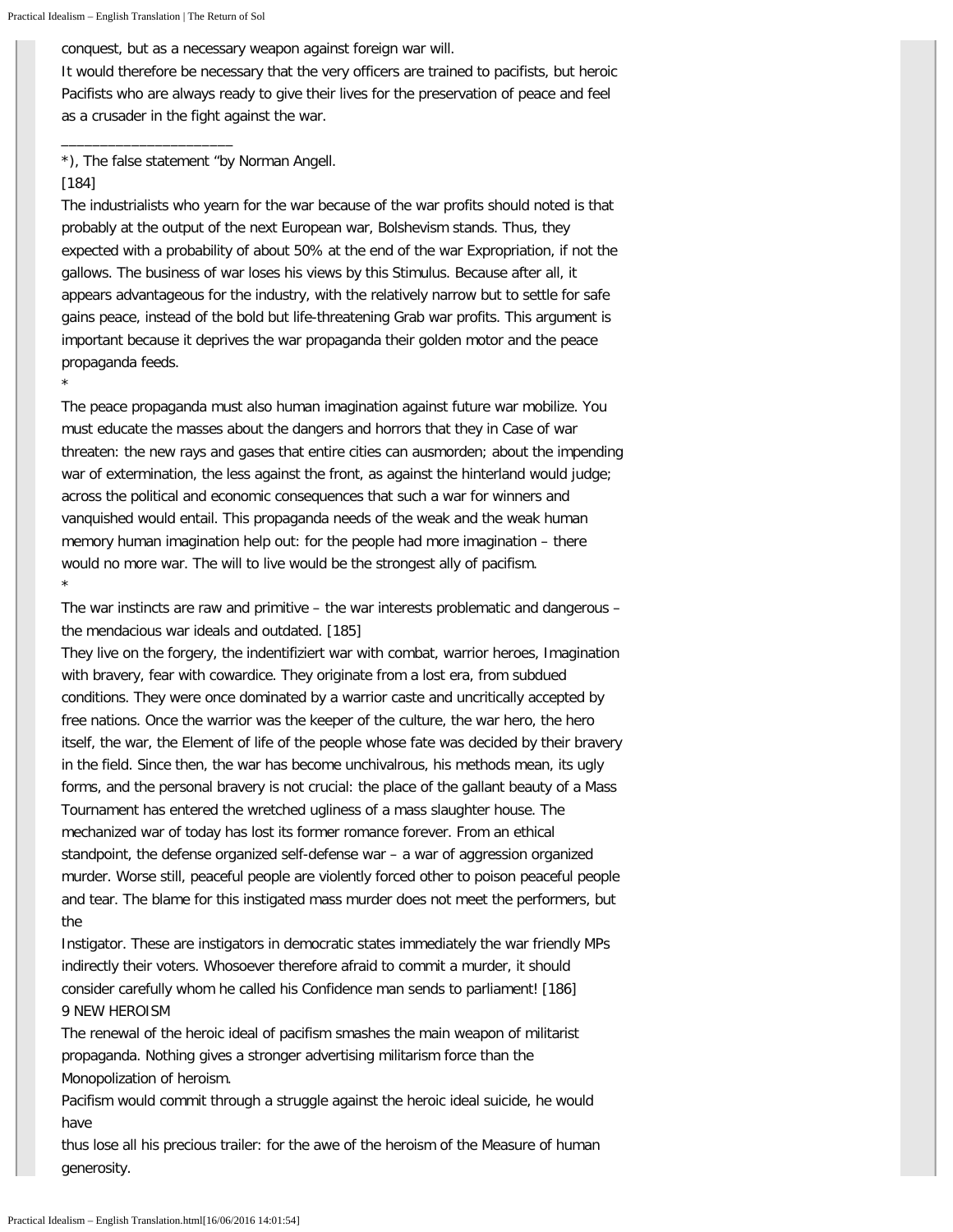\_\_\_\_\_\_\_\_\_\_\_\_\_\_\_\_\_\_\_\_\_\_

conquest, but as a necessary weapon against foreign war will.

It would therefore be necessary that the very officers are trained to pacifists, but heroic Pacifists who are always ready to give their lives for the preservation of peace and feel as a crusader in the fight against the war.

\*), The false statement "by Norman Angell.

#### [184]

\*

The industrialists who yearn for the war because of the war profits should noted is that probably at the output of the next European war, Bolshevism stands. Thus, they expected with a probability of about 50% at the end of the war Expropriation, if not the gallows. The business of war loses his views by this Stimulus. Because after all, it appears advantageous for the industry, with the relatively narrow but to settle for safe gains peace, instead of the bold but life-threatening Grab war profits. This argument is important because it deprives the war propaganda their golden motor and the peace propaganda feeds.

The peace propaganda must also human imagination against future war mobilize. You must educate the masses about the dangers and horrors that they in Case of war threaten: the new rays and gases that entire cities can ausmorden; about the impending war of extermination, the less against the front, as against the hinterland would judge; across the political and economic consequences that such a war for winners and vanquished would entail. This propaganda needs of the weak and the weak human memory human imagination help out: for the people had more imagination – there would no more war. The will to live would be the strongest ally of pacifism. \*

The war instincts are raw and primitive – the war interests problematic and dangerous – the mendacious war ideals and outdated. [185]

They live on the forgery, the indentifiziert war with combat, warrior heroes, Imagination with bravery, fear with cowardice. They originate from a lost era, from subdued conditions. They were once dominated by a warrior caste and uncritically accepted by free nations. Once the warrior was the keeper of the culture, the war hero, the hero itself, the war, the Element of life of the people whose fate was decided by their bravery in the field. Since then, the war has become unchivalrous, his methods mean, its ugly forms, and the personal bravery is not crucial: the place of the gallant beauty of a Mass Tournament has entered the wretched ugliness of a mass slaughter house. The mechanized war of today has lost its former romance forever. From an ethical standpoint, the defense organized self-defense war – a war of aggression organized murder. Worse still, peaceful people are violently forced other to poison peaceful people and tear. The blame for this instigated mass murder does not meet the performers, but the

Instigator. These are instigators in democratic states immediately the war friendly MPs indirectly their voters. Whosoever therefore afraid to commit a murder, it should consider carefully whom he called his Confidence man sends to parliament! [186] 9 NEW HEROISM

The renewal of the heroic ideal of pacifism smashes the main weapon of militarist propaganda. Nothing gives a stronger advertising militarism force than the Monopolization of heroism.

Pacifism would commit through a struggle against the heroic ideal suicide, he would have

thus lose all his precious trailer: for the awe of the heroism of the Measure of human generosity.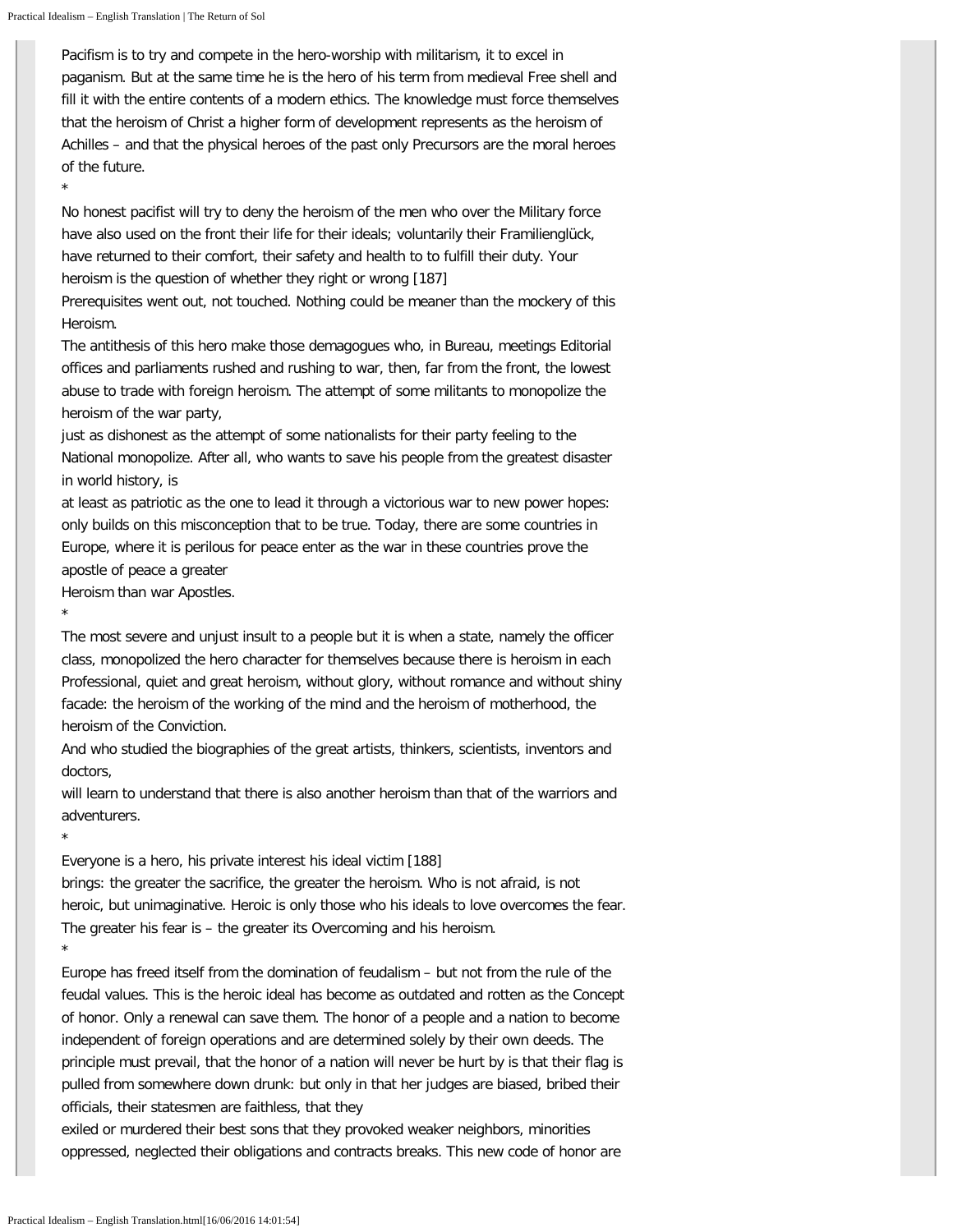\*

\*

\*

Pacifism is to try and compete in the hero-worship with militarism, it to excel in paganism. But at the same time he is the hero of his term from medieval Free shell and fill it with the entire contents of a modern ethics. The knowledge must force themselves that the heroism of Christ a higher form of development represents as the heroism of Achilles – and that the physical heroes of the past only Precursors are the moral heroes of the future.

No honest pacifist will try to deny the heroism of the men who over the Military force have also used on the front their life for their ideals; voluntarily their Framilienglück, have returned to their comfort, their safety and health to to fulfill their duty. Your heroism is the question of whether they right or wrong [187]

Prerequisites went out, not touched. Nothing could be meaner than the mockery of this Heroism.

The antithesis of this hero make those demagogues who, in Bureau, meetings Editorial offices and parliaments rushed and rushing to war, then, far from the front, the lowest abuse to trade with foreign heroism. The attempt of some militants to monopolize the heroism of the war party,

just as dishonest as the attempt of some nationalists for their party feeling to the National monopolize. After all, who wants to save his people from the greatest disaster in world history, is

at least as patriotic as the one to lead it through a victorious war to new power hopes: only builds on this misconception that to be true. Today, there are some countries in Europe, where it is perilous for peace enter as the war in these countries prove the apostle of peace a greater

Heroism than war Apostles.

The most severe and unjust insult to a people but it is when a state, namely the officer class, monopolized the hero character for themselves because there is heroism in each Professional, quiet and great heroism, without glory, without romance and without shiny facade: the heroism of the working of the mind and the heroism of motherhood, the heroism of the Conviction.

And who studied the biographies of the great artists, thinkers, scientists, inventors and doctors,

will learn to understand that there is also another heroism than that of the warriors and adventurers.

Everyone is a hero, his private interest his ideal victim [188]

brings: the greater the sacrifice, the greater the heroism. Who is not afraid, is not heroic, but unimaginative. Heroic is only those who his ideals to love overcomes the fear. The greater his fear is – the greater its Overcoming and his heroism. \*

Europe has freed itself from the domination of feudalism – but not from the rule of the feudal values. This is the heroic ideal has become as outdated and rotten as the Concept of honor. Only a renewal can save them. The honor of a people and a nation to become independent of foreign operations and are determined solely by their own deeds. The principle must prevail, that the honor of a nation will never be hurt by is that their flag is pulled from somewhere down drunk: but only in that her judges are biased, bribed their officials, their statesmen are faithless, that they

exiled or murdered their best sons that they provoked weaker neighbors, minorities oppressed, neglected their obligations and contracts breaks. This new code of honor are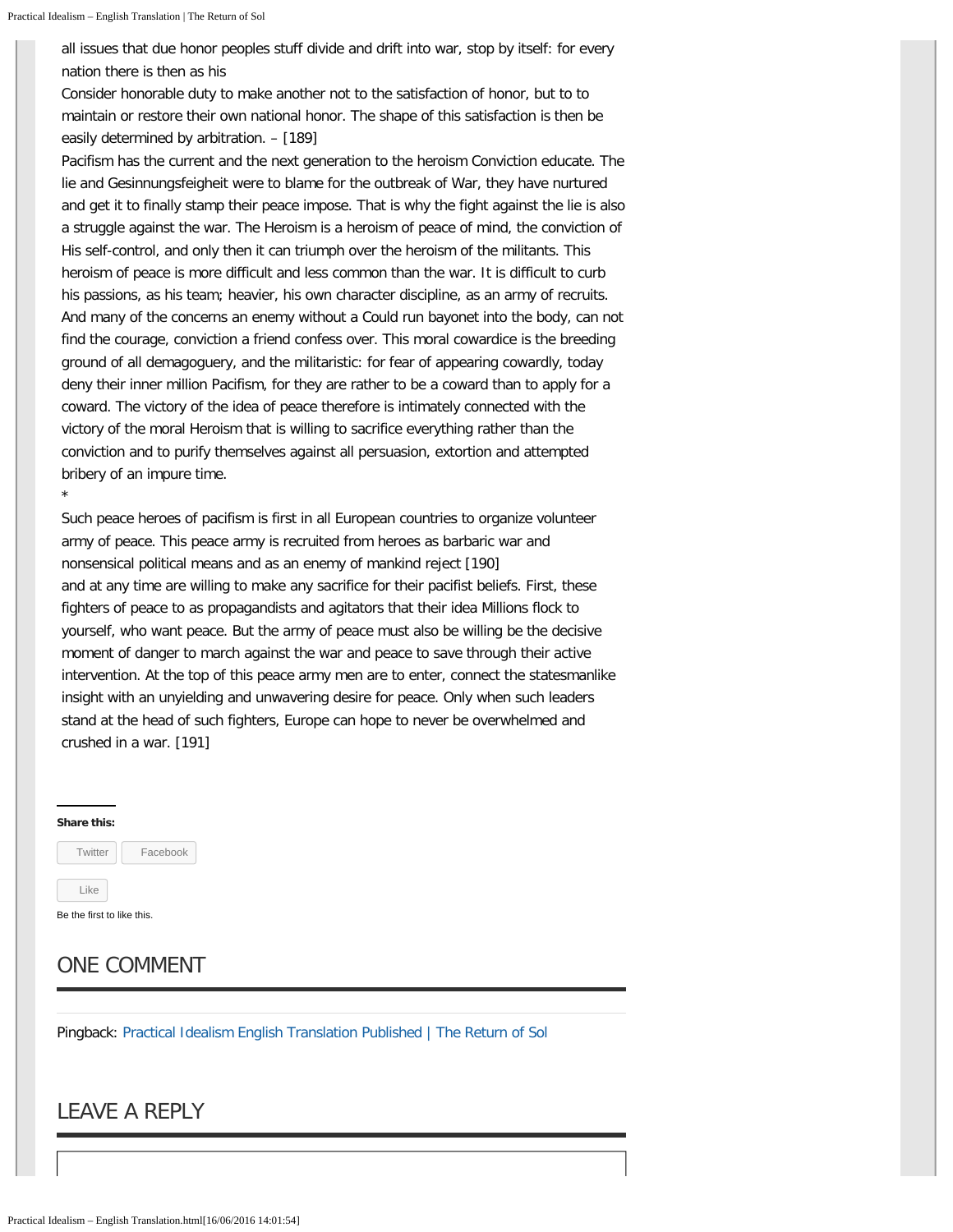all issues that due honor peoples stuff divide and drift into war, stop by itself: for every nation there is then as his

Consider honorable duty to make another not to the satisfaction of honor, but to to maintain or restore their own national honor. The shape of this satisfaction is then be easily determined by arbitration. – [189]

Pacifism has the current and the next generation to the heroism Conviction educate. The lie and Gesinnungsfeigheit were to blame for the outbreak of War, they have nurtured and get it to finally stamp their peace impose. That is why the fight against the lie is also a struggle against the war. The Heroism is a heroism of peace of mind, the conviction of His self-control, and only then it can triumph over the heroism of the militants. This heroism of peace is more difficult and less common than the war. It is difficult to curb his passions, as his team; heavier, his own character discipline, as an army of recruits. And many of the concerns an enemy without a Could run bayonet into the body, can not find the courage, conviction a friend confess over. This moral cowardice is the breeding ground of all demagoguery, and the militaristic: for fear of appearing cowardly, today deny their inner million Pacifism, for they are rather to be a coward than to apply for a coward. The victory of the idea of peace therefore is intimately connected with the victory of the moral Heroism that is willing to sacrifice everything rather than the conviction and to purify themselves against all persuasion, extortion and attempted bribery of an impure time.

Such peace heroes of pacifism is first in all European countries to organize volunteer army of peace. This peace army is recruited from heroes as barbaric war and nonsensical political means and as an enemy of mankind reject [190] and at any time are willing to make any sacrifice for their pacifist beliefs. First, these fighters of peace to as propagandists and agitators that their idea Millions flock to yourself, who want peace. But the army of peace must also be willing be the decisive moment of danger to march against the war and peace to save through their active intervention. At the top of this peace army men are to enter, connect the statesmanlike insight with an unyielding and unwavering desire for peace. Only when such leaders stand at the head of such fighters, Europe can hope to never be overwhelmed and crushed in a war. [191]

#### **Share this:**

\*



# ONE COMMENT

Pingback: [Practical Idealism English Translation Published | The Return of Sol](https://archive.is/o/ijYJ4/http://returnofsol.com/2014/06/23/practical-idealism-english-translation-published/)

# LEAVE A REPLY